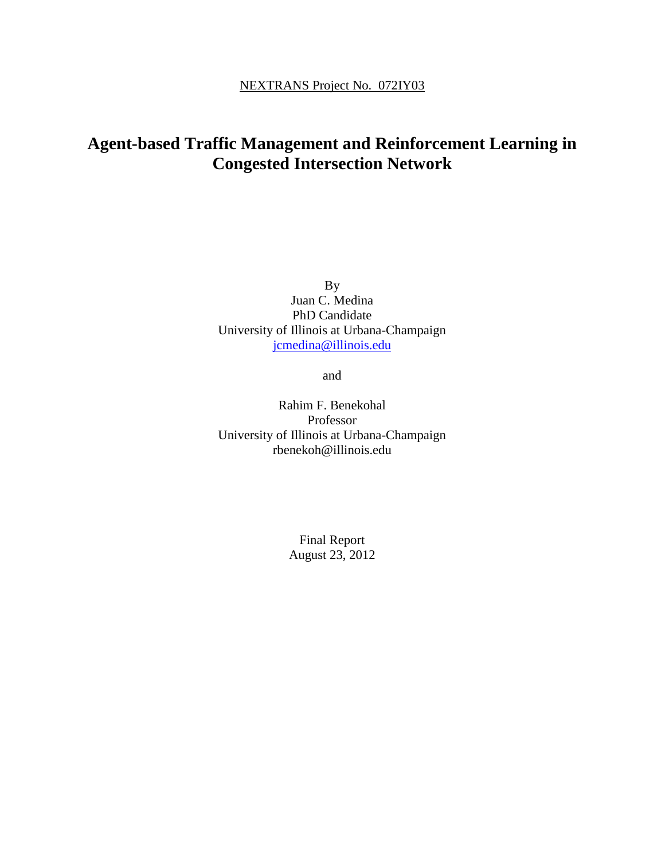# **Agent-based Traffic Management and Reinforcement Learning in Congested Intersection Network**

By Juan C. Medina PhD Candidate University of Illinois at Urbana-Champaign [jcmedina@illinois.edu](mailto:jcmedina@illinois.edu)

and

Rahim F. Benekohal Professor University of Illinois at Urbana-Champaign rbenekoh@illinois.edu

> Final Report August 23, 2012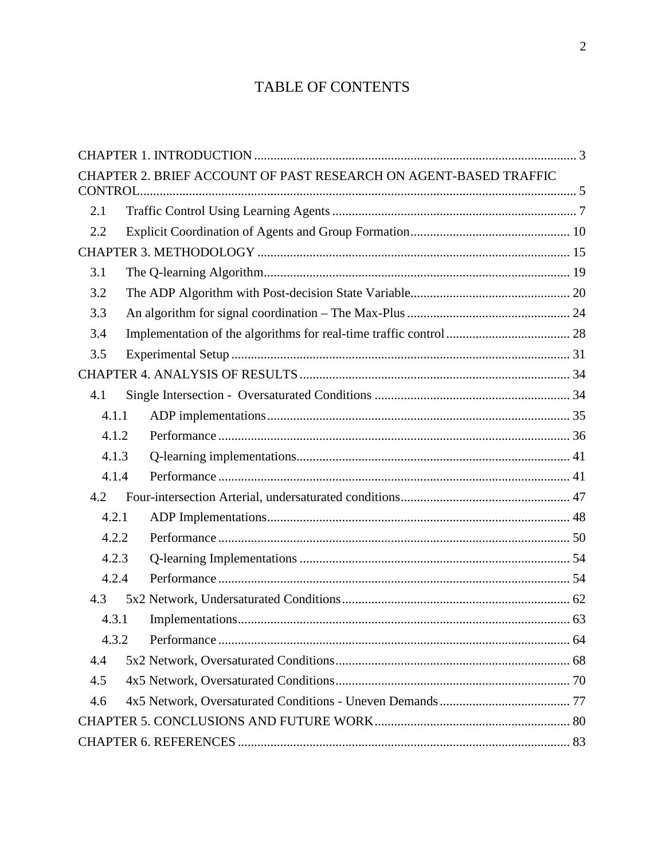# TABLE OF CONTENTS

| CHAPTER 2. BRIEF ACCOUNT OF PAST RESEARCH ON AGENT-BASED TRAFFIC |  |
|------------------------------------------------------------------|--|
|                                                                  |  |
| 2.1                                                              |  |
| 2.2                                                              |  |
|                                                                  |  |
| 3.1                                                              |  |
| 3.2                                                              |  |
| 3.3                                                              |  |
| 3.4                                                              |  |
| 3.5                                                              |  |
|                                                                  |  |
| 4.1                                                              |  |
| 4.1.1                                                            |  |
| 4.1.2                                                            |  |
| 4.1.3                                                            |  |
| 4.1.4                                                            |  |
| 4.2                                                              |  |
| 4.2.1                                                            |  |
| 4.2.2                                                            |  |
| 4.2.3                                                            |  |
| 4.2.4                                                            |  |
| 4.3                                                              |  |
| 4.3.1                                                            |  |
| 4.3.2                                                            |  |
| 4.4                                                              |  |
| 4.5                                                              |  |
| 4.6                                                              |  |
|                                                                  |  |
|                                                                  |  |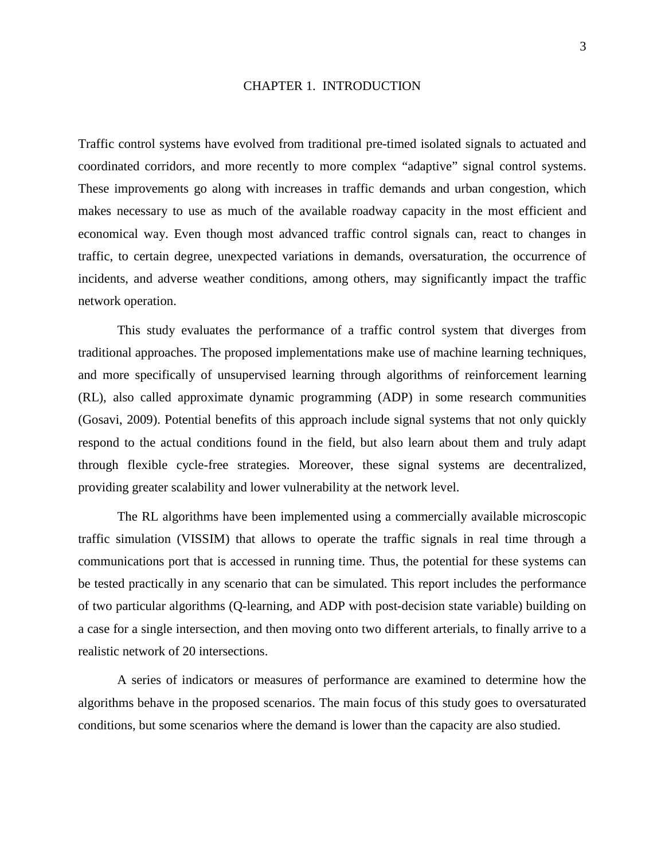#### CHAPTER 1. INTRODUCTION

<span id="page-2-0"></span>Traffic control systems have evolved from traditional pre-timed isolated signals to actuated and coordinated corridors, and more recently to more complex "adaptive" signal control systems. These improvements go along with increases in traffic demands and urban congestion, which makes necessary to use as much of the available roadway capacity in the most efficient and economical way. Even though most advanced traffic control signals can, react to changes in traffic, to certain degree, unexpected variations in demands, oversaturation, the occurrence of incidents, and adverse weather conditions, among others, may significantly impact the traffic network operation.

This study evaluates the performance of a traffic control system that diverges from traditional approaches. The proposed implementations make use of machine learning techniques, and more specifically of unsupervised learning through algorithms of reinforcement learning (RL), also called approximate dynamic programming (ADP) in some research communities (Gosavi, 2009). Potential benefits of this approach include signal systems that not only quickly respond to the actual conditions found in the field, but also learn about them and truly adapt through flexible cycle-free strategies. Moreover, these signal systems are decentralized, providing greater scalability and lower vulnerability at the network level.

The RL algorithms have been implemented using a commercially available microscopic traffic simulation (VISSIM) that allows to operate the traffic signals in real time through a communications port that is accessed in running time. Thus, the potential for these systems can be tested practically in any scenario that can be simulated. This report includes the performance of two particular algorithms (Q-learning, and ADP with post-decision state variable) building on a case for a single intersection, and then moving onto two different arterials, to finally arrive to a realistic network of 20 intersections.

A series of indicators or measures of performance are examined to determine how the algorithms behave in the proposed scenarios. The main focus of this study goes to oversaturated conditions, but some scenarios where the demand is lower than the capacity are also studied.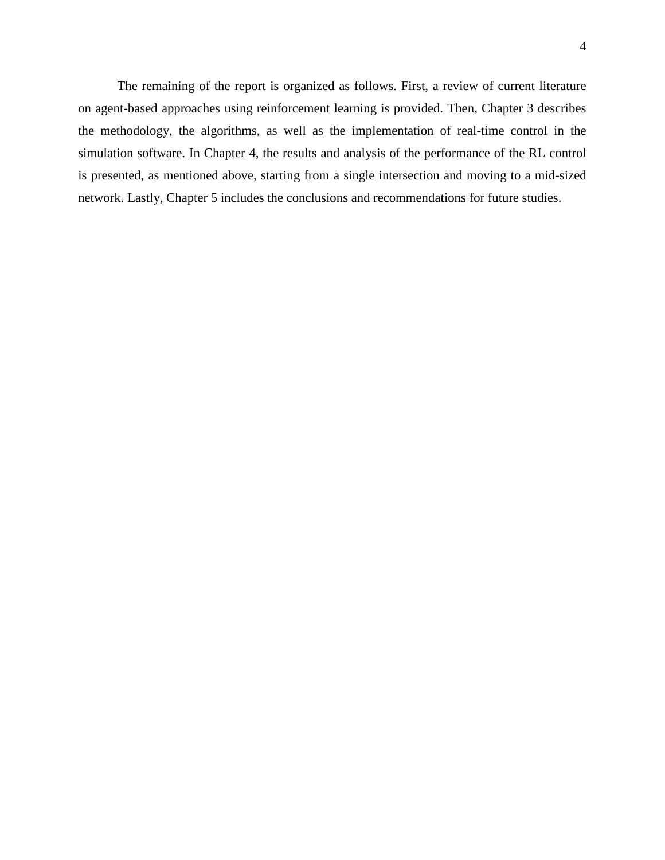The remaining of the report is organized as follows. First, a review of current literature on agent-based approaches using reinforcement learning is provided. Then, Chapter 3 describes the methodology, the algorithms, as well as the implementation of real-time control in the simulation software. In Chapter 4, the results and analysis of the performance of the RL control is presented, as mentioned above, starting from a single intersection and moving to a mid-sized network. Lastly, Chapter 5 includes the conclusions and recommendations for future studies.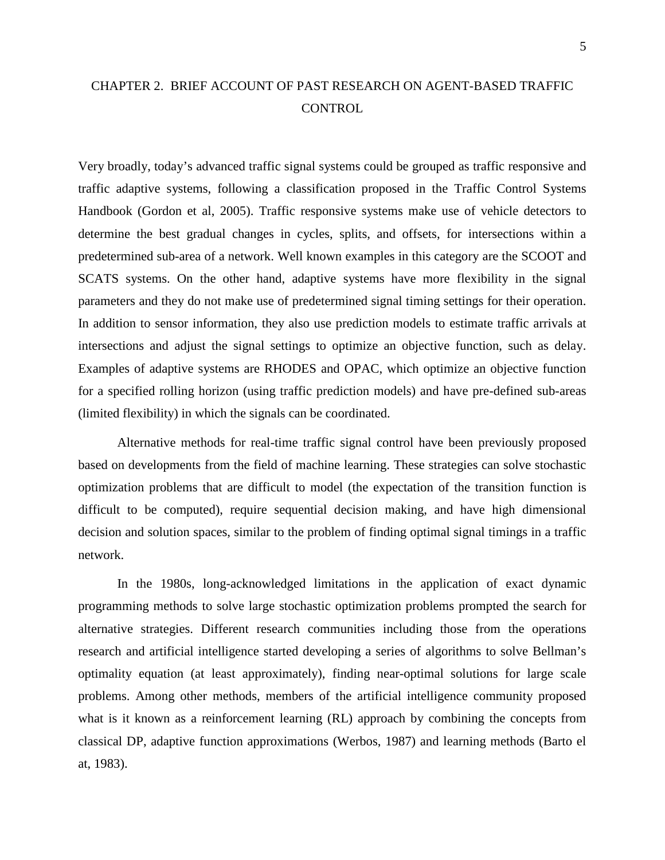## <span id="page-4-0"></span>CHAPTER 2. BRIEF ACCOUNT OF PAST RESEARCH ON AGENT-BASED TRAFFIC **CONTROL**

Very broadly, today's advanced traffic signal systems could be grouped as traffic responsive and traffic adaptive systems, following a classification proposed in the Traffic Control Systems Handbook (Gordon et al, 2005). Traffic responsive systems make use of vehicle detectors to determine the best gradual changes in cycles, splits, and offsets, for intersections within a predetermined sub-area of a network. Well known examples in this category are the SCOOT and SCATS systems. On the other hand, adaptive systems have more flexibility in the signal parameters and they do not make use of predetermined signal timing settings for their operation. In addition to sensor information, they also use prediction models to estimate traffic arrivals at intersections and adjust the signal settings to optimize an objective function, such as delay. Examples of adaptive systems are RHODES and OPAC, which optimize an objective function for a specified rolling horizon (using traffic prediction models) and have pre-defined sub-areas (limited flexibility) in which the signals can be coordinated.

Alternative methods for real-time traffic signal control have been previously proposed based on developments from the field of machine learning. These strategies can solve stochastic optimization problems that are difficult to model (the expectation of the transition function is difficult to be computed), require sequential decision making, and have high dimensional decision and solution spaces, similar to the problem of finding optimal signal timings in a traffic network.

In the 1980s, long-acknowledged limitations in the application of exact dynamic programming methods to solve large stochastic optimization problems prompted the search for alternative strategies. Different research communities including those from the operations research and artificial intelligence started developing a series of algorithms to solve Bellman's optimality equation (at least approximately), finding near-optimal solutions for large scale problems. Among other methods, members of the artificial intelligence community proposed what is it known as a reinforcement learning (RL) approach by combining the concepts from classical DP, adaptive function approximations (Werbos, 1987) and learning methods (Barto el at, 1983).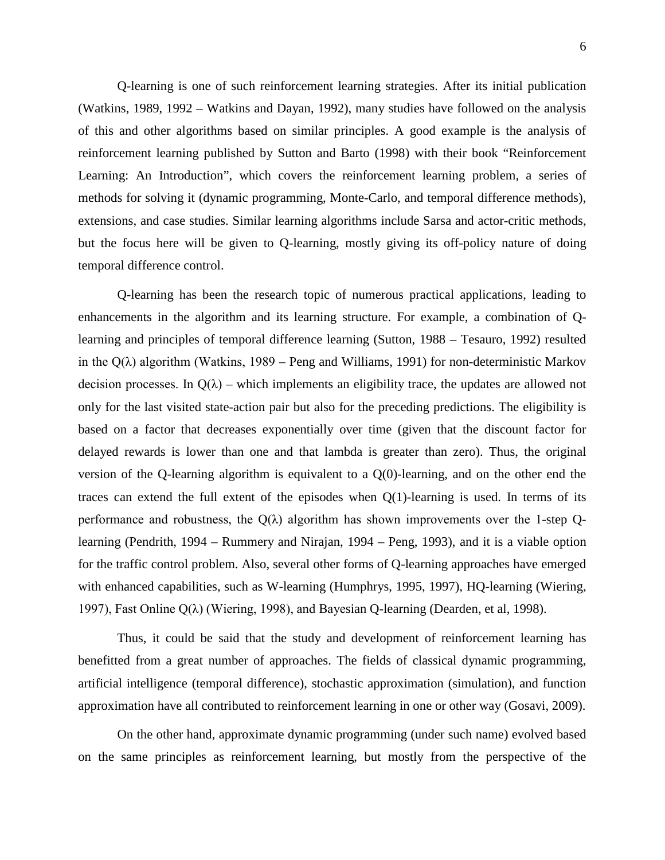Q-learning is one of such reinforcement learning strategies. After its initial publication (Watkins, 1989, 1992 – Watkins and Dayan, 1992), many studies have followed on the analysis of this and other algorithms based on similar principles. A good example is the analysis of reinforcement learning published by Sutton and Barto (1998) with their book "Reinforcement Learning: An Introduction", which covers the reinforcement learning problem, a series of methods for solving it (dynamic programming, Monte-Carlo, and temporal difference methods), extensions, and case studies. Similar learning algorithms include Sarsa and actor-critic methods, but the focus here will be given to Q-learning, mostly giving its off-policy nature of doing temporal difference control.

Q-learning has been the research topic of numerous practical applications, leading to enhancements in the algorithm and its learning structure. For example, a combination of Qlearning and principles of temporal difference learning (Sutton, 1988 – Tesauro, 1992) resulted in the  $Q(\lambda)$  algorithm (Watkins, 1989 – Peng and Williams, 1991) for non-deterministic Markov decision processes. In  $Q(\lambda)$  – which implements an eligibility trace, the updates are allowed not only for the last visited state-action pair but also for the preceding predictions. The eligibility is based on a factor that decreases exponentially over time (given that the discount factor for delayed rewards is lower than one and that lambda is greater than zero). Thus, the original version of the Q-learning algorithm is equivalent to a Q(0)-learning, and on the other end the traces can extend the full extent of the episodes when  $Q(1)$ -learning is used. In terms of its performance and robustness, the  $Q(\lambda)$  algorithm has shown improvements over the 1-step Qlearning (Pendrith, 1994 – Rummery and Nirajan, 1994 – Peng, 1993), and it is a viable option for the traffic control problem. Also, several other forms of Q-learning approaches have emerged with enhanced capabilities, such as W-learning (Humphrys, 1995, 1997), HQ-learning (Wiering, 1997), Fast Online  $Q(\lambda)$  (Wiering, 1998), and Bayesian Q-learning (Dearden, et al, 1998).

Thus, it could be said that the study and development of reinforcement learning has benefitted from a great number of approaches. The fields of classical dynamic programming, artificial intelligence (temporal difference), stochastic approximation (simulation), and function approximation have all contributed to reinforcement learning in one or other way (Gosavi, 2009).

On the other hand, approximate dynamic programming (under such name) evolved based on the same principles as reinforcement learning, but mostly from the perspective of the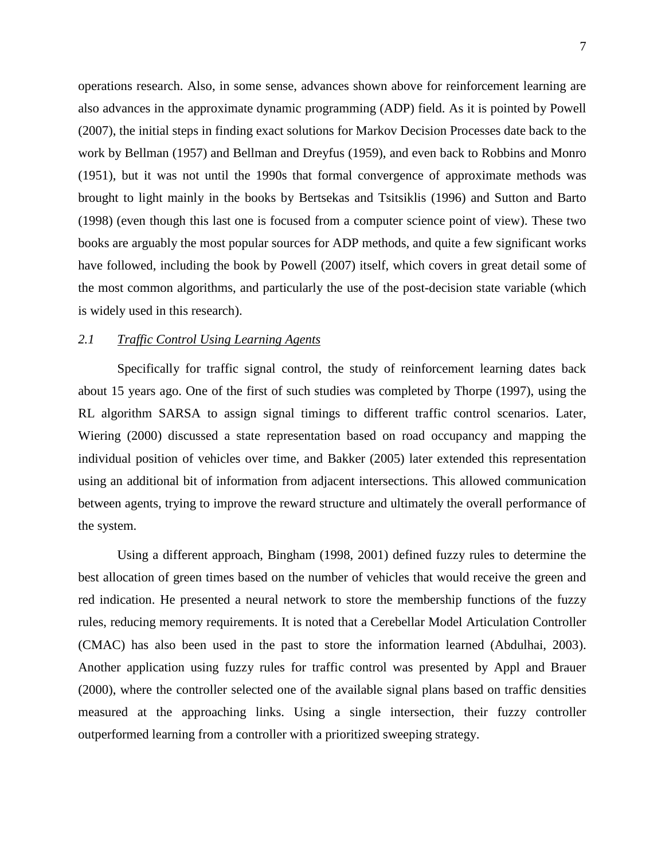operations research. Also, in some sense, advances shown above for reinforcement learning are also advances in the approximate dynamic programming (ADP) field. As it is pointed by Powell (2007), the initial steps in finding exact solutions for Markov Decision Processes date back to the work by Bellman (1957) and Bellman and Dreyfus (1959), and even back to Robbins and Monro (1951), but it was not until the 1990s that formal convergence of approximate methods was brought to light mainly in the books by Bertsekas and Tsitsiklis (1996) and Sutton and Barto (1998) (even though this last one is focused from a computer science point of view). These two books are arguably the most popular sources for ADP methods, and quite a few significant works have followed, including the book by Powell (2007) itself, which covers in great detail some of the most common algorithms, and particularly the use of the post-decision state variable (which is widely used in this research).

#### <span id="page-6-0"></span>*2.1 Traffic Control Using Learning Agents*

Specifically for traffic signal control, the study of reinforcement learning dates back about 15 years ago. One of the first of such studies was completed by Thorpe (1997), using the RL algorithm SARSA to assign signal timings to different traffic control scenarios. Later, Wiering (2000) discussed a state representation based on road occupancy and mapping the individual position of vehicles over time, and Bakker (2005) later extended this representation using an additional bit of information from adjacent intersections. This allowed communication between agents, trying to improve the reward structure and ultimately the overall performance of the system.

Using a different approach, Bingham (1998, 2001) defined fuzzy rules to determine the best allocation of green times based on the number of vehicles that would receive the green and red indication. He presented a neural network to store the membership functions of the fuzzy rules, reducing memory requirements. It is noted that a Cerebellar Model Articulation Controller (CMAC) has also been used in the past to store the information learned (Abdulhai, 2003). Another application using fuzzy rules for traffic control was presented by Appl and Brauer (2000), where the controller selected one of the available signal plans based on traffic densities measured at the approaching links. Using a single intersection, their fuzzy controller outperformed learning from a controller with a prioritized sweeping strategy.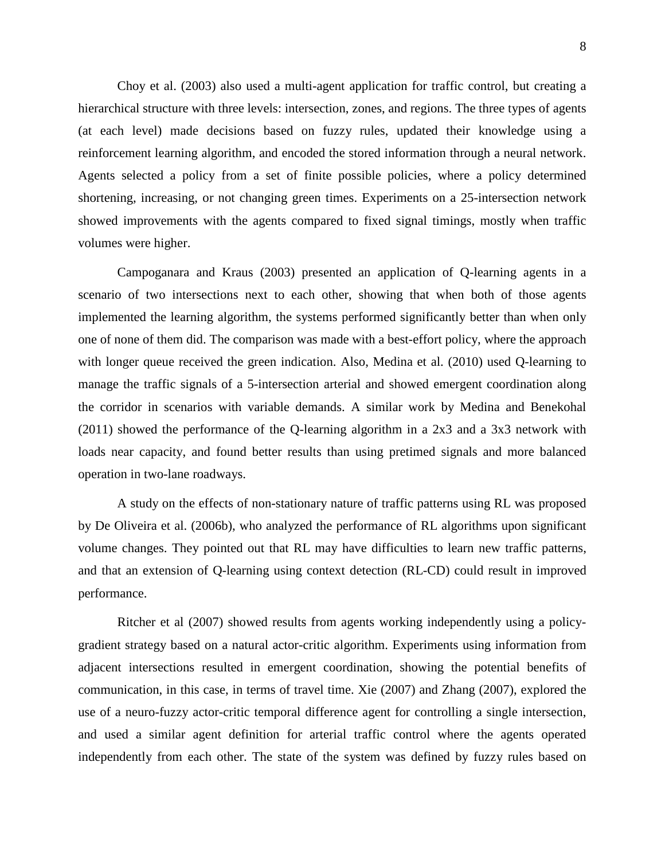Choy et al. (2003) also used a multi-agent application for traffic control, but creating a hierarchical structure with three levels: intersection, zones, and regions. The three types of agents (at each level) made decisions based on fuzzy rules, updated their knowledge using a reinforcement learning algorithm, and encoded the stored information through a neural network. Agents selected a policy from a set of finite possible policies, where a policy determined shortening, increasing, or not changing green times. Experiments on a 25-intersection network showed improvements with the agents compared to fixed signal timings, mostly when traffic volumes were higher.

Campoganara and Kraus (2003) presented an application of Q-learning agents in a scenario of two intersections next to each other, showing that when both of those agents implemented the learning algorithm, the systems performed significantly better than when only one of none of them did. The comparison was made with a best-effort policy, where the approach with longer queue received the green indication. Also, Medina et al. (2010) used Q-learning to manage the traffic signals of a 5-intersection arterial and showed emergent coordination along the corridor in scenarios with variable demands. A similar work by Medina and Benekohal (2011) showed the performance of the Q-learning algorithm in a 2x3 and a 3x3 network with loads near capacity, and found better results than using pretimed signals and more balanced operation in two-lane roadways.

A study on the effects of non-stationary nature of traffic patterns using RL was proposed by De Oliveira et al. (2006b), who analyzed the performance of RL algorithms upon significant volume changes. They pointed out that RL may have difficulties to learn new traffic patterns, and that an extension of Q-learning using context detection (RL-CD) could result in improved performance.

Ritcher et al (2007) showed results from agents working independently using a policygradient strategy based on a natural actor-critic algorithm. Experiments using information from adjacent intersections resulted in emergent coordination, showing the potential benefits of communication, in this case, in terms of travel time. Xie (2007) and Zhang (2007), explored the use of a neuro-fuzzy actor-critic temporal difference agent for controlling a single intersection, and used a similar agent definition for arterial traffic control where the agents operated independently from each other. The state of the system was defined by fuzzy rules based on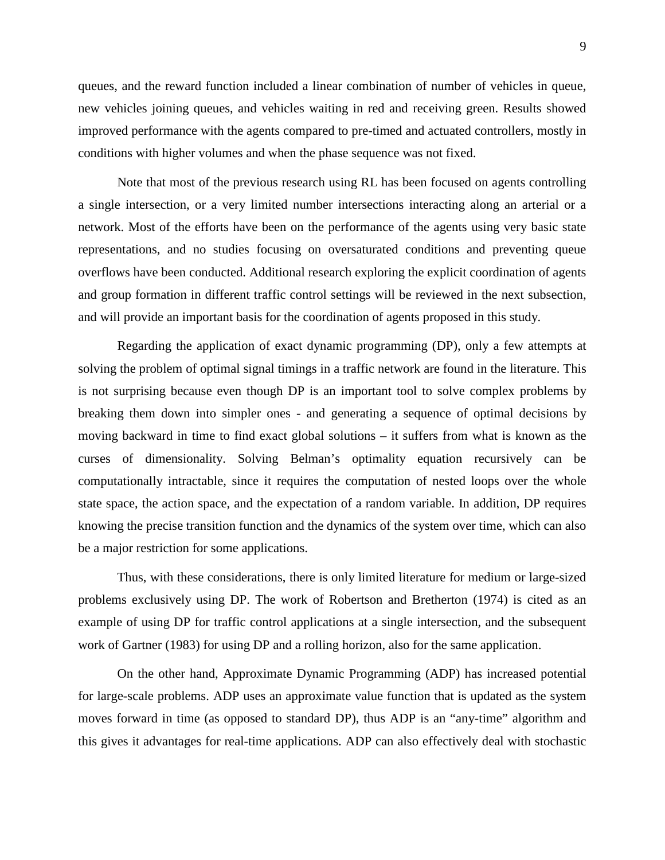queues, and the reward function included a linear combination of number of vehicles in queue, new vehicles joining queues, and vehicles waiting in red and receiving green. Results showed improved performance with the agents compared to pre-timed and actuated controllers, mostly in conditions with higher volumes and when the phase sequence was not fixed.

Note that most of the previous research using RL has been focused on agents controlling a single intersection, or a very limited number intersections interacting along an arterial or a network. Most of the efforts have been on the performance of the agents using very basic state representations, and no studies focusing on oversaturated conditions and preventing queue overflows have been conducted. Additional research exploring the explicit coordination of agents and group formation in different traffic control settings will be reviewed in the next subsection, and will provide an important basis for the coordination of agents proposed in this study.

Regarding the application of exact dynamic programming (DP), only a few attempts at solving the problem of optimal signal timings in a traffic network are found in the literature. This is not surprising because even though DP is an important tool to solve complex problems by breaking them down into simpler ones - and generating a sequence of optimal decisions by moving backward in time to find exact global solutions – it suffers from what is known as the curses of dimensionality. Solving Belman's optimality equation recursively can be computationally intractable, since it requires the computation of nested loops over the whole state space, the action space, and the expectation of a random variable. In addition, DP requires knowing the precise transition function and the dynamics of the system over time, which can also be a major restriction for some applications.

Thus, with these considerations, there is only limited literature for medium or large-sized problems exclusively using DP. The work of Robertson and Bretherton (1974) is cited as an example of using DP for traffic control applications at a single intersection, and the subsequent work of Gartner (1983) for using DP and a rolling horizon, also for the same application.

On the other hand, Approximate Dynamic Programming (ADP) has increased potential for large-scale problems. ADP uses an approximate value function that is updated as the system moves forward in time (as opposed to standard DP), thus ADP is an "any-time" algorithm and this gives it advantages for real-time applications. ADP can also effectively deal with stochastic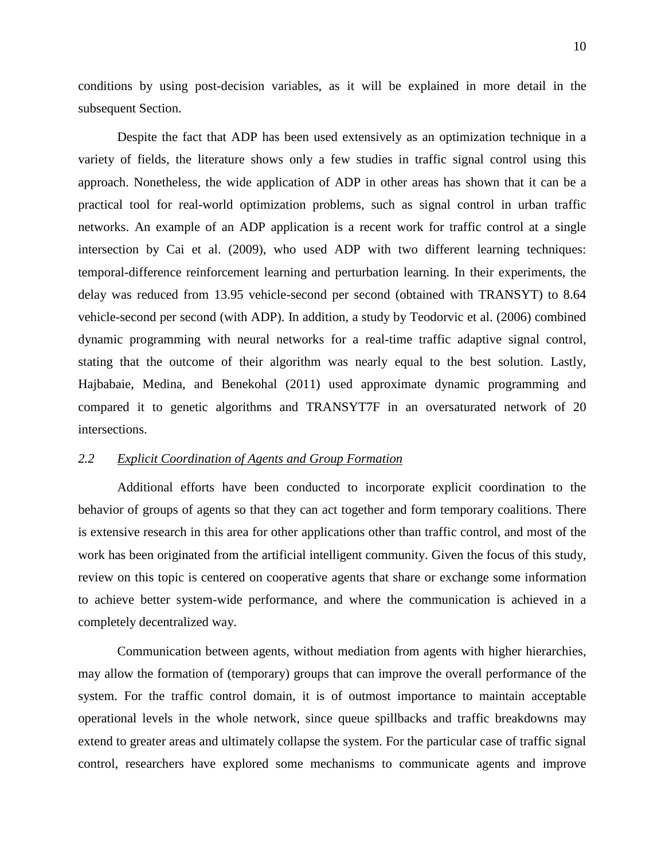conditions by using post-decision variables, as it will be explained in more detail in the subsequent Section.

Despite the fact that ADP has been used extensively as an optimization technique in a variety of fields, the literature shows only a few studies in traffic signal control using this approach. Nonetheless, the wide application of ADP in other areas has shown that it can be a practical tool for real-world optimization problems, such as signal control in urban traffic networks. An example of an ADP application is a recent work for traffic control at a single intersection by Cai et al. (2009), who used ADP with two different learning techniques: temporal-difference reinforcement learning and perturbation learning. In their experiments, the delay was reduced from 13.95 vehicle-second per second (obtained with TRANSYT) to 8.64 vehicle-second per second (with ADP). In addition, a study by Teodorvic et al. (2006) combined dynamic programming with neural networks for a real-time traffic adaptive signal control, stating that the outcome of their algorithm was nearly equal to the best solution. Lastly, Hajbabaie, Medina, and Benekohal (2011) used approximate dynamic programming and compared it to genetic algorithms and TRANSYT7F in an oversaturated network of 20 intersections.

## <span id="page-9-0"></span>*2.2 Explicit Coordination of Agents and Group Formation*

Additional efforts have been conducted to incorporate explicit coordination to the behavior of groups of agents so that they can act together and form temporary coalitions. There is extensive research in this area for other applications other than traffic control, and most of the work has been originated from the artificial intelligent community. Given the focus of this study, review on this topic is centered on cooperative agents that share or exchange some information to achieve better system-wide performance, and where the communication is achieved in a completely decentralized way.

Communication between agents, without mediation from agents with higher hierarchies, may allow the formation of (temporary) groups that can improve the overall performance of the system. For the traffic control domain, it is of outmost importance to maintain acceptable operational levels in the whole network, since queue spillbacks and traffic breakdowns may extend to greater areas and ultimately collapse the system. For the particular case of traffic signal control, researchers have explored some mechanisms to communicate agents and improve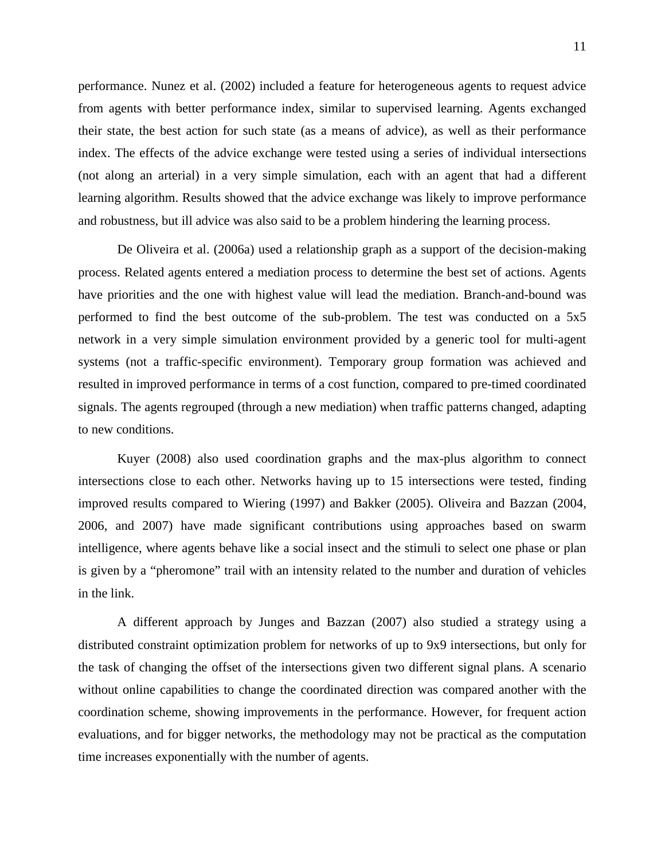performance. Nunez et al. (2002) included a feature for heterogeneous agents to request advice from agents with better performance index, similar to supervised learning. Agents exchanged their state, the best action for such state (as a means of advice), as well as their performance index. The effects of the advice exchange were tested using a series of individual intersections (not along an arterial) in a very simple simulation, each with an agent that had a different learning algorithm. Results showed that the advice exchange was likely to improve performance and robustness, but ill advice was also said to be a problem hindering the learning process.

De Oliveira et al. (2006a) used a relationship graph as a support of the decision-making process. Related agents entered a mediation process to determine the best set of actions. Agents have priorities and the one with highest value will lead the mediation. Branch-and-bound was performed to find the best outcome of the sub-problem. The test was conducted on a 5x5 network in a very simple simulation environment provided by a generic tool for multi-agent systems (not a traffic-specific environment). Temporary group formation was achieved and resulted in improved performance in terms of a cost function, compared to pre-timed coordinated signals. The agents regrouped (through a new mediation) when traffic patterns changed, adapting to new conditions.

Kuyer (2008) also used coordination graphs and the max-plus algorithm to connect intersections close to each other. Networks having up to 15 intersections were tested, finding improved results compared to Wiering (1997) and Bakker (2005). Oliveira and Bazzan (2004, 2006, and 2007) have made significant contributions using approaches based on swarm intelligence, where agents behave like a social insect and the stimuli to select one phase or plan is given by a "pheromone" trail with an intensity related to the number and duration of vehicles in the link.

A different approach by Junges and Bazzan (2007) also studied a strategy using a distributed constraint optimization problem for networks of up to 9x9 intersections, but only for the task of changing the offset of the intersections given two different signal plans. A scenario without online capabilities to change the coordinated direction was compared another with the coordination scheme, showing improvements in the performance. However, for frequent action evaluations, and for bigger networks, the methodology may not be practical as the computation time increases exponentially with the number of agents.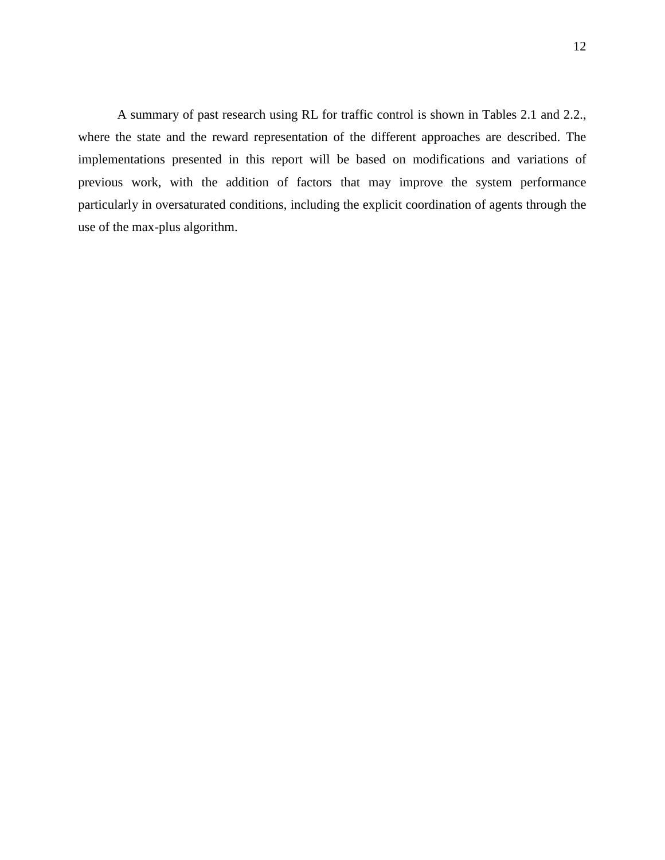A summary of past research using RL for traffic control is shown in Tables 2.1 and 2.2., where the state and the reward representation of the different approaches are described. The implementations presented in this report will be based on modifications and variations of previous work, with the addition of factors that may improve the system performance particularly in oversaturated conditions, including the explicit coordination of agents through the use of the max-plus algorithm.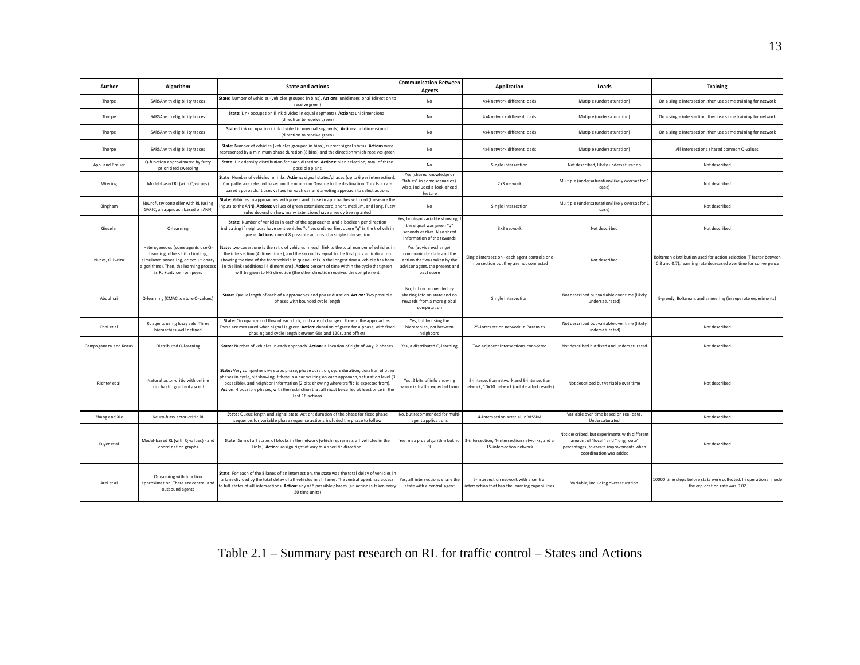| Author                | Algorithm                                                                                                                                                                            | <b>State and actions</b>                                                                                                                                                                                                                                                                                                                                                                                                                                                | <b>Communication Between</b><br>Agents                                                                                              | Application                                                                                | Loads                                                                                                                                                     | <b>Training</b>                                                                                                                      |
|-----------------------|--------------------------------------------------------------------------------------------------------------------------------------------------------------------------------------|-------------------------------------------------------------------------------------------------------------------------------------------------------------------------------------------------------------------------------------------------------------------------------------------------------------------------------------------------------------------------------------------------------------------------------------------------------------------------|-------------------------------------------------------------------------------------------------------------------------------------|--------------------------------------------------------------------------------------------|-----------------------------------------------------------------------------------------------------------------------------------------------------------|--------------------------------------------------------------------------------------------------------------------------------------|
| Thorpe                | SARSA with eligibility traces                                                                                                                                                        | State: Number of vehicles (vehicles grouped in bins). Actions: unidimensional (direction to<br>receive green)                                                                                                                                                                                                                                                                                                                                                           | <b>No</b>                                                                                                                           | 4x4 network different loads                                                                | Mutiple (undersaturation)                                                                                                                                 | On a single intersection, then use same training for network                                                                         |
| Thorpe                | SARSA with eligibility traces                                                                                                                                                        | State: Link occupation (link divided in equal segments). Actions: unidimensional<br>(direction to receive green)                                                                                                                                                                                                                                                                                                                                                        | No                                                                                                                                  | 4x4 network different loads                                                                | Mutiple (undersaturation)                                                                                                                                 | On a single intersection, then use same training for network                                                                         |
| Thorpe                | SARSA with eligibility traces                                                                                                                                                        | State: Link occupation (link divided in unequal segments). Actions: unidimensional<br>(direction to receive green)                                                                                                                                                                                                                                                                                                                                                      | No                                                                                                                                  | 4x4 network different loads                                                                | Mutiple (undersaturation)                                                                                                                                 | On a single intersection, then use same training for network                                                                         |
| Thorpe                | SARSA with eligibility traces                                                                                                                                                        | State: Number of vehicles (vehicles grouped in bins), current signal status. Actions were<br>represented by a minimum phase duration (8 bins) and the direction which receives green                                                                                                                                                                                                                                                                                    | No                                                                                                                                  | 4x4 network different loads                                                                | Mutiple (undersaturation)                                                                                                                                 | All intersections shared common Q-values                                                                                             |
| Appl and Brauer       | Q-function approximated by fuzzy<br>prioritized sweeping                                                                                                                             | State: Link density distribution for each direction. Actions: plan selection, total of three<br>possible plans                                                                                                                                                                                                                                                                                                                                                          | <b>No</b>                                                                                                                           | Single intersection                                                                        | Not described, likely undersaturation                                                                                                                     | Not described                                                                                                                        |
| Wiering               | Model-based RL (with Q values)                                                                                                                                                       | State: Number of vehicles in links. Actions: signal states/phases (up to 6 per intersection)<br>Car paths are selected based on the minimum Q-value to the destination. This Is a car-<br>based approach. It uses values for each car and a voting approach to select actions                                                                                                                                                                                           | Yes (shared knowledge or<br>"tables" in some scenarios).<br>Also, included a look-ahead<br>feature                                  | 2x3 network                                                                                | Multiple (undersaturation/likely oversat for 1<br>case)                                                                                                   | Not described                                                                                                                        |
| Bingham               | Neurofuzzy controller with RL (using<br>GARIC, an approach based on ANN)                                                                                                             | State: Vehicles in approaches with green, and those in approaches with red (these are the<br>nputs to the ANN). Actions: values of green extension: zero, short, medium, and long. Fuzzy<br>rules depend on how many extensions have already been granted                                                                                                                                                                                                               | No                                                                                                                                  | Single intersection                                                                        | Multiple (undersaturation/likely oversat for 1<br>casel                                                                                                   | Not described                                                                                                                        |
| Gieseler              | Q-learning                                                                                                                                                                           | State: Number of vehicles in each of the approaches and a boolean per direction<br>indicating if neighbors have sent vehicles "q" seconds earlier, quere "q" is the # of veh in<br>queue. Actions: one of 8 possible actions at a single intersection                                                                                                                                                                                                                   | Yes, boolean variable showing<br>the signal was green "q"<br>seconds earlier. Also shred<br>information of the rewards              | 3x3 network                                                                                | Not described                                                                                                                                             | Not described                                                                                                                        |
| Nunes, Oliveira       | Heterogeneous (some agents use Q-<br>learning, others hill climbing,<br>simulated annealing, or evolutionary<br>algorithms). Then, the learning process<br>is RL + advice from peers | State: two cases: one is the ratio of vehicles in each link to the total number of vehicles in<br>the intersection (4 dimentions), and the second is equal to the first plus an indication<br>showing the time of the front vehicle in queue - this is the longest time a vehicle has been<br>in the link (additional 4 dimentions). Action: percent of time within the cycle that green<br>will be given to N-S direction (the other direction receives the complement | Yes (advice exchange):<br>communicate state and the<br>action that was taken by the<br>advisor agent, the present and<br>past score | Single intersection - each agent controls one<br>intersection but they are not connected   | Not described                                                                                                                                             | Boltzman distribution used for action selection (T factor between<br>0.3 and 0.7); learning rate decreased over time for convergence |
| Abdulhai              | Q-learning (CMAC to store Q-values)                                                                                                                                                  | State: Queue length of each of 4 approaches and phase duration. Action: Two possible<br>phases with bounded cycle length                                                                                                                                                                                                                                                                                                                                                | No, but recommended by<br>sharing info on state and on<br>rewards from a more global<br>computation                                 | Single intersection                                                                        | Not described but variable over time (likely<br>undersaturated)                                                                                           | E-greedy, Boltzman, and annealing (in separate experiments)                                                                          |
| Choi et al            | RL agents using fuzzy sets. Three<br>hierarchies well defined                                                                                                                        | State: Occupancy and flow of each link, and rate of change of flow in the approaches.<br>These are measured when signal is green. Action: duration of green for a phase, with fixed<br>phasing and cycle length between 60s and 120s, and offsets                                                                                                                                                                                                                       | Yes, but by using the<br>hierarchies, not between<br>neighbors                                                                      | 25-intersection network in Paramics                                                        | Not described but variable over time (likely<br>undersaturated)                                                                                           | Not described                                                                                                                        |
| Campoganara and Kraus | Distributed Q-learning                                                                                                                                                               | State: Number of vehicles in each approach. Action: allocation of right of way, 2 phases                                                                                                                                                                                                                                                                                                                                                                                | Yes, a distributed Q-learning                                                                                                       | Two adjacent intersections connected                                                       | Not described but fixed and undersaturated                                                                                                                | Not described                                                                                                                        |
| Richter et al         | Natural actor-critic with online<br>stochastic gradient ascent                                                                                                                       | State: Very comprehensive state: phase, phase duration, cycle duration, duration of other<br>phases in cycle, bit showing if there is a car waiting on each approach, saturation level (3<br>posssible), and neighbor information (2 bits showing where traffic is expected from).<br>Action: 4 possible phases, with the restriction that all must be called at least once in the<br>last 16 actions                                                                   | Yes, 2 bits of info showing<br>where is traffic expected from                                                                       | 2-intersection network and 9-intersection<br>network, 10x10 network (not detailed results) | Not described but variable over time                                                                                                                      | Not described                                                                                                                        |
| Zhang and Xie         | Neuro-fuzzy actor-critic RL                                                                                                                                                          | State: Queue length and signal state. Action: duration of the phase for fixed phase<br>sequence; for variable phase sequence actions included the phase to follow                                                                                                                                                                                                                                                                                                       | No, but recommended for multi<br>agent applications                                                                                 | 4-intersection arterial in VISSIM                                                          | Variable over time based on real data.<br>Undersaturated                                                                                                  | Not described                                                                                                                        |
| Kuyer et al           | Model-based RL (with Q values) - and<br>coordination graphs                                                                                                                          | State: Sum of all states of blocks in the network (which represnets all vehicles in the<br>links). Action: assign right of way to a specific direction.                                                                                                                                                                                                                                                                                                                 | Yes, max plus algorithm but no<br><b>RL</b>                                                                                         | 3-intersection, 4-intersection networks, and a<br>15-intersection network                  | Not described, but experiments with different<br>amount of "local" and "long route"<br>percentages, to create improvements when<br>coordination was added | Not described                                                                                                                        |
| Arel et al            | Q-learning with function<br>approximation. There are central and<br>outbound agents                                                                                                  | State: For each of the 8 lanes of an intersection, the state was the total delay of vehicles in<br>a lane divided by the total delay of all vehicles in all lanes. The central agent has access<br>to full states of all intersections. Action: any of 8 possible phases (an action is taken every<br>20 time units)                                                                                                                                                    | Yes, all intersections share the<br>state with a central agent                                                                      | 5-intersection network with a central<br>ntersection that has the learning capabilities    | Variable, including oversaturation                                                                                                                        | 10000 time steps before stats were collected. In operational mode<br>the exploration rate was 0.02                                   |

## Table 2.1 – Summary past research on RL for traffic control – States and Actions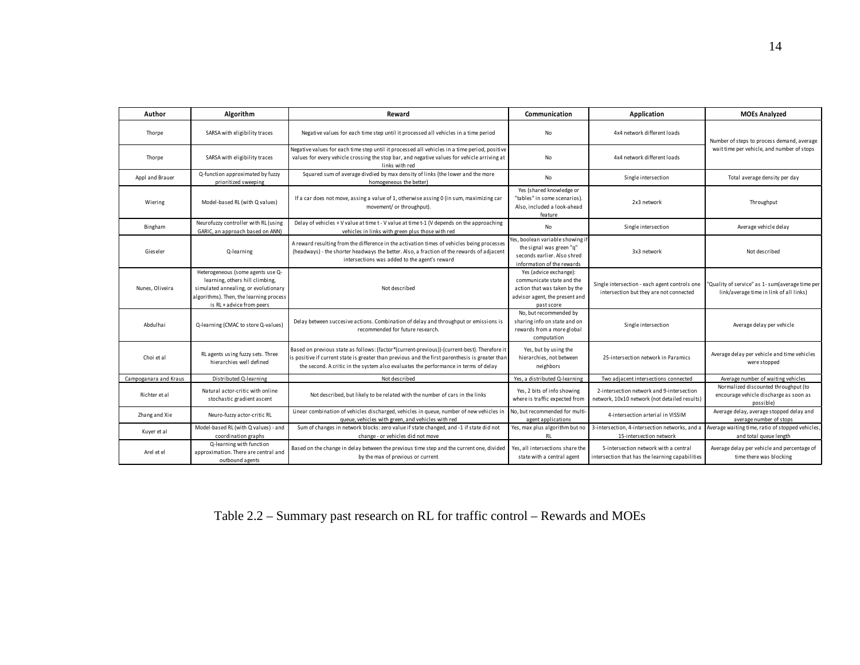| Author                | Algorithm                                                                                                                                                                            | Reward                                                                                                                                                                                                                                                                                 | Communication                                                                                                                       | Application                                                                                | <b>MOEs Analyzed</b>                                                                        |  |
|-----------------------|--------------------------------------------------------------------------------------------------------------------------------------------------------------------------------------|----------------------------------------------------------------------------------------------------------------------------------------------------------------------------------------------------------------------------------------------------------------------------------------|-------------------------------------------------------------------------------------------------------------------------------------|--------------------------------------------------------------------------------------------|---------------------------------------------------------------------------------------------|--|
| Thorpe                | SARSA with eligibility traces                                                                                                                                                        | Negative values for each time step until it processed all vehicles in a time period                                                                                                                                                                                                    | <b>No</b>                                                                                                                           | 4x4 network different loads                                                                | Number of steps to process demand, average                                                  |  |
| Thorpe                | SARSA with eligibility traces                                                                                                                                                        | Negative values for each time step until it processed all vehicles in a time period, positive<br>values for every vehicle crossing the stop bar, and negative values for vehicle arriving at<br>links with red                                                                         | No                                                                                                                                  | 4x4 network different loads                                                                | wait time per vehicle, and number of stops                                                  |  |
| Appl and Brauer       | Q-function approximated by fuzzy<br>prioritized sweeping                                                                                                                             | Squared sum of average divdied by max density of links (the lower and the more<br>homogeneous the better)                                                                                                                                                                              | <b>No</b>                                                                                                                           | Single intersection                                                                        | Total average density per day                                                               |  |
| Wiering               | Model-based RL (with Q values)                                                                                                                                                       | If a car does not move, assing a value of 1, otherwise assing 0 (in sum, maximizing car<br>movement/ or throughput).                                                                                                                                                                   | Yes (shared knowledge or<br>"tables" in some scenarios).<br>Also, included a look-ahead<br>feature                                  | 2x3 network                                                                                | Throughput                                                                                  |  |
| Bingham               | Neurofuzzy controller with RL (using<br>GARIC, an approach based on ANN)                                                                                                             | Delay of vehicles + V value at time t - V value at time t-1 (V depends on the approaching<br>vehicles in links with green plus those with red                                                                                                                                          | No                                                                                                                                  | Single intersection                                                                        | Average vehicle delay                                                                       |  |
| Gieseler              | Q-learning                                                                                                                                                                           | A reward resulting from the difference in the activation times of vehicles being processes<br>(headways) - the shorter headways the better. Also, a fraction of the rewards of adjacent<br>intersections was added to the agent's reward                                               | Yes, boolean variable showing if<br>the signal was green "q"<br>seconds earlier. Also shred<br>information of the rewards           | 3x3 network                                                                                | Not described                                                                               |  |
| Nunes, Oliveira       | Heterogeneous (some agents use Q-<br>learning, others hill climbing,<br>simulated annealing, or evolutionary<br>algorithms). Then, the learning process<br>is RL + advice from peers | Not described                                                                                                                                                                                                                                                                          | Yes (advice exchange):<br>communicate state and the<br>action that was taken by the<br>advisor agent, the present and<br>past score | Single intersection - each agent controls one<br>intersection but they are not connected   | "Quality of service" as 1-sum(average time per<br>link/average time in link of all links)   |  |
| Abdulhai              | Q-learning (CMAC to store Q-values)                                                                                                                                                  | Delay between succesive actions. Combination of delay and throughput or emissions is<br>recommended for future research.                                                                                                                                                               | No, but recommended by<br>sharing info on state and on<br>rewards from a more global<br>computation                                 | Single intersection                                                                        | Average delay per vehicle                                                                   |  |
| Choi et al            | RL agents using fuzzy sets. Three<br>hierarchies well defined                                                                                                                        | Based on previous state as follows: (factor*(current-previous))-(current-best). Therefore it<br>is positive if current state is greater than previous and the first parenthesis is greater than<br>the second. A critic in the system also evaluates the performance in terms of delay | Yes, but by using the<br>hierarchies, not between<br>neighbors                                                                      | 25-intersection network in Paramics                                                        | Average delay per vehicle and time vehicles<br>were stopped                                 |  |
| Campoganara and Kraus | Distributed Q-learning                                                                                                                                                               | Not described                                                                                                                                                                                                                                                                          | Yes, a distributed Q-learning                                                                                                       | Two adjacent intersections connected                                                       | Average number of waiting vehicles                                                          |  |
| Richter et al         | Natural actor-critic with online<br>stochastic gradient ascent                                                                                                                       | Not described, but likely to be related with the number of cars in the links                                                                                                                                                                                                           | Yes, 2 bits of info showing<br>where is traffic expected from                                                                       | 2-intersection network and 9-intersection<br>network, 10x10 network (not detailed results) | Normalized discounted throughput (to<br>encourage vehicle discharge as soon as<br>possible) |  |
| Zhang and Xie         | Neuro-fuzzy actor-critic RL                                                                                                                                                          | Linear combination of vehicles discharged, vehicles in queue, number of new vehicles in<br>queue, vehicles with green, and vehicles with red                                                                                                                                           | No, but recommended for multi-<br>agent applications                                                                                | 4-intersection arterial in VISSIM                                                          | Average delay, average stopped delay and<br>average number of stops                         |  |
| Kuyer et al           | Model-based RL (with Q values) - and<br>coordination graphs                                                                                                                          | Sum of changes in network blocks: zero value if state changed, and -1 if state did not<br>change - or vehicles did not move                                                                                                                                                            | Yes, max plus algorithm but no<br>RL                                                                                                | 3-intersection, 4-intersection networks, and a<br>15-intersection network                  | Average waiting time, ratio of stopped vehicles<br>and total queue length                   |  |
| Arel et el            | Q-learning with function<br>approximation. There are central and<br>outbound agents                                                                                                  | Based on the change in delay between the previous time step and the current one, divided<br>by the max of previous or current                                                                                                                                                          | Yes, all intersections share the<br>state with a central agent                                                                      | 5-intersection network with a central<br>intersection that has the learning capabilities   | Average delay per vehicle and percentage of<br>time there was blocking                      |  |

## Table 2.2 – Summary past research on RL for traffic control – Rewards and MOEs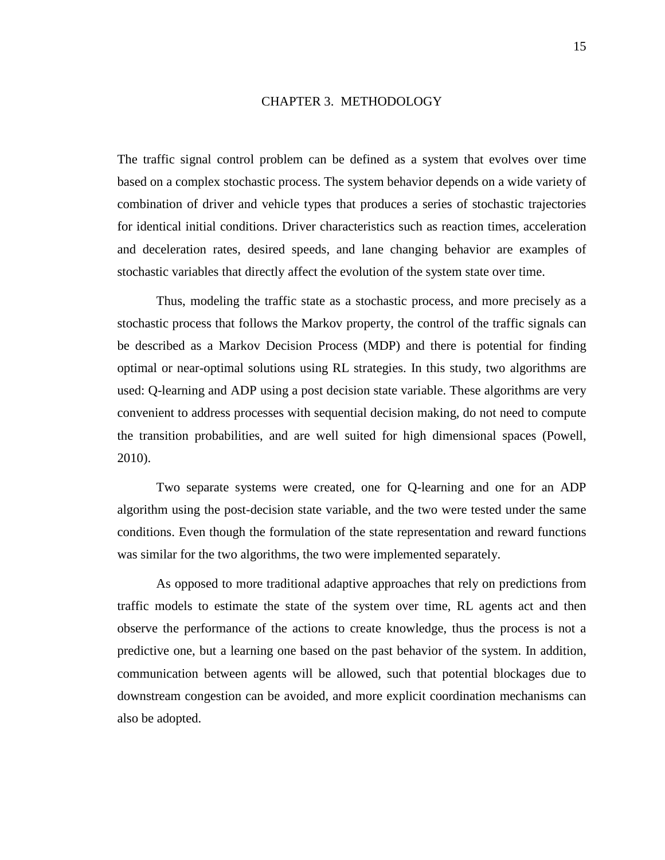### CHAPTER 3. METHODOLOGY

<span id="page-14-0"></span>The traffic signal control problem can be defined as a system that evolves over time based on a complex stochastic process. The system behavior depends on a wide variety of combination of driver and vehicle types that produces a series of stochastic trajectories for identical initial conditions. Driver characteristics such as reaction times, acceleration and deceleration rates, desired speeds, and lane changing behavior are examples of stochastic variables that directly affect the evolution of the system state over time.

Thus, modeling the traffic state as a stochastic process, and more precisely as a stochastic process that follows the Markov property, the control of the traffic signals can be described as a Markov Decision Process (MDP) and there is potential for finding optimal or near-optimal solutions using RL strategies. In this study, two algorithms are used: Q-learning and ADP using a post decision state variable. These algorithms are very convenient to address processes with sequential decision making, do not need to compute the transition probabilities, and are well suited for high dimensional spaces (Powell, 2010).

Two separate systems were created, one for Q-learning and one for an ADP algorithm using the post-decision state variable, and the two were tested under the same conditions. Even though the formulation of the state representation and reward functions was similar for the two algorithms, the two were implemented separately.

As opposed to more traditional adaptive approaches that rely on predictions from traffic models to estimate the state of the system over time, RL agents act and then observe the performance of the actions to create knowledge, thus the process is not a predictive one, but a learning one based on the past behavior of the system. In addition, communication between agents will be allowed, such that potential blockages due to downstream congestion can be avoided, and more explicit coordination mechanisms can also be adopted.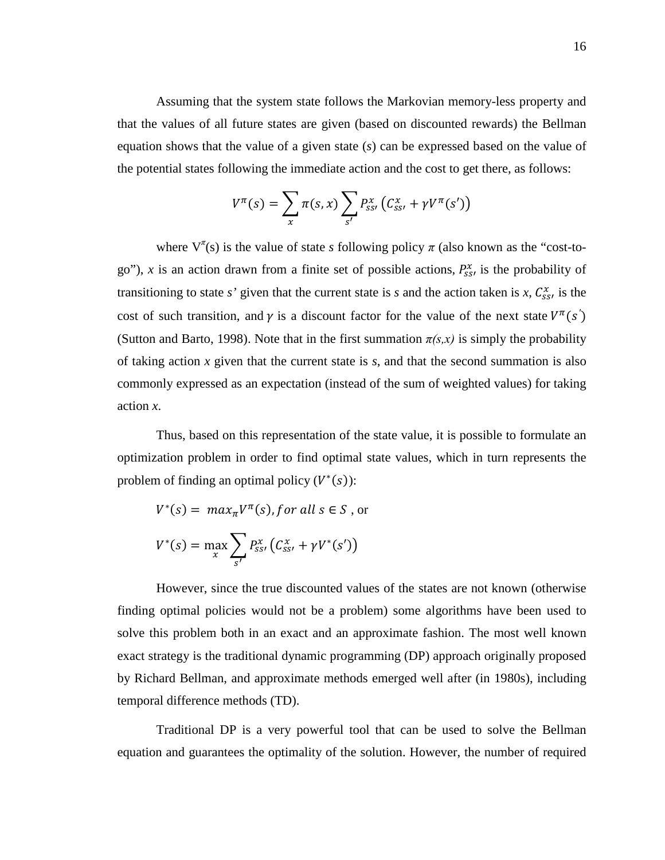Assuming that the system state follows the Markovian memory-less property and that the values of all future states are given (based on discounted rewards) the Bellman equation shows that the value of a given state (*s*) can be expressed based on the value of the potential states following the immediate action and the cost to get there, as follows:

$$
V^{\pi}(s) = \sum_{x} \pi(s,x) \sum_{s'} P_{ss'}^{x} (C_{ss'}^{x} + \gamma V^{\pi}(s'))
$$

where  $V^{\pi}(s)$  is the value of state *s* following policy  $\pi$  (also known as the "cost-togo"), x is an action drawn from a finite set of possible actions,  $P_{ss}^x$  is the probability of transitioning to state *s*' given that the current state is *s* and the action taken is *x*,  $C_{ss}^x$ , is the cost of such transition, and  $\gamma$  is a discount factor for the value of the next state  $V^{\pi}(s)$ (Sutton and Barto, 1998). Note that in the first summation  $\pi(s, x)$  is simply the probability of taking action x given that the current state is  $s$ , and that the second summation is also commonly expressed as an expectation (instead of the sum of weighted values) for taking action *x*.

Thus, based on this representation of the state value, it is possible to formulate an optimization problem in order to find optimal state values, which in turn represents the problem of finding an optimal policy  $(V^*(s))$ :

$$
V^*(s) = \max_{\pi} V^{\pi}(s), \text{ for all } s \in S, \text{ or}
$$
\n
$$
V^*(s) = \max_{x} \sum_{s'} P_{ss'}^x \left( C_{ss'}^x + \gamma V^*(s') \right)
$$

However, since the true discounted values of the states are not known (otherwise finding optimal policies would not be a problem) some algorithms have been used to solve this problem both in an exact and an approximate fashion. The most well known exact strategy is the traditional dynamic programming (DP) approach originally proposed by Richard Bellman, and approximate methods emerged well after (in 1980s), including temporal difference methods (TD).

Traditional DP is a very powerful tool that can be used to solve the Bellman equation and guarantees the optimality of the solution. However, the number of required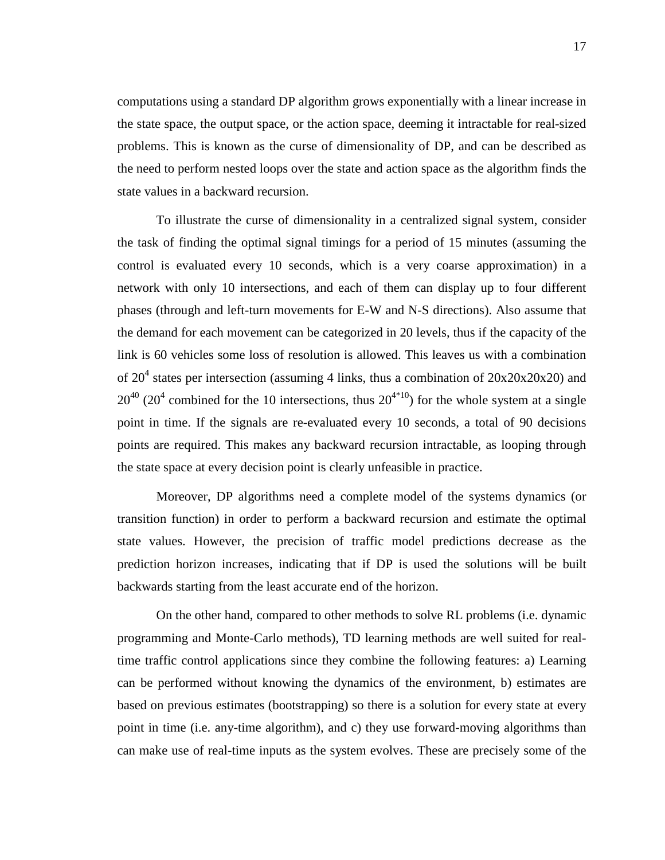computations using a standard DP algorithm grows exponentially with a linear increase in the state space, the output space, or the action space, deeming it intractable for real-sized problems. This is known as the curse of dimensionality of DP, and can be described as the need to perform nested loops over the state and action space as the algorithm finds the state values in a backward recursion.

To illustrate the curse of dimensionality in a centralized signal system, consider the task of finding the optimal signal timings for a period of 15 minutes (assuming the control is evaluated every 10 seconds, which is a very coarse approximation) in a network with only 10 intersections, and each of them can display up to four different phases (through and left-turn movements for E-W and N-S directions). Also assume that the demand for each movement can be categorized in 20 levels, thus if the capacity of the link is 60 vehicles some loss of resolution is allowed. This leaves us with a combination of 20<sup>4</sup> states per intersection (assuming 4 links, thus a combination of  $20x20x20x20$ ) and  $20^{40}$  (20<sup>4</sup> combined for the 10 intersections, thus  $20^{4*10}$ ) for the whole system at a single point in time. If the signals are re-evaluated every 10 seconds, a total of 90 decisions points are required. This makes any backward recursion intractable, as looping through the state space at every decision point is clearly unfeasible in practice.

Moreover, DP algorithms need a complete model of the systems dynamics (or transition function) in order to perform a backward recursion and estimate the optimal state values. However, the precision of traffic model predictions decrease as the prediction horizon increases, indicating that if DP is used the solutions will be built backwards starting from the least accurate end of the horizon.

On the other hand, compared to other methods to solve RL problems (i.e. dynamic programming and Monte-Carlo methods), TD learning methods are well suited for realtime traffic control applications since they combine the following features: a) Learning can be performed without knowing the dynamics of the environment, b) estimates are based on previous estimates (bootstrapping) so there is a solution for every state at every point in time (i.e. any-time algorithm), and c) they use forward-moving algorithms than can make use of real-time inputs as the system evolves. These are precisely some of the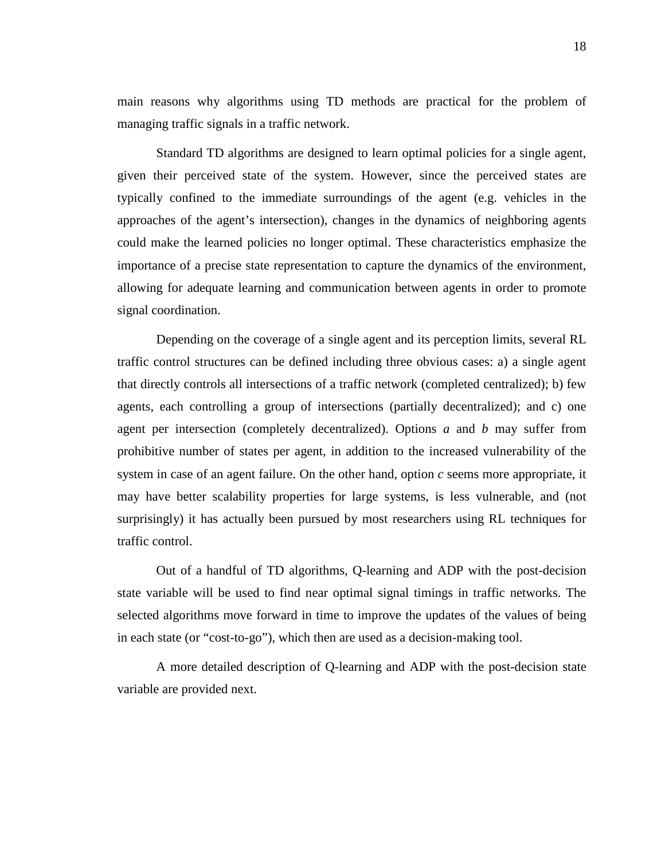main reasons why algorithms using TD methods are practical for the problem of managing traffic signals in a traffic network.

Standard TD algorithms are designed to learn optimal policies for a single agent, given their perceived state of the system. However, since the perceived states are typically confined to the immediate surroundings of the agent (e.g. vehicles in the approaches of the agent's intersection), changes in the dynamics of neighboring agents could make the learned policies no longer optimal. These characteristics emphasize the importance of a precise state representation to capture the dynamics of the environment, allowing for adequate learning and communication between agents in order to promote signal coordination.

Depending on the coverage of a single agent and its perception limits, several RL traffic control structures can be defined including three obvious cases: a) a single agent that directly controls all intersections of a traffic network (completed centralized); b) few agents, each controlling a group of intersections (partially decentralized); and c) one agent per intersection (completely decentralized). Options *a* and *b* may suffer from prohibitive number of states per agent, in addition to the increased vulnerability of the system in case of an agent failure. On the other hand, option *c* seems more appropriate, it may have better scalability properties for large systems, is less vulnerable, and (not surprisingly) it has actually been pursued by most researchers using RL techniques for traffic control.

Out of a handful of TD algorithms, Q-learning and ADP with the post-decision state variable will be used to find near optimal signal timings in traffic networks. The selected algorithms move forward in time to improve the updates of the values of being in each state (or "cost-to-go"), which then are used as a decision-making tool.

A more detailed description of Q-learning and ADP with the post-decision state variable are provided next.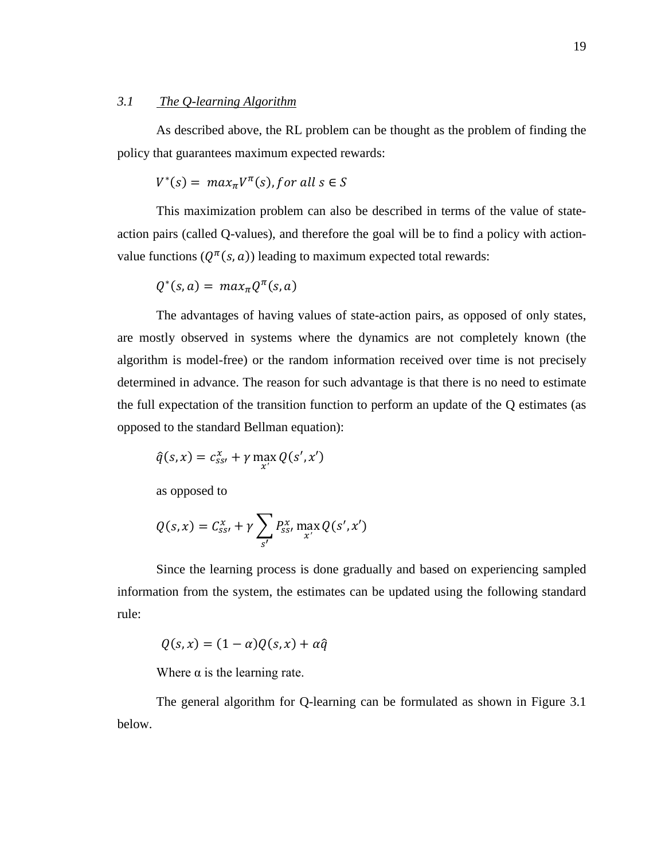## <span id="page-18-0"></span>*3.1 The Q-learning Algorithm*

As described above, the RL problem can be thought as the problem of finding the policy that guarantees maximum expected rewards:

$$
V^*(s) = \max_{\pi} V^{\pi}(s), \text{ for all } s \in S
$$

This maximization problem can also be described in terms of the value of stateaction pairs (called Q-values), and therefore the goal will be to find a policy with actionvalue functions  $(Q^{\pi}(s, a))$  leading to maximum expected total rewards:

$$
Q^*(s,a) = max_{\pi} Q^{\pi}(s,a)
$$

The advantages of having values of state-action pairs, as opposed of only states, are mostly observed in systems where the dynamics are not completely known (the algorithm is model-free) or the random information received over time is not precisely determined in advance. The reason for such advantage is that there is no need to estimate the full expectation of the transition function to perform an update of the Q estimates (as opposed to the standard Bellman equation):

$$
\hat{q}(s,x) = c_{ss'}^x + \gamma \max_{x'} Q(s',x')
$$

as opposed to

$$
Q(s,x) = C_{ss'}^x + \gamma \sum_{s'} P_{ss'}^x \max_{x'} Q(s',x')
$$

Since the learning process is done gradually and based on experiencing sampled information from the system, the estimates can be updated using the following standard rule:

$$
Q(s,x) = (1 - \alpha)Q(s,x) + \alpha \hat{q}
$$

Where  $\alpha$  is the learning rate.

The general algorithm for Q-learning can be formulated as shown in Figure 3.1 below.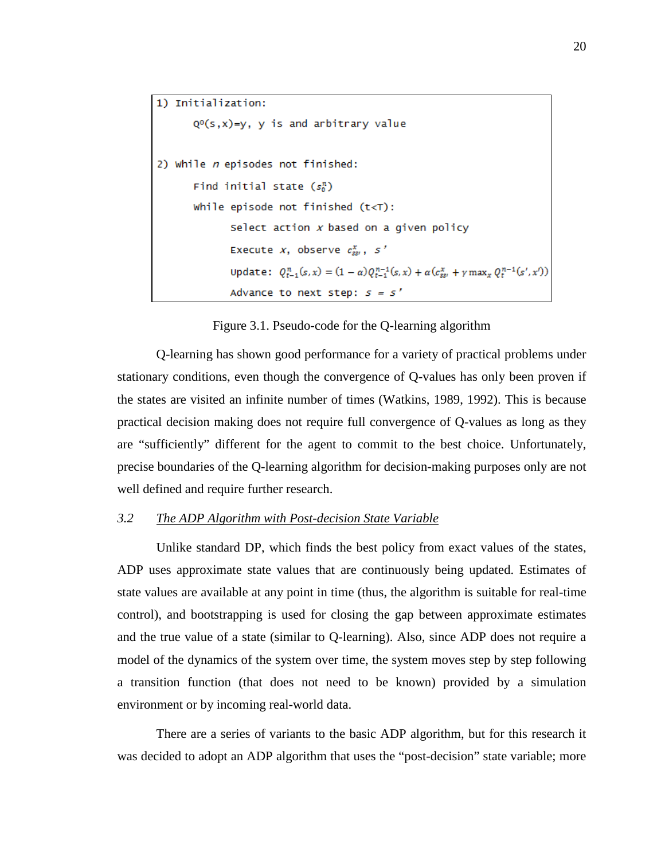```
1) Initialization:
       Q<sup>o</sup>(s,x)=y, y is and arbitrary value
2) While n episodes not finished:
       Find initial state (s_0^n)While episode not finished (t<\top):
              Select action x based on a given policy
              Execute x, observe c_{ss}^x, s'
              Update: Q_{t-1}^n(s, x) = (1 - α)Q_{t-1}^{n-1}(s, x) + α(c_{ss}^x + γ \max_x Q_t^{n-1}(s', x'))Advance to next step: s = s'
```
Figure 3.1. Pseudo-code for the Q-learning algorithm

Q-learning has shown good performance for a variety of practical problems under stationary conditions, even though the convergence of Q-values has only been proven if the states are visited an infinite number of times (Watkins, 1989, 1992). This is because practical decision making does not require full convergence of Q-values as long as they are "sufficiently" different for the agent to commit to the best choice. Unfortunately, precise boundaries of the Q-learning algorithm for decision-making purposes only are not well defined and require further research.

#### <span id="page-19-0"></span>*3.2 The ADP Algorithm with Post-decision State Variable*

Unlike standard DP, which finds the best policy from exact values of the states, ADP uses approximate state values that are continuously being updated. Estimates of state values are available at any point in time (thus, the algorithm is suitable for real-time control), and bootstrapping is used for closing the gap between approximate estimates and the true value of a state (similar to Q-learning). Also, since ADP does not require a model of the dynamics of the system over time, the system moves step by step following a transition function (that does not need to be known) provided by a simulation environment or by incoming real-world data.

There are a series of variants to the basic ADP algorithm, but for this research it was decided to adopt an ADP algorithm that uses the "post-decision" state variable; more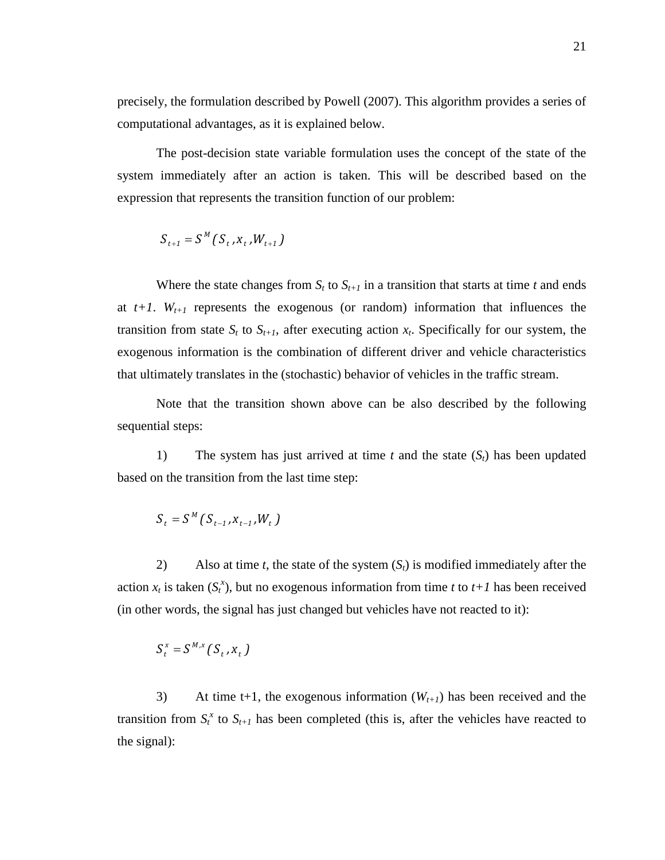precisely, the formulation described by Powell (2007). This algorithm provides a series of computational advantages, as it is explained below.

The post-decision state variable formulation uses the concept of the state of the system immediately after an action is taken. This will be described based on the expression that represents the transition function of our problem:

$$
S_{t+1} = S^M (S_t, x_t, W_{t+1})
$$

Where the state changes from  $S_t$  to  $S_{t+1}$  in a transition that starts at time *t* and ends at  $t+1$ .  $W_{t+1}$  represents the exogenous (or random) information that influences the transition from state  $S_t$  to  $S_{t+1}$ , after executing action  $x_t$ . Specifically for our system, the exogenous information is the combination of different driver and vehicle characteristics that ultimately translates in the (stochastic) behavior of vehicles in the traffic stream.

Note that the transition shown above can be also described by the following sequential steps:

1) The system has just arrived at time *t* and the state (*St*) has been updated based on the transition from the last time step:

$$
S_t = S^M(S_{t-1}, X_{t-1}, W_t)
$$

2) Also at time *t*, the state of the system (*St*) is modified immediately after the action  $x_t$  is taken  $(S_t^x)$ , but no exogenous information from time *t* to  $t+1$  has been received (in other words, the signal has just changed but vehicles have not reacted to it):

$$
S_t^x = S^{M,x} (S_t, x_t)
$$

3) At time t+1, the exogenous information  $(W_{t+1})$  has been received and the transition from  $S_t^x$  to  $S_{t+1}$  has been completed (this is, after the vehicles have reacted to the signal):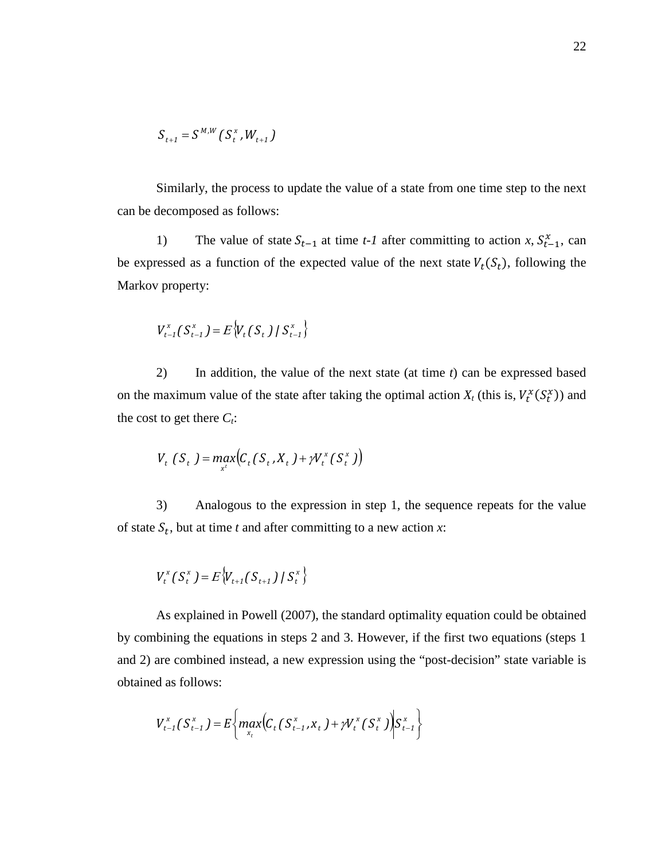$$
S_{t+1} = S^{M,W} (S_t^x, W_{t+1})
$$

Similarly, the process to update the value of a state from one time step to the next can be decomposed as follows:

1) The value of state  $S_{t-1}$  at time *t*-1 after committing to action *x*,  $S_{t-1}^x$ , can be expressed as a function of the expected value of the next state  $V_t(S_t)$ , following the Markov property:

$$
V_{t-1}^{x}(S_{t-1}^{x}) = E\big\{V_{t}(S_{t}) | S_{t-1}^{x}\big\}
$$

2) In addition, the value of the next state (at time *t*) can be expressed based on the maximum value of the state after taking the optimal action  $X_t$  (this is,  $V_t^X(S_t^X)$ ) and the cost to get there  $C_i$ :

$$
V_{t}(S_{t}) = \max_{x^{t}} \bigl(C_{t}(S_{t}, X_{t}) + \gamma V_{t}^{x}(S_{t}^{x})\bigr)
$$

3) Analogous to the expression in step 1, the sequence repeats for the value of state  $S_t$ , but at time *t* and after committing to a new action *x*:

$$
V_t^x(S_t^x) = E\big\{V_{t+1}(S_{t+1}) \mid S_t^x\big\}
$$

As explained in Powell (2007), the standard optimality equation could be obtained by combining the equations in steps 2 and 3. However, if the first two equations (steps 1 and 2) are combined instead, a new expression using the "post-decision" state variable is obtained as follows:

$$
V_{t-1}^{x}(S_{t-1}^{x}) = E\bigg\{ \max_{x_t} \bigg(C_t(S_{t-1}^{x}, x_t) + \mathcal{W}_t^{x}(S_t^{x})\bigg) S_{t-1}^{x}\bigg\}
$$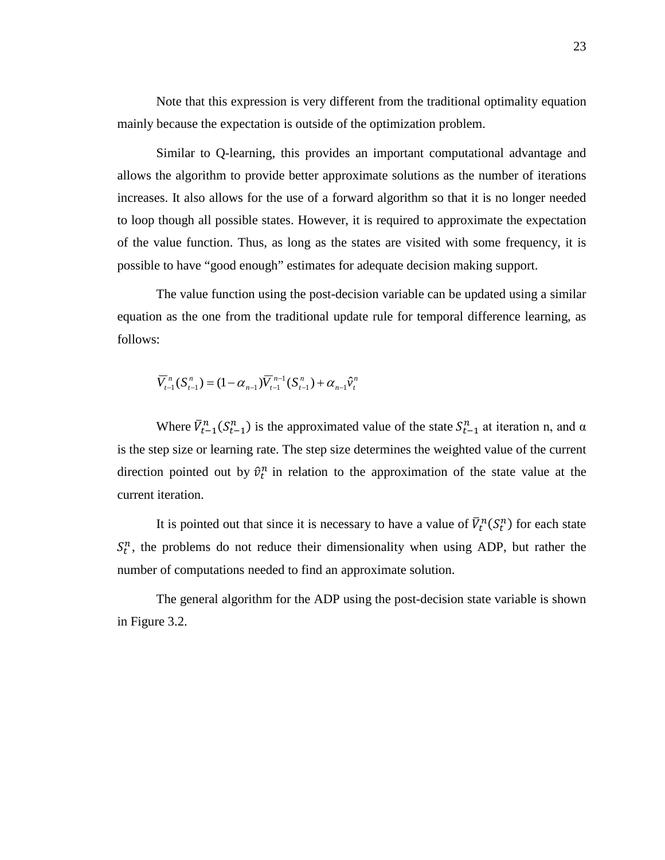Note that this expression is very different from the traditional optimality equation mainly because the expectation is outside of the optimization problem.

Similar to Q-learning, this provides an important computational advantage and allows the algorithm to provide better approximate solutions as the number of iterations increases. It also allows for the use of a forward algorithm so that it is no longer needed to loop though all possible states. However, it is required to approximate the expectation of the value function. Thus, as long as the states are visited with some frequency, it is possible to have "good enough" estimates for adequate decision making support.

The value function using the post-decision variable can be updated using a similar equation as the one from the traditional update rule for temporal difference learning, as follows:

$$
\overline{V}_{t-1}^{n}(S_{t-1}^{n}) = (1 - \alpha_{n-1})\overline{V}_{t-1}^{n-1}(S_{t-1}^{n}) + \alpha_{n-1}\hat{v}_{t}^{n}
$$

Where  $\bar{V}_{t-1}^n(S_{t-1}^n)$  is the approximated value of the state  $S_{t-1}^n$  at iteration n, and  $\alpha$ is the step size or learning rate. The step size determines the weighted value of the current direction pointed out by  $\hat{v}_t^n$  in relation to the approximation of the state value at the current iteration.

It is pointed out that since it is necessary to have a value of  $\bar{V}_t^n(S_t^n)$  for each state  $S_t^n$ , the problems do not reduce their dimensionality when using ADP, but rather the number of computations needed to find an approximate solution.

The general algorithm for the ADP using the post-decision state variable is shown in Figure 3.2.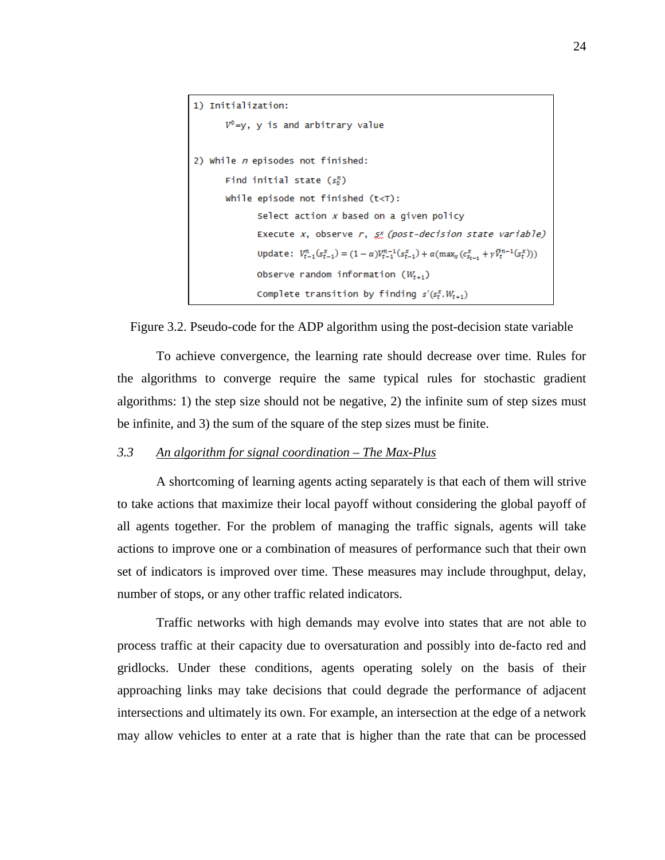```
1) Initialization:
       V^0 = y, y is and arbitrary value
2) While n episodes not finished:
       Find initial state (s_0^n)While episode not finished (t< T):
               Select action x based on a given policy
               Execute x, observe r, \xi x (post-decision state variable)
               update: V_{t-1}^n(s_{t-1}^x) = (1-\alpha)V_{t-1}^{n-1}(s_{t-1}^x) + \alpha(\max_x(c_{s_{t-1}}^x + \gamma \overline{V}_t^{n-1}(s_t^x)))Observe random information (W_{t+1})Complete transition by finding s'(s_t^x, W_{t+1})
```
Figure 3.2. Pseudo-code for the ADP algorithm using the post-decision state variable

To achieve convergence, the learning rate should decrease over time. Rules for the algorithms to converge require the same typical rules for stochastic gradient algorithms: 1) the step size should not be negative, 2) the infinite sum of step sizes must be infinite, and 3) the sum of the square of the step sizes must be finite.

## <span id="page-23-0"></span>*3.3 An algorithm for signal coordination – The Max-Plus*

A shortcoming of learning agents acting separately is that each of them will strive to take actions that maximize their local payoff without considering the global payoff of all agents together. For the problem of managing the traffic signals, agents will take actions to improve one or a combination of measures of performance such that their own set of indicators is improved over time. These measures may include throughput, delay, number of stops, or any other traffic related indicators.

Traffic networks with high demands may evolve into states that are not able to process traffic at their capacity due to oversaturation and possibly into de-facto red and gridlocks. Under these conditions, agents operating solely on the basis of their approaching links may take decisions that could degrade the performance of adjacent intersections and ultimately its own. For example, an intersection at the edge of a network may allow vehicles to enter at a rate that is higher than the rate that can be processed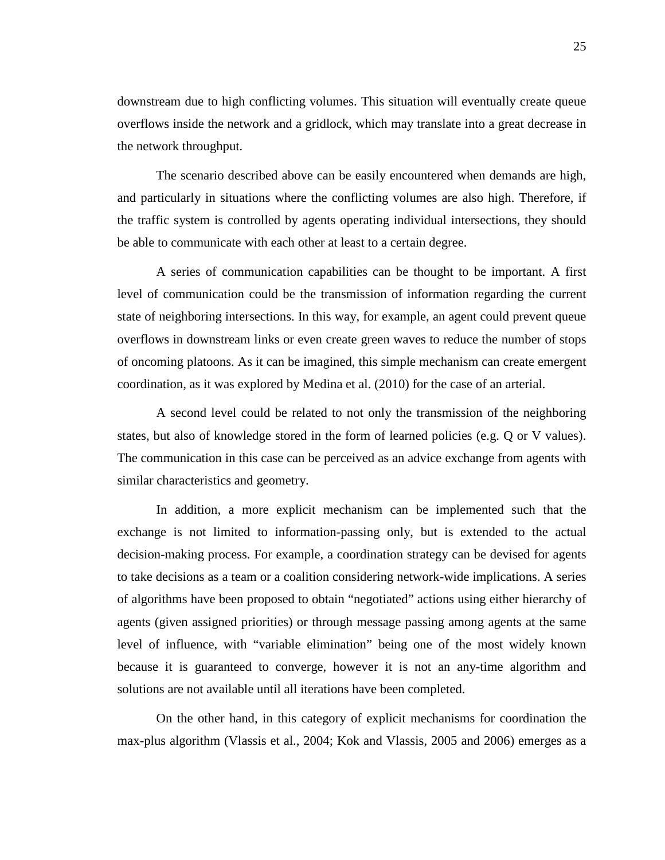downstream due to high conflicting volumes. This situation will eventually create queue overflows inside the network and a gridlock, which may translate into a great decrease in the network throughput.

The scenario described above can be easily encountered when demands are high, and particularly in situations where the conflicting volumes are also high. Therefore, if the traffic system is controlled by agents operating individual intersections, they should be able to communicate with each other at least to a certain degree.

A series of communication capabilities can be thought to be important. A first level of communication could be the transmission of information regarding the current state of neighboring intersections. In this way, for example, an agent could prevent queue overflows in downstream links or even create green waves to reduce the number of stops of oncoming platoons. As it can be imagined, this simple mechanism can create emergent coordination, as it was explored by Medina et al. (2010) for the case of an arterial.

A second level could be related to not only the transmission of the neighboring states, but also of knowledge stored in the form of learned policies (e.g. Q or V values). The communication in this case can be perceived as an advice exchange from agents with similar characteristics and geometry.

In addition, a more explicit mechanism can be implemented such that the exchange is not limited to information-passing only, but is extended to the actual decision-making process. For example, a coordination strategy can be devised for agents to take decisions as a team or a coalition considering network-wide implications. A series of algorithms have been proposed to obtain "negotiated" actions using either hierarchy of agents (given assigned priorities) or through message passing among agents at the same level of influence, with "variable elimination" being one of the most widely known because it is guaranteed to converge, however it is not an any-time algorithm and solutions are not available until all iterations have been completed.

On the other hand, in this category of explicit mechanisms for coordination the max-plus algorithm (Vlassis et al., 2004; Kok and Vlassis, 2005 and 2006) emerges as a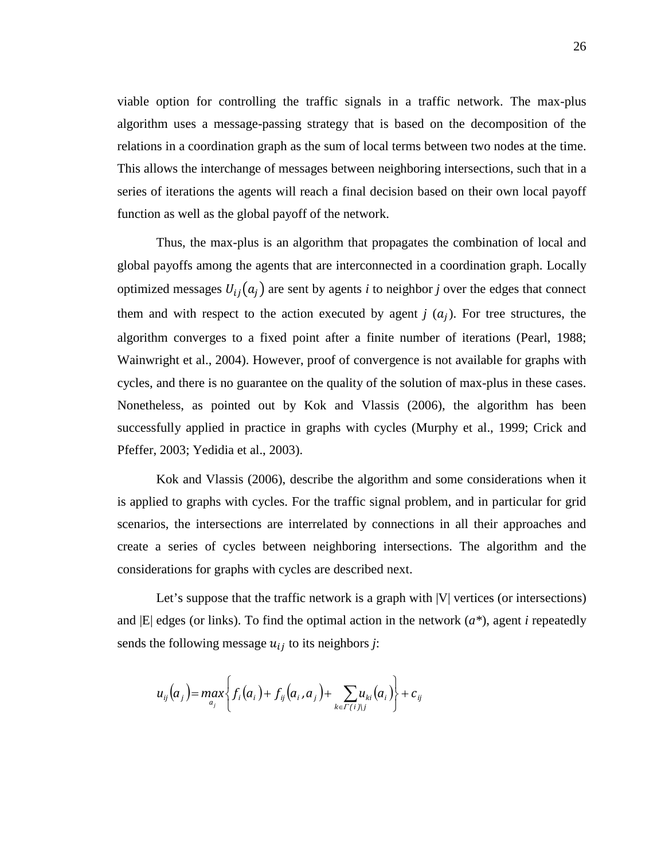viable option for controlling the traffic signals in a traffic network. The max-plus algorithm uses a message-passing strategy that is based on the decomposition of the relations in a coordination graph as the sum of local terms between two nodes at the time. This allows the interchange of messages between neighboring intersections, such that in a series of iterations the agents will reach a final decision based on their own local payoff function as well as the global payoff of the network.

Thus, the max-plus is an algorithm that propagates the combination of local and global payoffs among the agents that are interconnected in a coordination graph. Locally optimized messages  $U_{ij}(a_i)$  are sent by agents *i* to neighbor *j* over the edges that connect them and with respect to the action executed by agent  $j(a_i)$ . For tree structures, the algorithm converges to a fixed point after a finite number of iterations (Pearl, 1988; Wainwright et al., 2004). However, proof of convergence is not available for graphs with cycles, and there is no guarantee on the quality of the solution of max-plus in these cases. Nonetheless, as pointed out by Kok and Vlassis (2006), the algorithm has been successfully applied in practice in graphs with cycles (Murphy et al., 1999; Crick and Pfeffer, 2003; Yedidia et al., 2003).

Kok and Vlassis (2006), describe the algorithm and some considerations when it is applied to graphs with cycles. For the traffic signal problem, and in particular for grid scenarios, the intersections are interrelated by connections in all their approaches and create a series of cycles between neighboring intersections. The algorithm and the considerations for graphs with cycles are described next.

Let's suppose that the traffic network is a graph with  $|V|$  vertices (or intersections) and  $|E|$  edges (or links). To find the optimal action in the network  $(a^*)$ , agent *i* repeatedly sends the following message  $u_{ij}$  to its neighbors *j*:

$$
u_{ij}(a_j) = \max_{a_j} \left\{ f_i(a_i) + f_{ij}(a_i, a_j) + \sum_{k \in \Gamma(i) \setminus j} u_{ki}(a_i) \right\} + c_{ij}
$$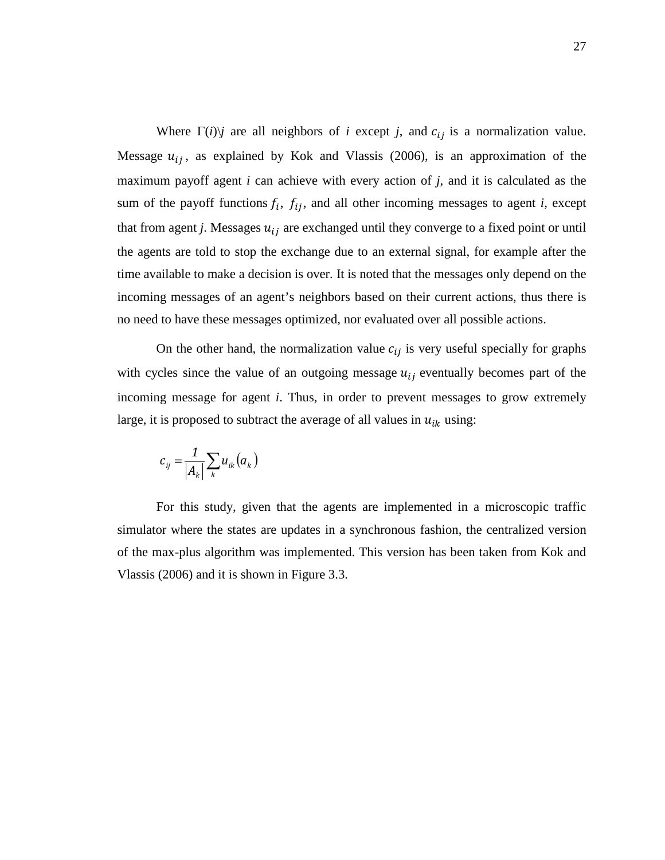Where  $\Gamma(i)$ <sup>*j*</sup> are all neighbors of *i* except *j*, and  $c_{ij}$  is a normalization value. Message  $u_{ij}$ , as explained by Kok and Vlassis (2006), is an approximation of the maximum payoff agent *i* can achieve with every action of *j*, and it is calculated as the sum of the payoff functions  $f_i$ ,  $f_{ij}$ , and all other incoming messages to agent *i*, except that from agent *j*. Messages  $u_{ij}$  are exchanged until they converge to a fixed point or until the agents are told to stop the exchange due to an external signal, for example after the time available to make a decision is over. It is noted that the messages only depend on the incoming messages of an agent's neighbors based on their current actions, thus there is no need to have these messages optimized, nor evaluated over all possible actions.

On the other hand, the normalization value  $c_{ij}$  is very useful specially for graphs with cycles since the value of an outgoing message  $u_{ij}$  eventually becomes part of the incoming message for agent *i*. Thus, in order to prevent messages to grow extremely large, it is proposed to subtract the average of all values in  $u_{ik}$  using:

$$
c_{ij} = \frac{1}{|A_k|} \sum_k u_{ik}(a_k)
$$

For this study, given that the agents are implemented in a microscopic traffic simulator where the states are updates in a synchronous fashion, the centralized version of the max-plus algorithm was implemented. This version has been taken from Kok and Vlassis (2006) and it is shown in Figure 3.3.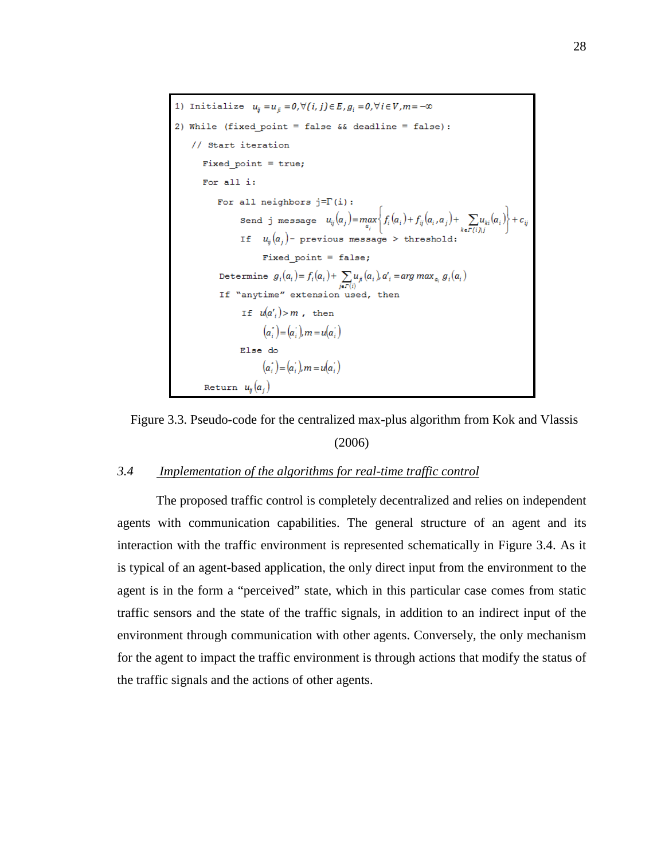```
1) Initialize u_{ij} = u_{ji} = 0, \forall (i, j) \in E, g_i = 0, \forall i \in V, m = -\infty2) While (fixed point = false && deadline = false):
     // Start iteration
         Fixed point = true;For all i:
               For all neighbors j = \Gamma(i):
                      Send j message u_{ij}(a_j) = \max_{a_i} \left\{ f_i(a_i) + f_{ij}(a_i, a_j) + \sum_{k \in \Gamma(i), j} u_{ki}(a_i) \right\} + c_{ij}<br>If u_{ij}(a_j)- previous message > threshold:
                               Fixed point = false;Determine g_i(a_i) = f_i(a_i) + \sum_{j \in \Gamma(i)} u_{ji}(a_i), a'_i = \arg \max_{a_i} g_i(a_i)<br>If "anytime" extension used, then
                        If u(a') > m, then
                               (a_i^{\dagger}) = (a_i^{\dagger}), m = u(a_i^{\dagger})Else do
                               (a_i^{\dagger}) = (a_i^{\dagger}), m = u(a_i^{\dagger})Return u_{ij}(a_j)
```


### <span id="page-27-0"></span>*3.4 Implementation of the algorithms for real-time traffic control*

The proposed traffic control is completely decentralized and relies on independent agents with communication capabilities. The general structure of an agent and its interaction with the traffic environment is represented schematically in Figure 3.4. As it is typical of an agent-based application, the only direct input from the environment to the agent is in the form a "perceived" state, which in this particular case comes from static traffic sensors and the state of the traffic signals, in addition to an indirect input of the environment through communication with other agents. Conversely, the only mechanism for the agent to impact the traffic environment is through actions that modify the status of the traffic signals and the actions of other agents.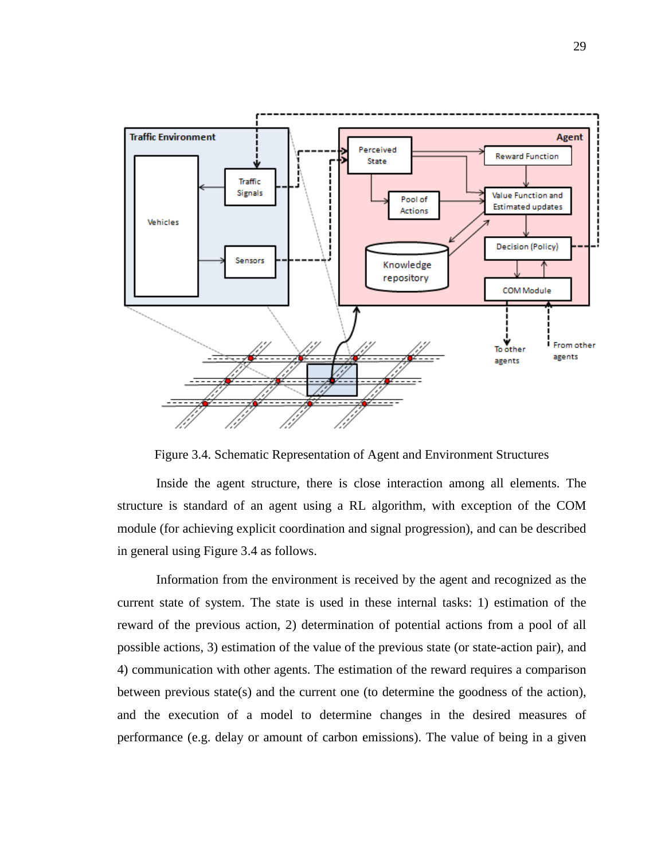

Figure 3.4. Schematic Representation of Agent and Environment Structures

Inside the agent structure, there is close interaction among all elements. The structure is standard of an agent using a RL algorithm, with exception of the COM module (for achieving explicit coordination and signal progression), and can be described in general using Figure 3.4 as follows.

Information from the environment is received by the agent and recognized as the current state of system. The state is used in these internal tasks: 1) estimation of the reward of the previous action, 2) determination of potential actions from a pool of all possible actions, 3) estimation of the value of the previous state (or state-action pair), and 4) communication with other agents. The estimation of the reward requires a comparison between previous state(s) and the current one (to determine the goodness of the action), and the execution of a model to determine changes in the desired measures of performance (e.g. delay or amount of carbon emissions). The value of being in a given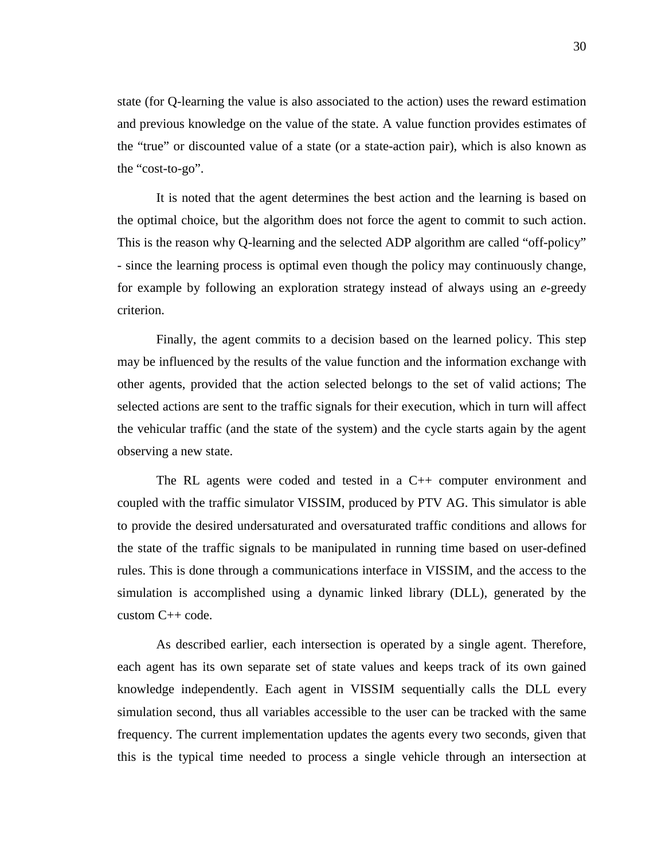state (for Q-learning the value is also associated to the action) uses the reward estimation and previous knowledge on the value of the state. A value function provides estimates of the "true" or discounted value of a state (or a state-action pair), which is also known as the "cost-to-go".

It is noted that the agent determines the best action and the learning is based on the optimal choice, but the algorithm does not force the agent to commit to such action. This is the reason why Q-learning and the selected ADP algorithm are called "off-policy" - since the learning process is optimal even though the policy may continuously change, for example by following an exploration strategy instead of always using an *e*-greedy criterion.

Finally, the agent commits to a decision based on the learned policy. This step may be influenced by the results of the value function and the information exchange with other agents, provided that the action selected belongs to the set of valid actions; The selected actions are sent to the traffic signals for their execution, which in turn will affect the vehicular traffic (and the state of the system) and the cycle starts again by the agent observing a new state.

The RL agents were coded and tested in a C++ computer environment and coupled with the traffic simulator VISSIM, produced by PTV AG. This simulator is able to provide the desired undersaturated and oversaturated traffic conditions and allows for the state of the traffic signals to be manipulated in running time based on user-defined rules. This is done through a communications interface in VISSIM, and the access to the simulation is accomplished using a dynamic linked library (DLL), generated by the custom C++ code.

As described earlier, each intersection is operated by a single agent. Therefore, each agent has its own separate set of state values and keeps track of its own gained knowledge independently. Each agent in VISSIM sequentially calls the DLL every simulation second, thus all variables accessible to the user can be tracked with the same frequency. The current implementation updates the agents every two seconds, given that this is the typical time needed to process a single vehicle through an intersection at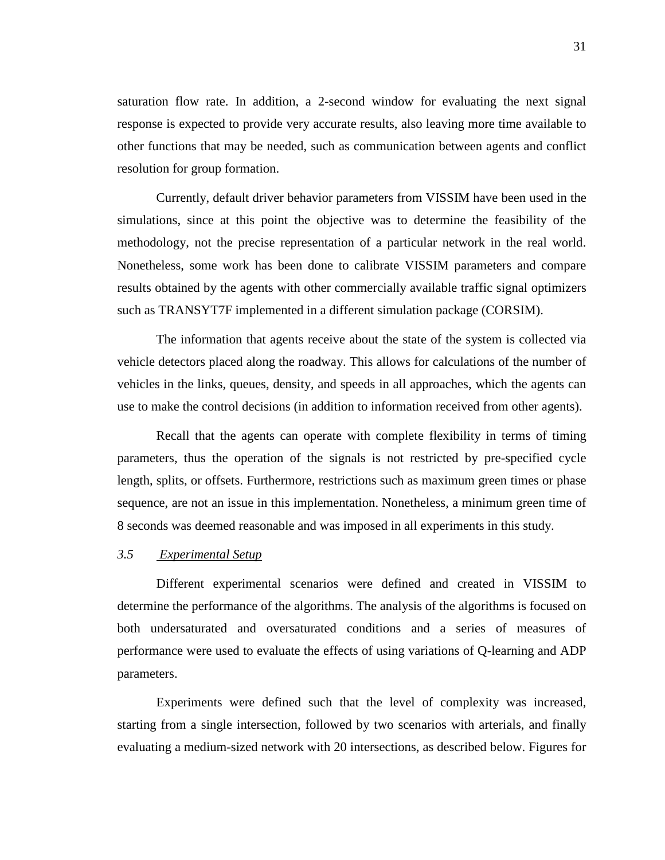saturation flow rate. In addition, a 2-second window for evaluating the next signal response is expected to provide very accurate results, also leaving more time available to other functions that may be needed, such as communication between agents and conflict resolution for group formation.

Currently, default driver behavior parameters from VISSIM have been used in the simulations, since at this point the objective was to determine the feasibility of the methodology, not the precise representation of a particular network in the real world. Nonetheless, some work has been done to calibrate VISSIM parameters and compare results obtained by the agents with other commercially available traffic signal optimizers such as TRANSYT7F implemented in a different simulation package (CORSIM).

The information that agents receive about the state of the system is collected via vehicle detectors placed along the roadway. This allows for calculations of the number of vehicles in the links, queues, density, and speeds in all approaches, which the agents can use to make the control decisions (in addition to information received from other agents).

Recall that the agents can operate with complete flexibility in terms of timing parameters, thus the operation of the signals is not restricted by pre-specified cycle length, splits, or offsets. Furthermore, restrictions such as maximum green times or phase sequence, are not an issue in this implementation. Nonetheless, a minimum green time of 8 seconds was deemed reasonable and was imposed in all experiments in this study.

## <span id="page-30-0"></span>*3.5 Experimental Setup*

Different experimental scenarios were defined and created in VISSIM to determine the performance of the algorithms. The analysis of the algorithms is focused on both undersaturated and oversaturated conditions and a series of measures of performance were used to evaluate the effects of using variations of Q-learning and ADP parameters.

Experiments were defined such that the level of complexity was increased, starting from a single intersection, followed by two scenarios with arterials, and finally evaluating a medium-sized network with 20 intersections, as described below. Figures for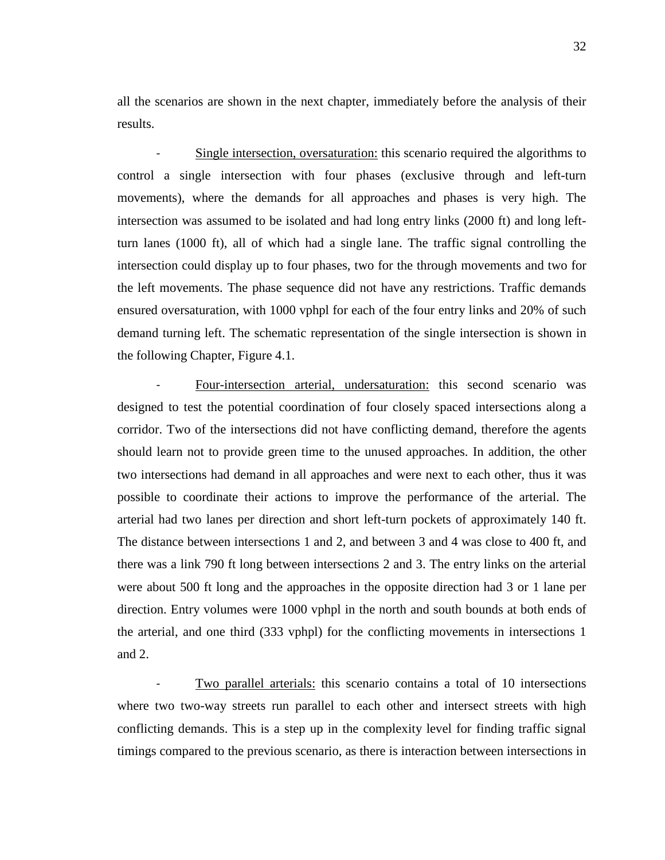all the scenarios are shown in the next chapter, immediately before the analysis of their results.

Single intersection, oversaturation: this scenario required the algorithms to control a single intersection with four phases (exclusive through and left-turn movements), where the demands for all approaches and phases is very high. The intersection was assumed to be isolated and had long entry links (2000 ft) and long leftturn lanes (1000 ft), all of which had a single lane. The traffic signal controlling the intersection could display up to four phases, two for the through movements and two for the left movements. The phase sequence did not have any restrictions. Traffic demands ensured oversaturation, with 1000 vphpl for each of the four entry links and 20% of such demand turning left. The schematic representation of the single intersection is shown in the following Chapter, Figure 4.1.

Four-intersection arterial, undersaturation: this second scenario was designed to test the potential coordination of four closely spaced intersections along a corridor. Two of the intersections did not have conflicting demand, therefore the agents should learn not to provide green time to the unused approaches. In addition, the other two intersections had demand in all approaches and were next to each other, thus it was possible to coordinate their actions to improve the performance of the arterial. The arterial had two lanes per direction and short left-turn pockets of approximately 140 ft. The distance between intersections 1 and 2, and between 3 and 4 was close to 400 ft, and there was a link 790 ft long between intersections 2 and 3. The entry links on the arterial were about 500 ft long and the approaches in the opposite direction had 3 or 1 lane per direction. Entry volumes were 1000 vphpl in the north and south bounds at both ends of the arterial, and one third (333 vphpl) for the conflicting movements in intersections 1 and 2.

Two parallel arterials: this scenario contains a total of 10 intersections where two two-way streets run parallel to each other and intersect streets with high conflicting demands. This is a step up in the complexity level for finding traffic signal timings compared to the previous scenario, as there is interaction between intersections in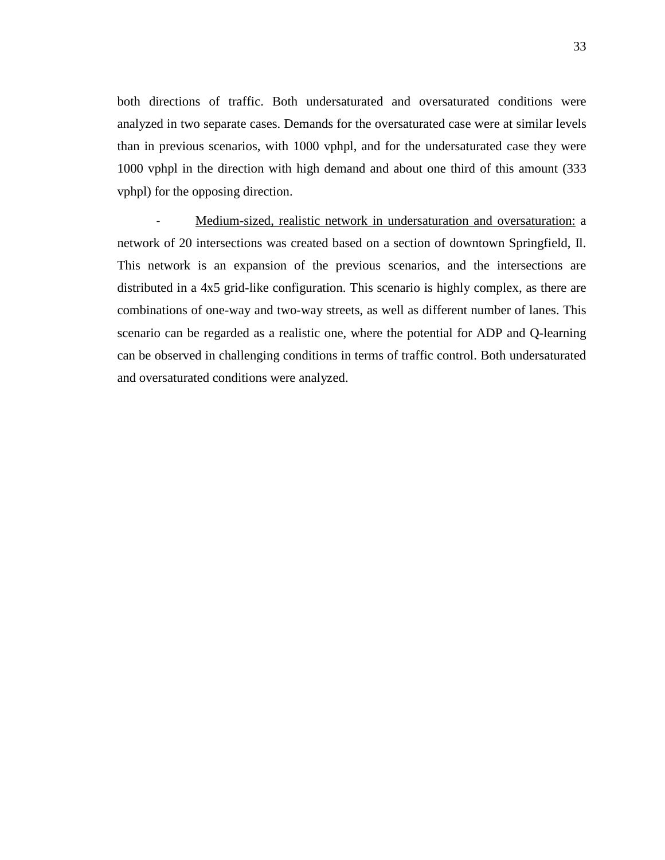both directions of traffic. Both undersaturated and oversaturated conditions were analyzed in two separate cases. Demands for the oversaturated case were at similar levels than in previous scenarios, with 1000 vphpl, and for the undersaturated case they were 1000 vphpl in the direction with high demand and about one third of this amount (333 vphpl) for the opposing direction.

Medium-sized, realistic network in undersaturation and oversaturation: a network of 20 intersections was created based on a section of downtown Springfield, Il. This network is an expansion of the previous scenarios, and the intersections are distributed in a 4x5 grid-like configuration. This scenario is highly complex, as there are combinations of one-way and two-way streets, as well as different number of lanes. This scenario can be regarded as a realistic one, where the potential for ADP and Q-learning can be observed in challenging conditions in terms of traffic control. Both undersaturated and oversaturated conditions were analyzed.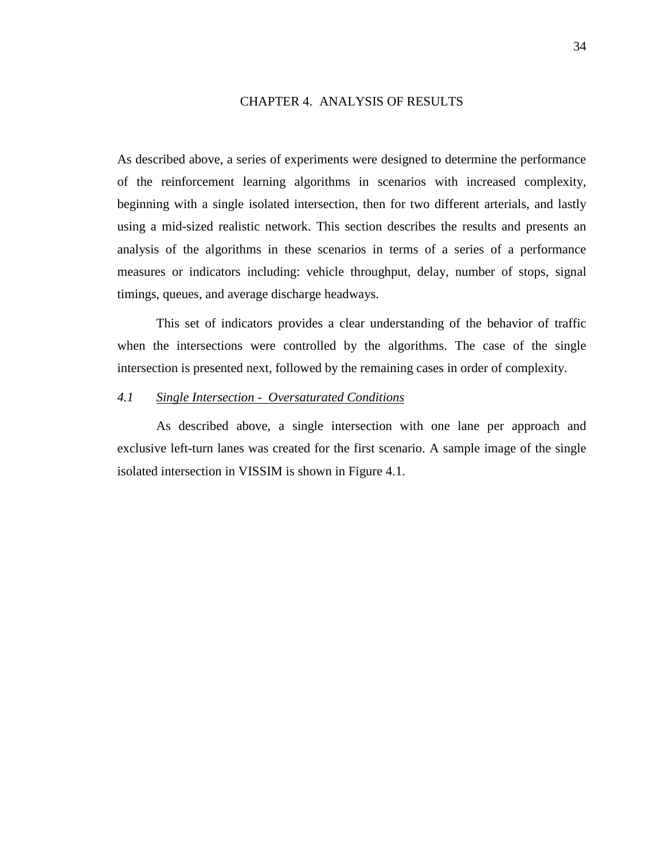## CHAPTER 4. ANALYSIS OF RESULTS

<span id="page-33-0"></span>As described above, a series of experiments were designed to determine the performance of the reinforcement learning algorithms in scenarios with increased complexity, beginning with a single isolated intersection, then for two different arterials, and lastly using a mid-sized realistic network. This section describes the results and presents an analysis of the algorithms in these scenarios in terms of a series of a performance measures or indicators including: vehicle throughput, delay, number of stops, signal timings, queues, and average discharge headways.

This set of indicators provides a clear understanding of the behavior of traffic when the intersections were controlled by the algorithms. The case of the single intersection is presented next, followed by the remaining cases in order of complexity.

## <span id="page-33-1"></span>*4.1 Single Intersection - Oversaturated Conditions*

As described above, a single intersection with one lane per approach and exclusive left-turn lanes was created for the first scenario. A sample image of the single isolated intersection in VISSIM is shown in Figure 4.1.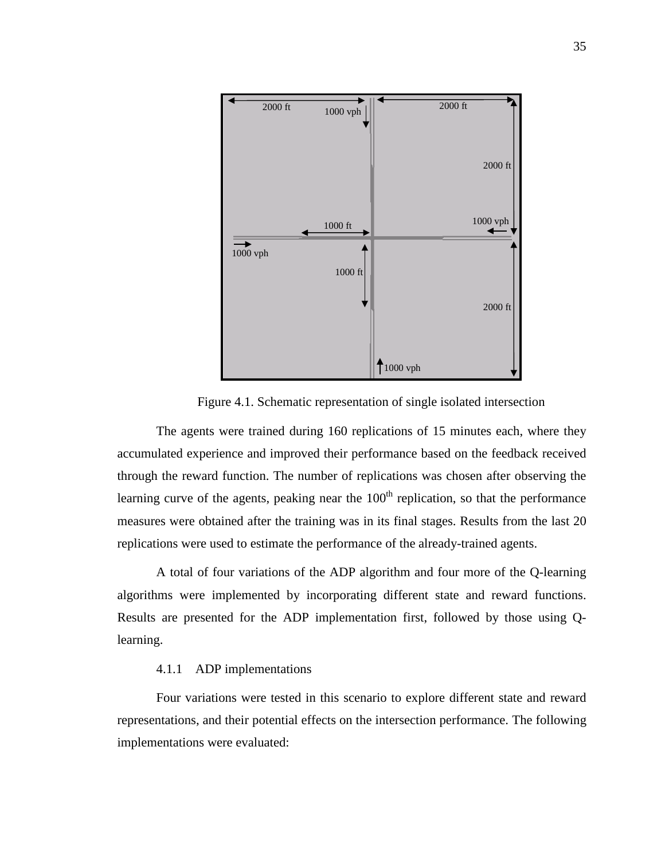

Figure 4.1. Schematic representation of single isolated intersection

The agents were trained during 160 replications of 15 minutes each, where they accumulated experience and improved their performance based on the feedback received through the reward function. The number of replications was chosen after observing the learning curve of the agents, peaking near the  $100<sup>th</sup>$  replication, so that the performance measures were obtained after the training was in its final stages. Results from the last 20 replications were used to estimate the performance of the already-trained agents.

A total of four variations of the ADP algorithm and four more of the Q-learning algorithms were implemented by incorporating different state and reward functions. Results are presented for the ADP implementation first, followed by those using Qlearning.

## 4.1.1 ADP implementations

<span id="page-34-0"></span>Four variations were tested in this scenario to explore different state and reward representations, and their potential effects on the intersection performance. The following implementations were evaluated: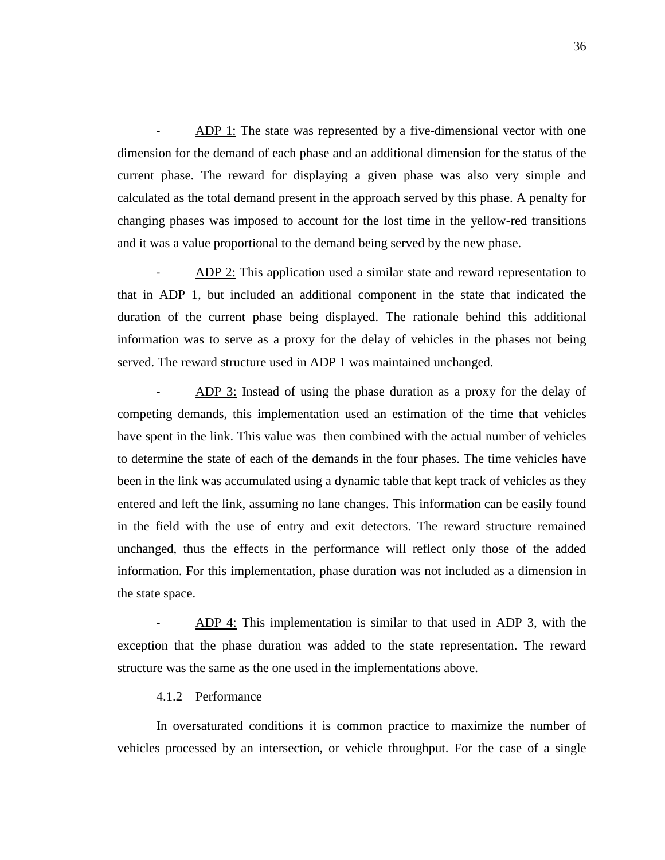ADP 1: The state was represented by a five-dimensional vector with one dimension for the demand of each phase and an additional dimension for the status of the current phase. The reward for displaying a given phase was also very simple and calculated as the total demand present in the approach served by this phase. A penalty for changing phases was imposed to account for the lost time in the yellow-red transitions and it was a value proportional to the demand being served by the new phase.

ADP 2: This application used a similar state and reward representation to that in ADP 1, but included an additional component in the state that indicated the duration of the current phase being displayed. The rationale behind this additional information was to serve as a proxy for the delay of vehicles in the phases not being served. The reward structure used in ADP 1 was maintained unchanged.

ADP 3: Instead of using the phase duration as a proxy for the delay of competing demands, this implementation used an estimation of the time that vehicles have spent in the link. This value was then combined with the actual number of vehicles to determine the state of each of the demands in the four phases. The time vehicles have been in the link was accumulated using a dynamic table that kept track of vehicles as they entered and left the link, assuming no lane changes. This information can be easily found in the field with the use of entry and exit detectors. The reward structure remained unchanged, thus the effects in the performance will reflect only those of the added information. For this implementation, phase duration was not included as a dimension in the state space.

ADP 4: This implementation is similar to that used in ADP 3, with the exception that the phase duration was added to the state representation. The reward structure was the same as the one used in the implementations above.

#### 4.1.2 Performance

<span id="page-35-0"></span>In oversaturated conditions it is common practice to maximize the number of vehicles processed by an intersection, or vehicle throughput. For the case of a single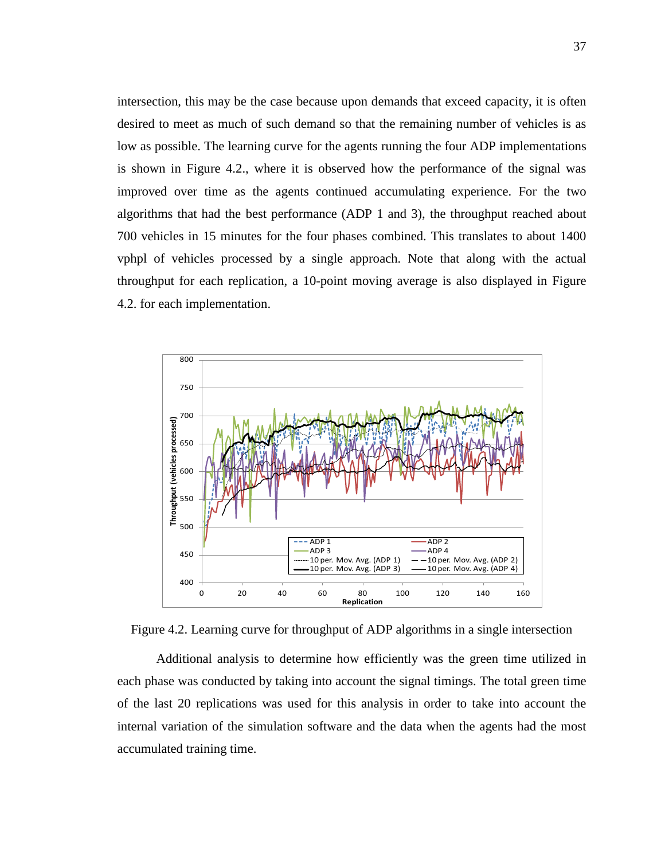intersection, this may be the case because upon demands that exceed capacity, it is often desired to meet as much of such demand so that the remaining number of vehicles is as low as possible. The learning curve for the agents running the four ADP implementations is shown in Figure 4.2., where it is observed how the performance of the signal was improved over time as the agents continued accumulating experience. For the two algorithms that had the best performance (ADP 1 and 3), the throughput reached about 700 vehicles in 15 minutes for the four phases combined. This translates to about 1400 vphpl of vehicles processed by a single approach. Note that along with the actual throughput for each replication, a 10-point moving average is also displayed in Figure 4.2. for each implementation.



Figure 4.2. Learning curve for throughput of ADP algorithms in a single intersection

Additional analysis to determine how efficiently was the green time utilized in each phase was conducted by taking into account the signal timings. The total green time of the last 20 replications was used for this analysis in order to take into account the internal variation of the simulation software and the data when the agents had the most accumulated training time.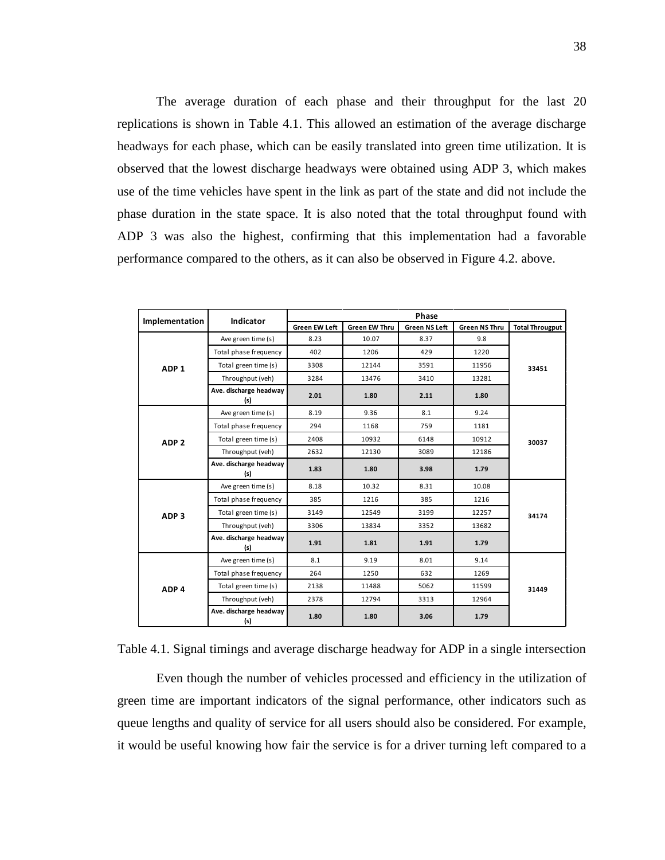The average duration of each phase and their throughput for the last 20 replications is shown in Table 4.1. This allowed an estimation of the average discharge headways for each phase, which can be easily translated into green time utilization. It is observed that the lowest discharge headways were obtained using ADP 3, which makes use of the time vehicles have spent in the link as part of the state and did not include the phase duration in the state space. It is also noted that the total throughput found with ADP 3 was also the highest, confirming that this implementation had a favorable performance compared to the others, as it can also be observed in Figure 4.2. above.

| Implementation   | Indicator                     |                      |                      | Phase                |                      |                        |  |
|------------------|-------------------------------|----------------------|----------------------|----------------------|----------------------|------------------------|--|
|                  |                               | <b>Green EW Left</b> | <b>Green EW Thru</b> | <b>Green NS Left</b> | <b>Green NS Thru</b> | <b>Total Througput</b> |  |
|                  | Ave green time (s)            | 8.23                 | 10.07                | 8.37                 | 9.8                  |                        |  |
| ADP <sub>1</sub> | Total phase frequency         | 402                  | 1206                 | 429                  | 1220                 | 33451                  |  |
|                  | Total green time (s)          | 3308                 | 12144                | 3591                 | 11956                |                        |  |
|                  | Throughput (veh)              | 3284                 | 13476                | 3410                 | 13281                |                        |  |
|                  | Ave. discharge headway<br>(s) | 2.01                 | 1.80                 | 2.11                 | 1.80                 |                        |  |
|                  | Ave green time (s)            | 8.19                 | 9.36                 | 8.1                  | 9.24                 |                        |  |
|                  | Total phase frequency         | 294                  | 1168                 | 759                  | 1181                 |                        |  |
| ADP <sub>2</sub> | Total green time (s)          | 2408                 | 10932                | 6148                 | 10912                | 30037                  |  |
|                  | Throughput (veh)              | 2632                 | 12130                | 3089                 | 12186                |                        |  |
|                  | Ave. discharge headway<br>(s) | 1.83                 | 1.80                 | 3.98                 | 1.79                 |                        |  |
|                  | Ave green time (s)            | 8.18                 | 10.32                | 8.31                 | 10.08                |                        |  |
|                  | Total phase frequency         | 385                  | 1216                 | 385                  | 1216                 | 34174                  |  |
| ADP <sub>3</sub> | Total green time (s)          | 3149                 | 12549                | 3199                 | 12257                |                        |  |
|                  | Throughput (veh)              | 3306                 | 13834                | 3352                 | 13682                |                        |  |
|                  | Ave. discharge headway<br>(s) | 1.91                 | 1.81                 | 1.91                 | 1.79                 |                        |  |
|                  | Ave green time (s)            | 8.1                  | 9.19                 | 8.01                 | 9.14                 |                        |  |
|                  | Total phase frequency         | 264                  | 1250                 | 632                  | 1269                 |                        |  |
| ADP <sub>4</sub> | Total green time (s)          | 2138                 | 11488                | 5062                 | 11599                | 31449                  |  |
|                  | Throughput (veh)              | 2378                 | 12794                | 3313                 | 12964                |                        |  |
|                  | Ave. discharge headway<br>(s) | 1.80                 | 1.80                 | 3.06                 | 1.79                 |                        |  |

Table 4.1. Signal timings and average discharge headway for ADP in a single intersection

Even though the number of vehicles processed and efficiency in the utilization of green time are important indicators of the signal performance, other indicators such as queue lengths and quality of service for all users should also be considered. For example, it would be useful knowing how fair the service is for a driver turning left compared to a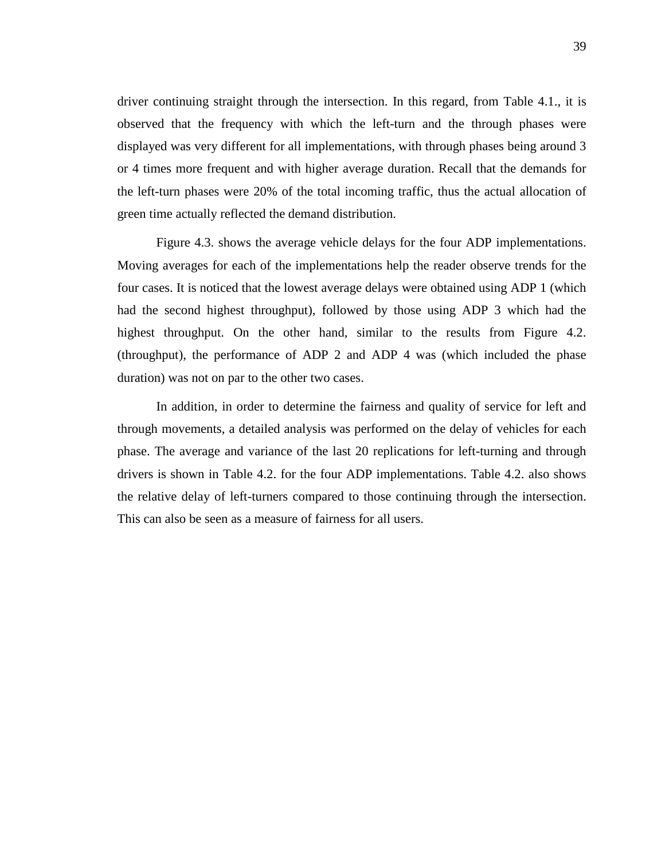driver continuing straight through the intersection. In this regard, from Table 4.1., it is observed that the frequency with which the left-turn and the through phases were displayed was very different for all implementations, with through phases being around 3 or 4 times more frequent and with higher average duration. Recall that the demands for the left-turn phases were 20% of the total incoming traffic, thus the actual allocation of green time actually reflected the demand distribution.

Figure 4.3. shows the average vehicle delays for the four ADP implementations. Moving averages for each of the implementations help the reader observe trends for the four cases. It is noticed that the lowest average delays were obtained using ADP 1 (which had the second highest throughput), followed by those using ADP 3 which had the highest throughput. On the other hand, similar to the results from Figure 4.2. (throughput), the performance of ADP 2 and ADP 4 was (which included the phase duration) was not on par to the other two cases.

In addition, in order to determine the fairness and quality of service for left and through movements, a detailed analysis was performed on the delay of vehicles for each phase. The average and variance of the last 20 replications for left-turning and through drivers is shown in Table 4.2. for the four ADP implementations. Table 4.2. also shows the relative delay of left-turners compared to those continuing through the intersection. This can also be seen as a measure of fairness for all users.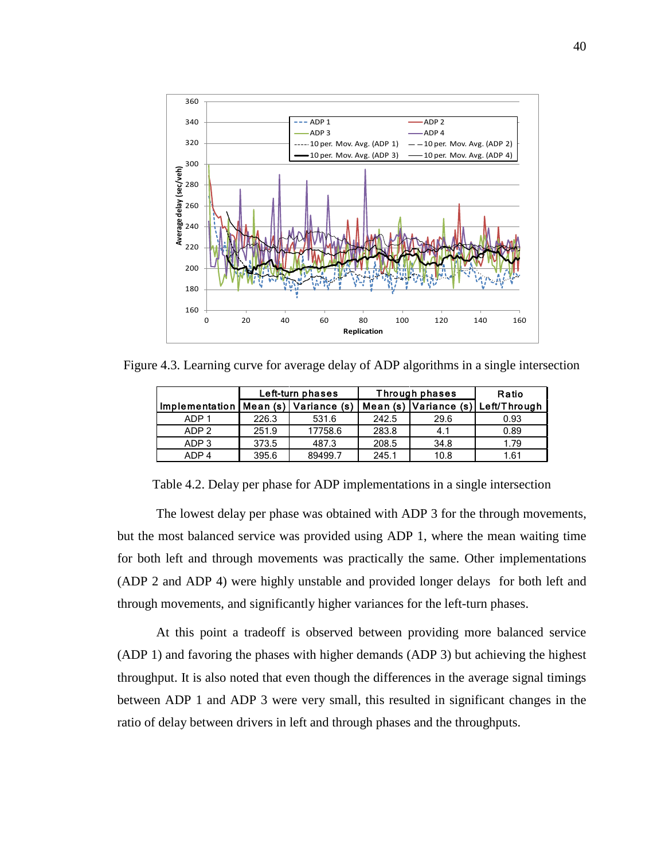

Figure 4.3. Learning curve for average delay of ADP algorithms in a single intersection

|                                              |       | Left-turn phases | Through phases | Ratio |                                    |
|----------------------------------------------|-------|------------------|----------------|-------|------------------------------------|
| Implementation   Mean $(s)$   Variance $(s)$ |       |                  |                |       | Mean (s) Variance (s) Left/Through |
| ADP <sub>1</sub>                             | 226.3 | 531.6            | 242.5          | 29.6  | 0.93                               |
| ADP <sub>2</sub>                             | 251.9 | 17758.6          | 283.8          | 4.1   | 0.89                               |
| ADP <sub>3</sub>                             | 373.5 | 487.3            | 208.5          | 34.8  | 1.79                               |
| ADP 4                                        | 395.6 | 89499.7          | 245.1          | 10.8  | 1.61                               |

Table 4.2. Delay per phase for ADP implementations in a single intersection

The lowest delay per phase was obtained with ADP 3 for the through movements, but the most balanced service was provided using ADP 1, where the mean waiting time for both left and through movements was practically the same. Other implementations (ADP 2 and ADP 4) were highly unstable and provided longer delays for both left and through movements, and significantly higher variances for the left-turn phases.

At this point a tradeoff is observed between providing more balanced service (ADP 1) and favoring the phases with higher demands (ADP 3) but achieving the highest throughput. It is also noted that even though the differences in the average signal timings between ADP 1 and ADP 3 were very small, this resulted in significant changes in the ratio of delay between drivers in left and through phases and the throughputs.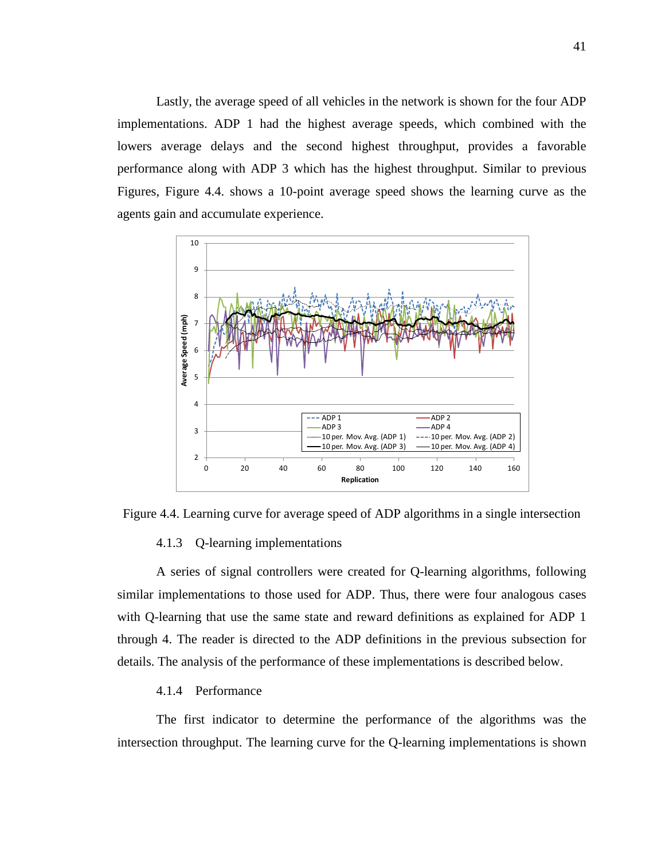Lastly, the average speed of all vehicles in the network is shown for the four ADP implementations. ADP 1 had the highest average speeds, which combined with the lowers average delays and the second highest throughput, provides a favorable performance along with ADP 3 which has the highest throughput. Similar to previous Figures, Figure 4.4. shows a 10-point average speed shows the learning curve as the agents gain and accumulate experience.



Figure 4.4. Learning curve for average speed of ADP algorithms in a single intersection

## 4.1.3 Q-learning implementations

A series of signal controllers were created for Q-learning algorithms, following similar implementations to those used for ADP. Thus, there were four analogous cases with Q-learning that use the same state and reward definitions as explained for ADP 1 through 4. The reader is directed to the ADP definitions in the previous subsection for details. The analysis of the performance of these implementations is described below.

#### 4.1.4 Performance

The first indicator to determine the performance of the algorithms was the intersection throughput. The learning curve for the Q-learning implementations is shown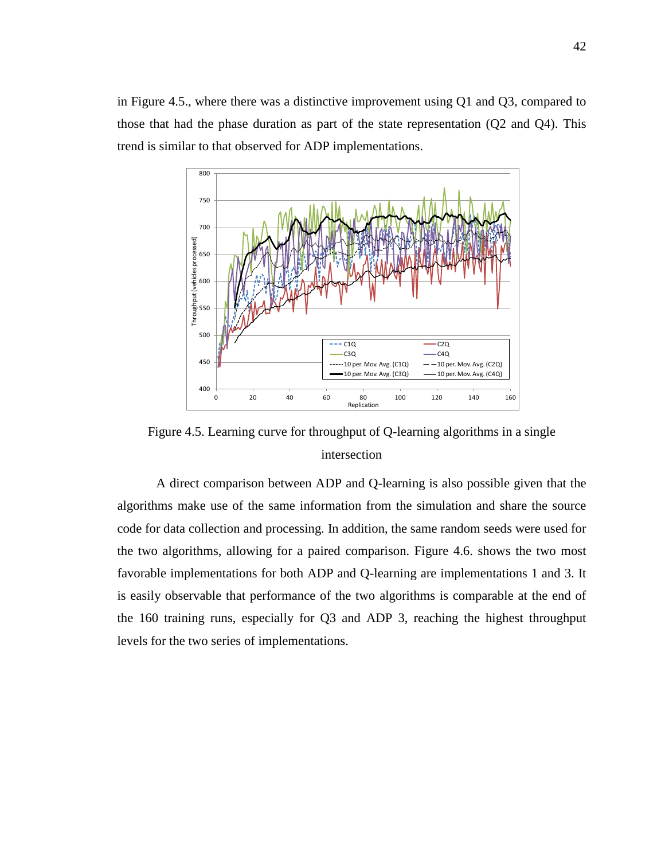

Figure 4.5. Learning curve for throughput of Q-learning algorithms in a single intersection

A direct comparison between ADP and Q-learning is also possible given that the algorithms make use of the same information from the simulation and share the source code for data collection and processing. In addition, the same random seeds were used for the two algorithms, allowing for a paired comparison. Figure 4.6. shows the two most favorable implementations for both ADP and Q-learning are implementations 1 and 3. It is easily observable that performance of the two algorithms is comparable at the end of the 160 training runs, especially for Q3 and ADP 3, reaching the highest throughput levels for the two series of implementations.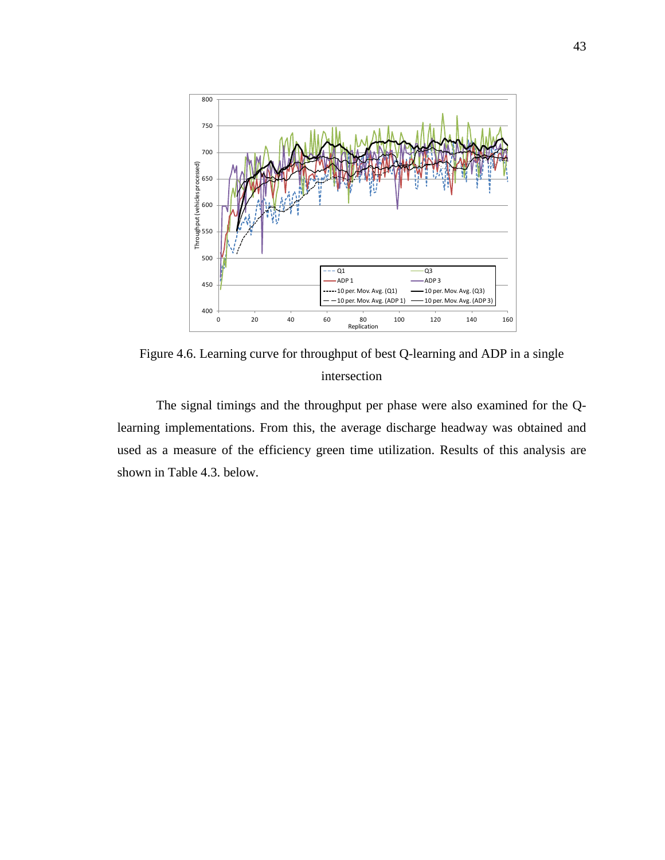

Figure 4.6. Learning curve for throughput of best Q-learning and ADP in a single intersection

The signal timings and the throughput per phase were also examined for the Qlearning implementations. From this, the average discharge headway was obtained and used as a measure of the efficiency green time utilization. Results of this analysis are shown in Table 4.3. below.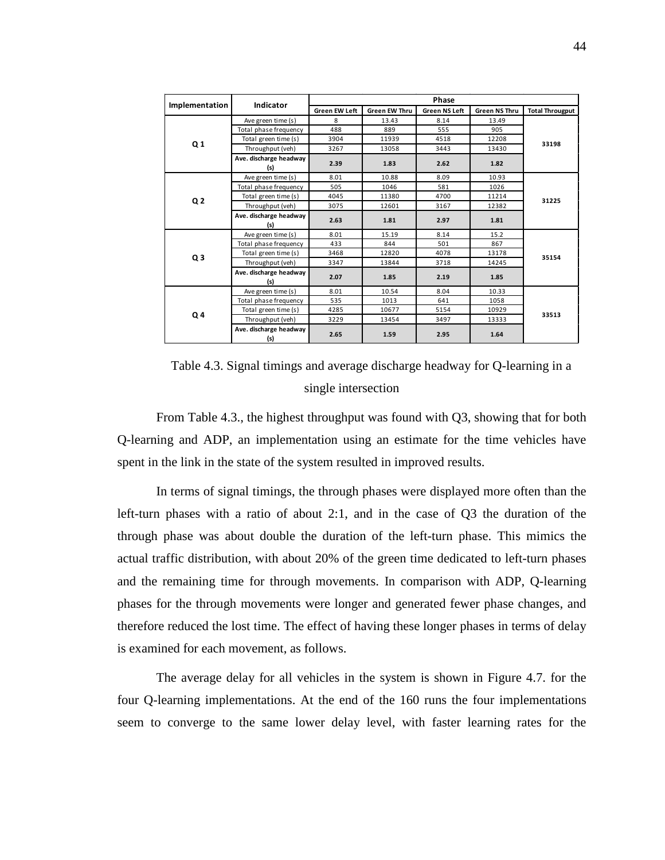| Implementation | Indicator                     | <b>Phase</b>         |                      |                      |                      |                        |  |  |
|----------------|-------------------------------|----------------------|----------------------|----------------------|----------------------|------------------------|--|--|
|                |                               | <b>Green EW Left</b> | <b>Green EW Thru</b> | <b>Green NS Left</b> | <b>Green NS Thru</b> | <b>Total Througput</b> |  |  |
|                | Ave green time (s)            | 8                    | 13.43                | 8.14                 | 13.49                |                        |  |  |
|                | Total phase frequency         | 488                  | 889                  | 555                  | 905                  |                        |  |  |
| Q <sub>1</sub> | Total green time (s)          | 3904                 | 11939                | 4518                 | 12208                | 33198                  |  |  |
|                | Throughput (veh)              | 3267                 | 13058                | 3443                 | 13430                |                        |  |  |
|                | Ave. discharge headway<br>(s) | 2.39                 | 1.83                 | 2.62                 | 1.82                 |                        |  |  |
| Q <sub>2</sub> | Ave green time (s)            | 8.01                 | 10.88                | 8.09                 | 10.93                |                        |  |  |
|                | Total phase frequency         | 505                  | 1046                 | 581                  | 1026                 |                        |  |  |
|                | Total green time (s)          | 4045                 | 11380                | 4700                 | 11214                | 31225                  |  |  |
|                | Throughput (veh)              | 3075                 | 12601                | 3167                 | 12382                |                        |  |  |
|                | Ave. discharge headway<br>(s) | 2.63                 | 1.81                 | 2.97                 | 1.81                 |                        |  |  |
|                | Ave green time (s)            | 8.01                 | 15.19                | 8.14                 | 15.2                 |                        |  |  |
|                | Total phase frequency         | 433                  | 844                  | 501                  | 867                  | 35154                  |  |  |
| Q <sub>3</sub> | Total green time (s)          | 3468                 | 12820                | 4078                 | 13178                |                        |  |  |
|                | Throughput (veh)              | 3347                 | 13844                | 3718                 | 14245                |                        |  |  |
|                | Ave. discharge headway<br>(s) | 2.07                 | 1.85                 | 2.19                 | 1.85                 |                        |  |  |
|                | Ave green time (s)            | 8.01                 | 10.54                | 8.04                 | 10.33                |                        |  |  |
|                | Total phase frequency         | 535                  | 1013                 | 641                  | 1058                 |                        |  |  |
| Q4             | Total green time (s)          | 4285                 | 10677                | 5154                 | 10929                | 33513                  |  |  |
|                | Throughput (veh)              | 3229                 | 13454                | 3497                 | 13333                |                        |  |  |
|                | Ave. discharge headway<br>(s) | 2.65                 | 1.59                 | 2.95                 | 1.64                 |                        |  |  |

Table 4.3. Signal timings and average discharge headway for Q-learning in a single intersection

From Table 4.3., the highest throughput was found with Q3, showing that for both Q-learning and ADP, an implementation using an estimate for the time vehicles have spent in the link in the state of the system resulted in improved results.

In terms of signal timings, the through phases were displayed more often than the left-turn phases with a ratio of about 2:1, and in the case of Q3 the duration of the through phase was about double the duration of the left-turn phase. This mimics the actual traffic distribution, with about 20% of the green time dedicated to left-turn phases and the remaining time for through movements. In comparison with ADP, Q-learning phases for the through movements were longer and generated fewer phase changes, and therefore reduced the lost time. The effect of having these longer phases in terms of delay is examined for each movement, as follows.

The average delay for all vehicles in the system is shown in Figure 4.7. for the four Q-learning implementations. At the end of the 160 runs the four implementations seem to converge to the same lower delay level, with faster learning rates for the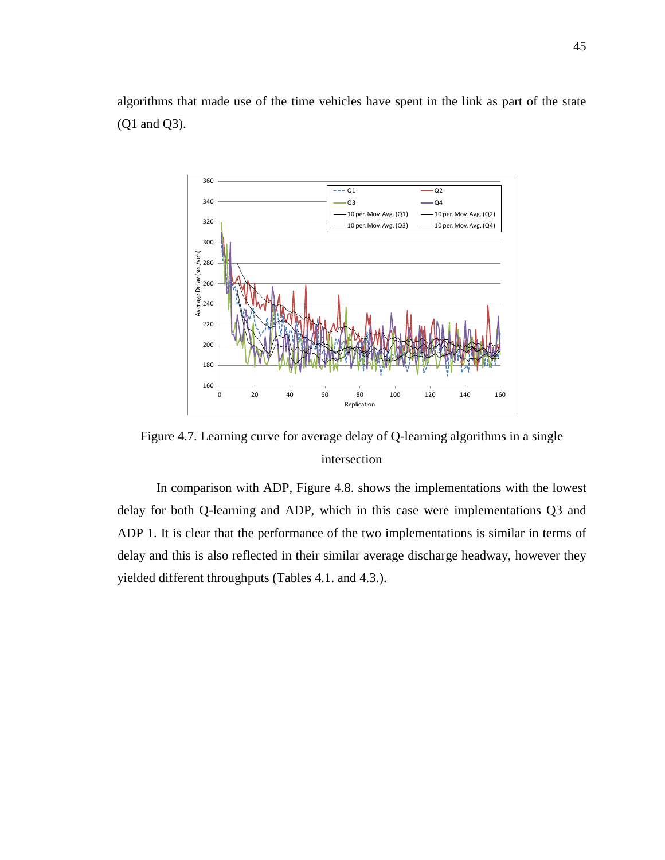algorithms that made use of the time vehicles have spent in the link as part of the state (Q1 and Q3).



Figure 4.7. Learning curve for average delay of Q-learning algorithms in a single intersection

In comparison with ADP, Figure 4.8. shows the implementations with the lowest delay for both Q-learning and ADP, which in this case were implementations Q3 and ADP 1. It is clear that the performance of the two implementations is similar in terms of delay and this is also reflected in their similar average discharge headway, however they yielded different throughputs (Tables 4.1. and 4.3.).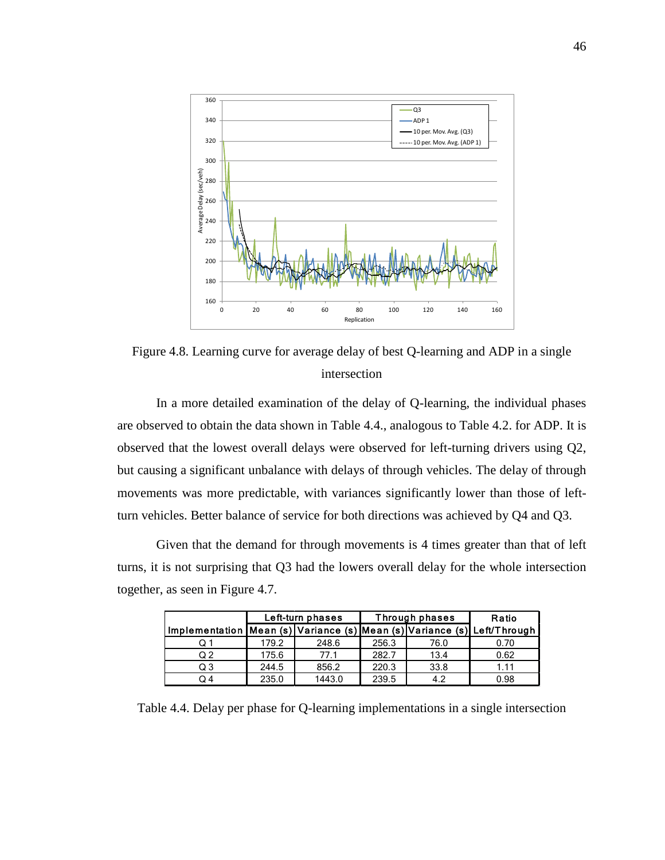

Figure 4.8. Learning curve for average delay of best Q-learning and ADP in a single intersection

In a more detailed examination of the delay of Q-learning, the individual phases are observed to obtain the data shown in Table 4.4., analogous to Table 4.2. for ADP. It is observed that the lowest overall delays were observed for left-turning drivers using Q2, but causing a significant unbalance with delays of through vehicles. The delay of through movements was more predictable, with variances significantly lower than those of leftturn vehicles. Better balance of service for both directions was achieved by Q4 and Q3.

Given that the demand for through movements is 4 times greater than that of left turns, it is not surprising that Q3 had the lowers overall delay for the whole intersection together, as seen in Figure 4.7.

|                                                                         |       | Left-turn phases |       | Through phases | Ratio |
|-------------------------------------------------------------------------|-------|------------------|-------|----------------|-------|
| Implementation Mean (s) Variance (s) Mean (s) Variance (s) Left/Through |       |                  |       |                |       |
| Q 1                                                                     | 179.2 | 248.6            | 256.3 | 76.0           | 0.70  |
| Q 2                                                                     | 175.6 | 77.1             | 282.7 | 13.4           | 0.62  |
| Q3                                                                      | 244.5 | 856.2            | 220.3 | 33.8           | 1.11  |
| Q 4                                                                     | 235.0 | 1443.0           | 239.5 | 42             | 0.98  |

Table 4.4. Delay per phase for Q-learning implementations in a single intersection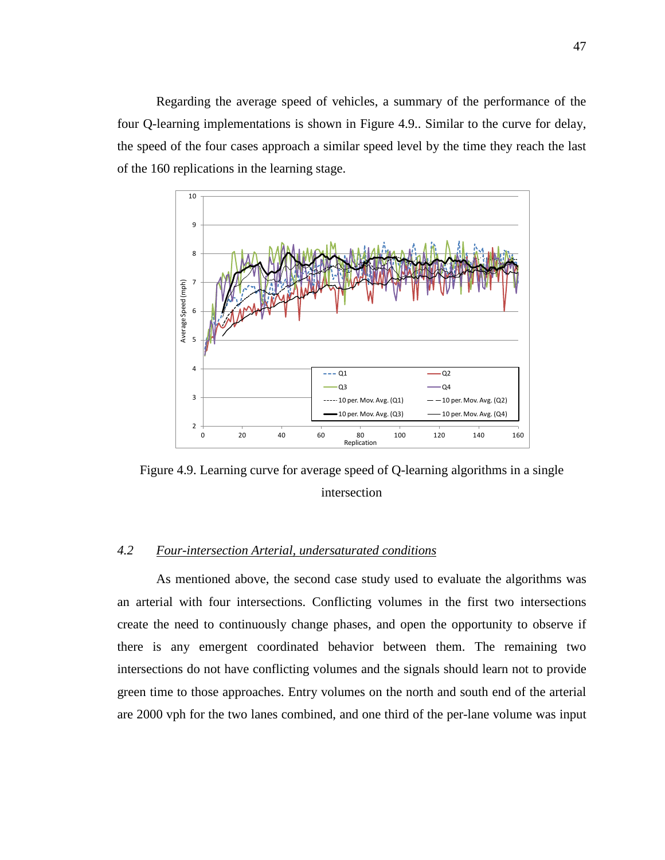Regarding the average speed of vehicles, a summary of the performance of the four Q-learning implementations is shown in Figure 4.9.. Similar to the curve for delay, the speed of the four cases approach a similar speed level by the time they reach the last of the 160 replications in the learning stage.



Figure 4.9. Learning curve for average speed of Q-learning algorithms in a single intersection

## *4.2 Four-intersection Arterial, undersaturated conditions*

As mentioned above, the second case study used to evaluate the algorithms was an arterial with four intersections. Conflicting volumes in the first two intersections create the need to continuously change phases, and open the opportunity to observe if there is any emergent coordinated behavior between them. The remaining two intersections do not have conflicting volumes and the signals should learn not to provide green time to those approaches. Entry volumes on the north and south end of the arterial are 2000 vph for the two lanes combined, and one third of the per-lane volume was input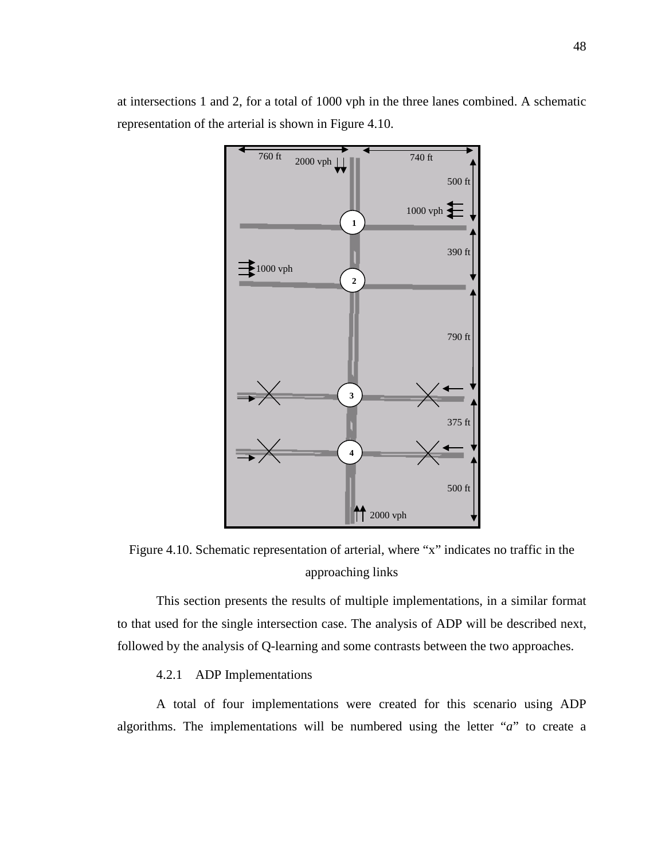

at intersections 1 and 2, for a total of 1000 vph in the three lanes combined. A schematic representation of the arterial is shown in Figure 4.10.

Figure 4.10. Schematic representation of arterial, where "x" indicates no traffic in the approaching links

This section presents the results of multiple implementations, in a similar format to that used for the single intersection case. The analysis of ADP will be described next, followed by the analysis of Q-learning and some contrasts between the two approaches.

## 4.2.1 ADP Implementations

A total of four implementations were created for this scenario using ADP algorithms. The implementations will be numbered using the letter "*a*" to create a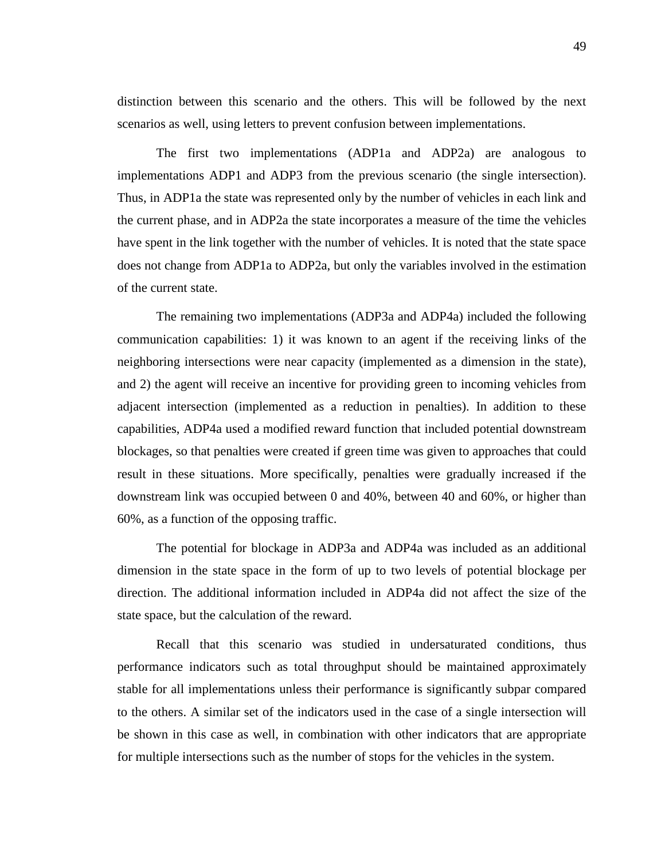distinction between this scenario and the others. This will be followed by the next scenarios as well, using letters to prevent confusion between implementations.

The first two implementations (ADP1a and ADP2a) are analogous to implementations ADP1 and ADP3 from the previous scenario (the single intersection). Thus, in ADP1a the state was represented only by the number of vehicles in each link and the current phase, and in ADP2a the state incorporates a measure of the time the vehicles have spent in the link together with the number of vehicles. It is noted that the state space does not change from ADP1a to ADP2a, but only the variables involved in the estimation of the current state.

The remaining two implementations (ADP3a and ADP4a) included the following communication capabilities: 1) it was known to an agent if the receiving links of the neighboring intersections were near capacity (implemented as a dimension in the state), and 2) the agent will receive an incentive for providing green to incoming vehicles from adjacent intersection (implemented as a reduction in penalties). In addition to these capabilities, ADP4a used a modified reward function that included potential downstream blockages, so that penalties were created if green time was given to approaches that could result in these situations. More specifically, penalties were gradually increased if the downstream link was occupied between 0 and 40%, between 40 and 60%, or higher than 60%, as a function of the opposing traffic.

The potential for blockage in ADP3a and ADP4a was included as an additional dimension in the state space in the form of up to two levels of potential blockage per direction. The additional information included in ADP4a did not affect the size of the state space, but the calculation of the reward.

Recall that this scenario was studied in undersaturated conditions, thus performance indicators such as total throughput should be maintained approximately stable for all implementations unless their performance is significantly subpar compared to the others. A similar set of the indicators used in the case of a single intersection will be shown in this case as well, in combination with other indicators that are appropriate for multiple intersections such as the number of stops for the vehicles in the system.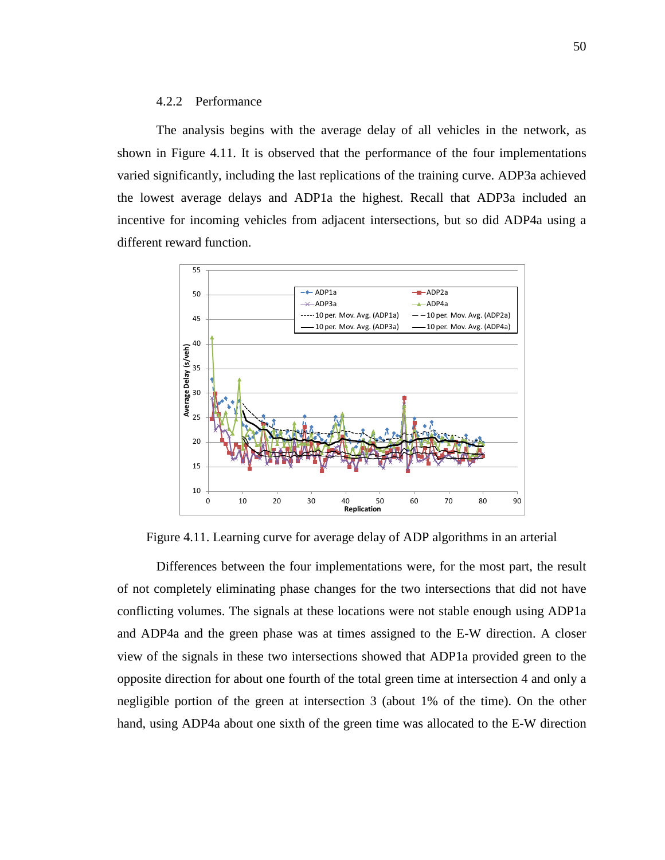#### 4.2.2 Performance

The analysis begins with the average delay of all vehicles in the network, as shown in Figure 4.11. It is observed that the performance of the four implementations varied significantly, including the last replications of the training curve. ADP3a achieved the lowest average delays and ADP1a the highest. Recall that ADP3a included an incentive for incoming vehicles from adjacent intersections, but so did ADP4a using a different reward function.



Figure 4.11. Learning curve for average delay of ADP algorithms in an arterial

Differences between the four implementations were, for the most part, the result of not completely eliminating phase changes for the two intersections that did not have conflicting volumes. The signals at these locations were not stable enough using ADP1a and ADP4a and the green phase was at times assigned to the E-W direction. A closer view of the signals in these two intersections showed that ADP1a provided green to the opposite direction for about one fourth of the total green time at intersection 4 and only a negligible portion of the green at intersection 3 (about 1% of the time). On the other hand, using ADP4a about one sixth of the green time was allocated to the E-W direction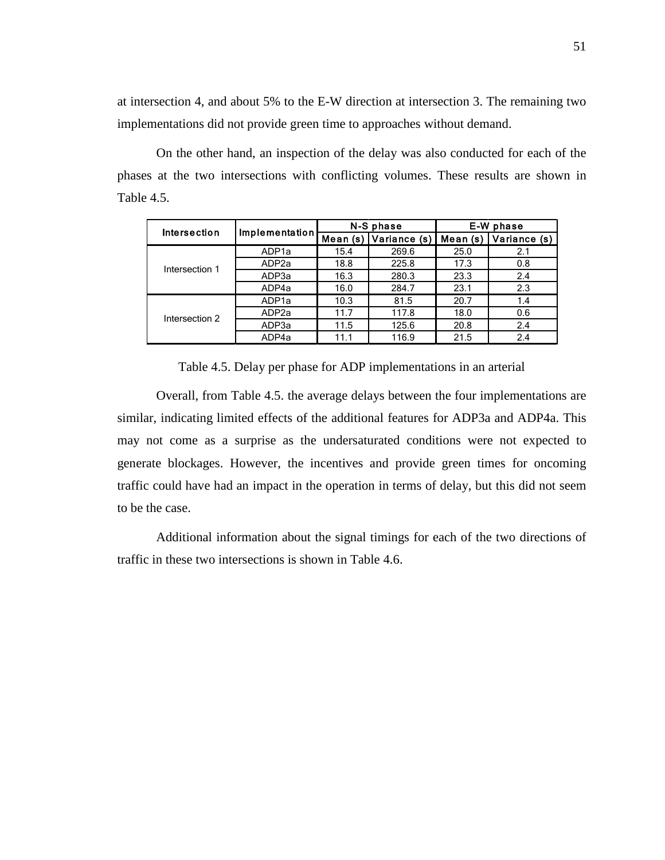at intersection 4, and about 5% to the E-W direction at intersection 3. The remaining two implementations did not provide green time to approaches without demand.

On the other hand, an inspection of the delay was also conducted for each of the phases at the two intersections with conflicting volumes. These results are shown in Table 4.5.

| Intersection   |                   |          | N-S phase    | E-W phase |              |  |
|----------------|-------------------|----------|--------------|-----------|--------------|--|
|                | Implementation    | Mean (s) | Variance (s) | Mean (s)  | Variance (s) |  |
|                | ADP <sub>1a</sub> | 15.4     | 269.6        | 25.0      | 2.1          |  |
| Intersection 1 | ADP <sub>2a</sub> | 18.8     | 225.8        | 17.3      | 0.8          |  |
|                | ADP3a             | 16.3     | 280.3        | 23.3      | 2.4          |  |
|                | ADP4a             | 16.0     | 284.7        | 23.1      | 2.3          |  |
|                | ADP <sub>1a</sub> | 10.3     | 81.5         | 20.7      | 1.4          |  |
| Intersection 2 | ADP <sub>2a</sub> | 11.7     | 117.8        | 18.0      | 0.6          |  |
|                | ADP3a             | 11.5     | 125.6        | 20.8      | 2.4          |  |
|                | ADP4a             | 11.1     | 116.9        | 21.5      | 2.4          |  |

Table 4.5. Delay per phase for ADP implementations in an arterial

Overall, from Table 4.5. the average delays between the four implementations are similar, indicating limited effects of the additional features for ADP3a and ADP4a. This may not come as a surprise as the undersaturated conditions were not expected to generate blockages. However, the incentives and provide green times for oncoming traffic could have had an impact in the operation in terms of delay, but this did not seem to be the case.

Additional information about the signal timings for each of the two directions of traffic in these two intersections is shown in Table 4.6.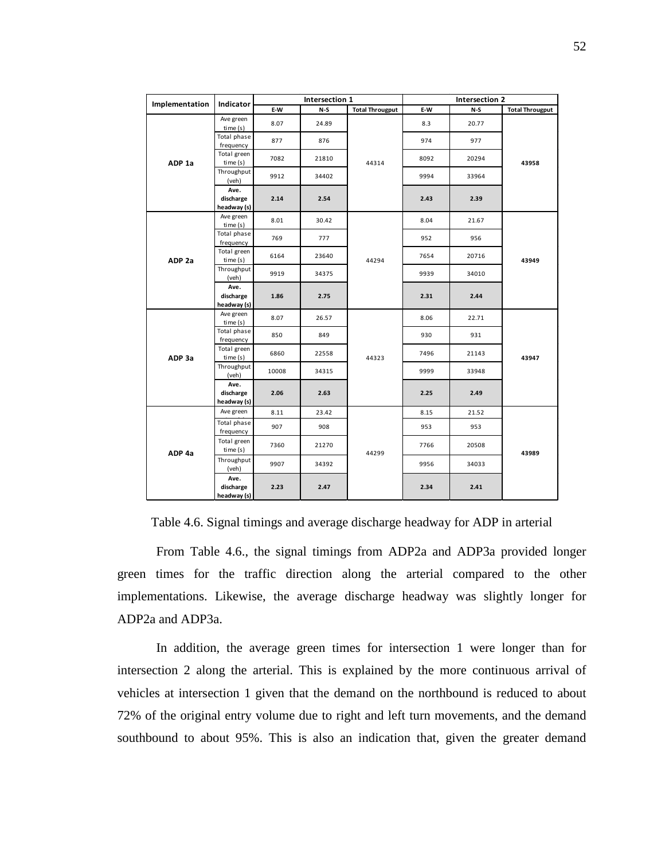| Implementation    | Indicator                        |       | Intersection 1 |                        | Intersection 2 |       |                        |  |
|-------------------|----------------------------------|-------|----------------|------------------------|----------------|-------|------------------------|--|
|                   |                                  | E-W   | $N-S$          | <b>Total Througput</b> | E-W            | $N-S$ | <b>Total Througput</b> |  |
|                   | Ave green<br>time(s)             | 8.07  | 24.89          |                        | 8.3            | 20.77 | 43958                  |  |
|                   | Total phase<br>frequency         | 877   | 876            |                        | 974            | 977   |                        |  |
| ADP <sub>1a</sub> | Total green<br>time(s)           | 7082  | 21810          | 44314                  | 8092           | 20294 |                        |  |
|                   | Throughput<br>(veh)              | 9912  | 34402          |                        | 9994           | 33964 |                        |  |
|                   | Ave.<br>discharge<br>headway (s) | 2.14  | 2.54           |                        | 2.43           | 2.39  |                        |  |
|                   | Ave green<br>time(s)             | 8.01  | 30.42          |                        | 8.04           | 21.67 |                        |  |
| ADP <sub>2a</sub> | Total phase<br>frequency         | 769   | 777            |                        | 952            | 956   | 43949                  |  |
|                   | Total green<br>time (s)          | 6164  | 23640          | 44294                  | 7654           | 20716 |                        |  |
|                   | Throughput<br>(veh)              | 9919  | 34375          |                        | 9939           | 34010 |                        |  |
|                   | Ave.<br>discharge<br>headway (s) | 1.86  | 2.75           |                        | 2.31           | 2.44  |                        |  |
|                   | Ave green<br>time(s)             | 8.07  | 26.57          |                        | 8.06           | 22.71 | 43947                  |  |
|                   | Total phase<br>frequency         | 850   | 849            |                        | 930            | 931   |                        |  |
| ADP 3a            | Total green<br>time(s)           | 6860  | 22558          | 44323                  | 7496           | 21143 |                        |  |
|                   | Throughput<br>(veh)              | 10008 | 34315          |                        | 9999           | 33948 |                        |  |
|                   | Ave.<br>discharge<br>headway (s) | 2.06  | 2.63           |                        | 2.25           | 2.49  |                        |  |
|                   | Ave green                        | 8.11  | 23.42          |                        | 8.15           | 21.52 |                        |  |
|                   | Total phase<br>frequency         | 907   | 908            |                        | 953            | 953   | 43989                  |  |
| ADP 4a            | Total green<br>time(s)           | 7360  | 21270          | 44299                  | 7766           | 20508 |                        |  |
|                   | Throughput<br>(veh)              | 9907  | 34392          |                        | 9956           | 34033 |                        |  |
|                   | Ave.<br>discharge<br>headway (s) | 2.23  | 2.47           |                        | 2.34           | 2.41  |                        |  |

Table 4.6. Signal timings and average discharge headway for ADP in arterial

From Table 4.6., the signal timings from ADP2a and ADP3a provided longer green times for the traffic direction along the arterial compared to the other implementations. Likewise, the average discharge headway was slightly longer for ADP2a and ADP3a.

In addition, the average green times for intersection 1 were longer than for intersection 2 along the arterial. This is explained by the more continuous arrival of vehicles at intersection 1 given that the demand on the northbound is reduced to about 72% of the original entry volume due to right and left turn movements, and the demand southbound to about 95%. This is also an indication that, given the greater demand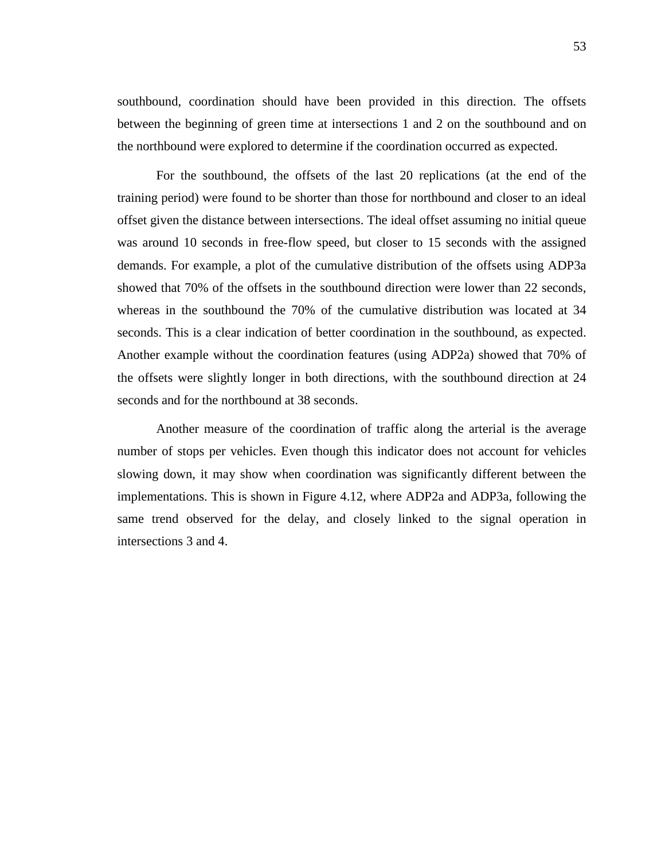southbound, coordination should have been provided in this direction. The offsets between the beginning of green time at intersections 1 and 2 on the southbound and on the northbound were explored to determine if the coordination occurred as expected.

For the southbound, the offsets of the last 20 replications (at the end of the training period) were found to be shorter than those for northbound and closer to an ideal offset given the distance between intersections. The ideal offset assuming no initial queue was around 10 seconds in free-flow speed, but closer to 15 seconds with the assigned demands. For example, a plot of the cumulative distribution of the offsets using ADP3a showed that 70% of the offsets in the southbound direction were lower than 22 seconds, whereas in the southbound the 70% of the cumulative distribution was located at 34 seconds. This is a clear indication of better coordination in the southbound, as expected. Another example without the coordination features (using ADP2a) showed that 70% of the offsets were slightly longer in both directions, with the southbound direction at 24 seconds and for the northbound at 38 seconds.

Another measure of the coordination of traffic along the arterial is the average number of stops per vehicles. Even though this indicator does not account for vehicles slowing down, it may show when coordination was significantly different between the implementations. This is shown in Figure 4.12, where ADP2a and ADP3a, following the same trend observed for the delay, and closely linked to the signal operation in intersections 3 and 4.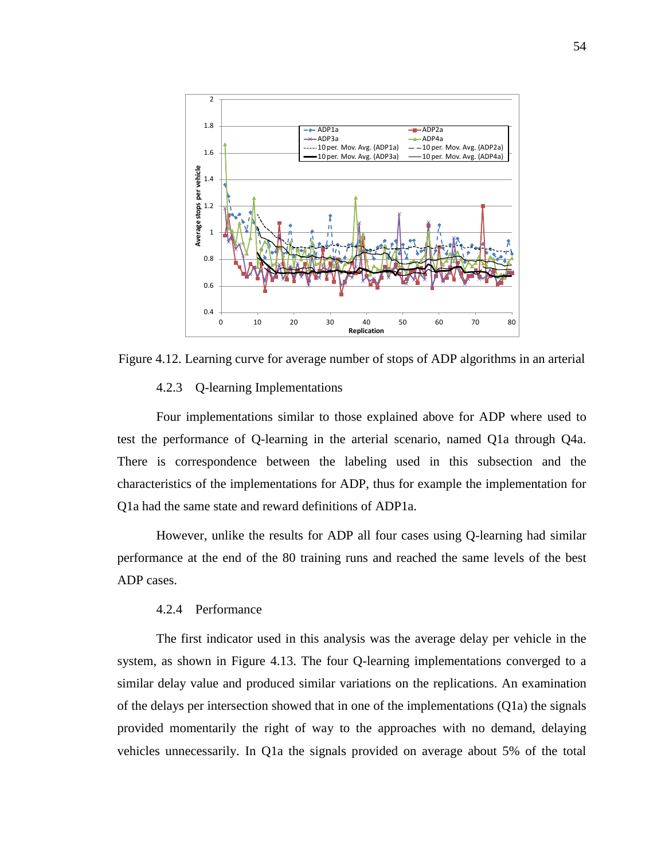

Figure 4.12. Learning curve for average number of stops of ADP algorithms in an arterial

#### 4.2.3 Q-learning Implementations

Four implementations similar to those explained above for ADP where used to test the performance of Q-learning in the arterial scenario, named Q1a through Q4a. There is correspondence between the labeling used in this subsection and the characteristics of the implementations for ADP, thus for example the implementation for Q1a had the same state and reward definitions of ADP1a.

However, unlike the results for ADP all four cases using Q-learning had similar performance at the end of the 80 training runs and reached the same levels of the best ADP cases.

#### 4.2.4 Performance

The first indicator used in this analysis was the average delay per vehicle in the system, as shown in Figure 4.13. The four Q-learning implementations converged to a similar delay value and produced similar variations on the replications. An examination of the delays per intersection showed that in one of the implementations (Q1a) the signals provided momentarily the right of way to the approaches with no demand, delaying vehicles unnecessarily. In Q1a the signals provided on average about 5% of the total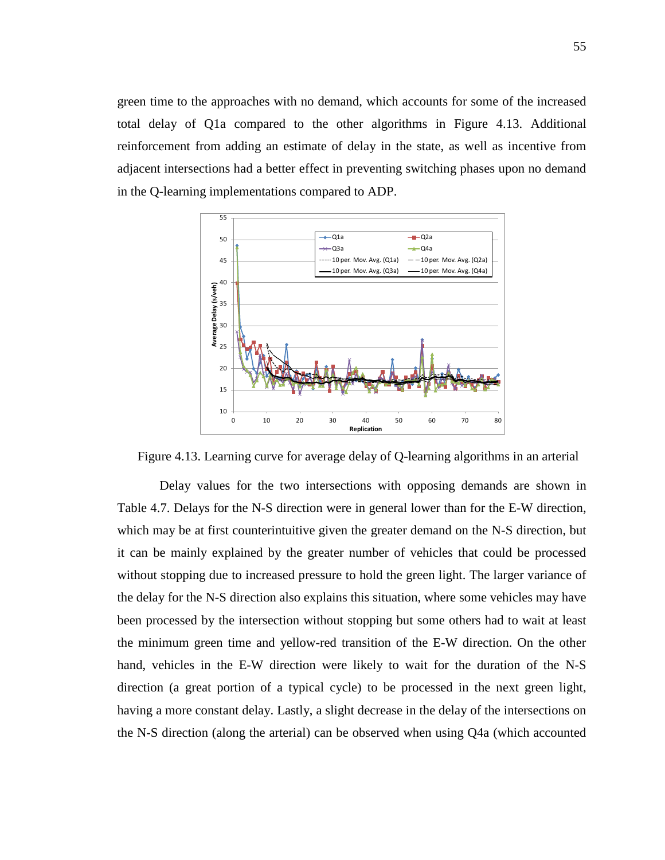green time to the approaches with no demand, which accounts for some of the increased total delay of Q1a compared to the other algorithms in Figure 4.13. Additional reinforcement from adding an estimate of delay in the state, as well as incentive from adjacent intersections had a better effect in preventing switching phases upon no demand in the Q-learning implementations compared to ADP.



Figure 4.13. Learning curve for average delay of Q-learning algorithms in an arterial

Delay values for the two intersections with opposing demands are shown in Table 4.7. Delays for the N-S direction were in general lower than for the E-W direction, which may be at first counterintuitive given the greater demand on the N-S direction, but it can be mainly explained by the greater number of vehicles that could be processed without stopping due to increased pressure to hold the green light. The larger variance of the delay for the N-S direction also explains this situation, where some vehicles may have been processed by the intersection without stopping but some others had to wait at least the minimum green time and yellow-red transition of the E-W direction. On the other hand, vehicles in the E-W direction were likely to wait for the duration of the N-S direction (a great portion of a typical cycle) to be processed in the next green light, having a more constant delay. Lastly, a slight decrease in the delay of the intersections on the N-S direction (along the arterial) can be observed when using Q4a (which accounted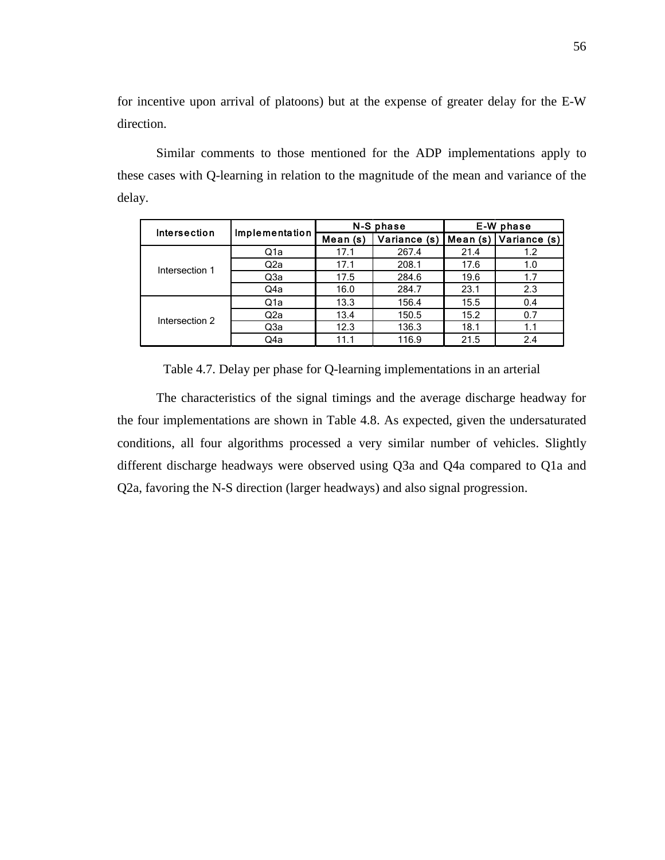for incentive upon arrival of platoons) but at the expense of greater delay for the E-W direction.

Similar comments to those mentioned for the ADP implementations apply to these cases with Q-learning in relation to the magnitude of the mean and variance of the delay.

| Intersection   | Implementation   |          | N-S phase    | E-W phase |              |  |
|----------------|------------------|----------|--------------|-----------|--------------|--|
|                |                  | Mean (s) | Variance (s) | Mean (s)  | Variance (s) |  |
|                | Q1a              | 17.1     | 267.4        | 21.4      | 1.2          |  |
| Intersection 1 | Q2a              | 17.1     | 208.1        | 17.6      | 1.0          |  |
|                | Q3a              | 17.5     | 284.6        | 19.6      | 1.7          |  |
|                | Q4a              | 16.0     | 284.7        | 23.1      | 2.3          |  |
| Intersection 2 | Q <sub>1</sub> a | 13.3     | 156.4        | 15.5      | 0.4          |  |
|                | Q2a              | 13.4     | 150.5        | 15.2      | 0.7          |  |
|                | Q3a              | 12.3     | 136.3        | 18.1      | 1.1          |  |
|                | Q4a              | 11.1     | 116.9        | 21.5      | 2.4          |  |

Table 4.7. Delay per phase for Q-learning implementations in an arterial

The characteristics of the signal timings and the average discharge headway for the four implementations are shown in Table 4.8. As expected, given the undersaturated conditions, all four algorithms processed a very similar number of vehicles. Slightly different discharge headways were observed using Q3a and Q4a compared to Q1a and Q2a, favoring the N-S direction (larger headways) and also signal progression.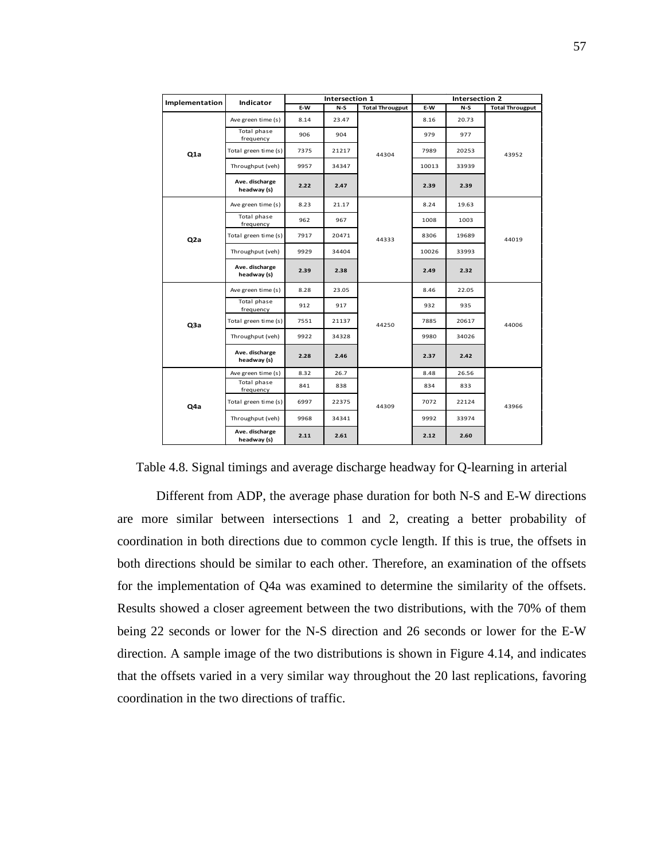| Implementation  | <b>Indicator</b>              |      | Intersection 1 |                        | Intersection 2 |       |                        |
|-----------------|-------------------------------|------|----------------|------------------------|----------------|-------|------------------------|
|                 |                               | E-W  | $N-S$          | <b>Total Througput</b> | E-W            | $N-S$ | <b>Total Througput</b> |
|                 | Ave green time (s)            | 8.14 | 23.47          |                        | 8.16           | 20.73 |                        |
|                 | Total phase<br>frequency      | 906  | 904            |                        | 979            | 977   |                        |
| Q1a             | Total green time (s)          | 7375 | 21217          | 44304                  | 7989           | 20253 | 43952                  |
|                 | Throughput (veh)              | 9957 | 34347          |                        | 10013          | 33939 |                        |
|                 | Ave. discharge<br>headway (s) | 2.22 | 2.47           |                        | 2.39           | 2.39  |                        |
|                 | Ave green time (s)            | 8.23 | 21.17          |                        | 8.24           | 19.63 |                        |
|                 | Total phase<br>frequency      | 962  | 967            |                        | 1008           | 1003  | 44019                  |
| Q <sub>2a</sub> | Total green time (s)          | 7917 | 20471          | 44333                  | 8306           | 19689 |                        |
|                 | Throughput (veh)              | 9929 | 34404          |                        | 10026          | 33993 |                        |
|                 | Ave. discharge<br>headway (s) | 2.39 | 2.38           |                        | 2.49           | 2.32  |                        |
|                 | Ave green time (s)            | 8.28 | 23.05          |                        | 8.46           | 22.05 | 44006                  |
|                 | Total phase<br>frequency      | 912  | 917            |                        | 932            | 935   |                        |
| Q3a             | Total green time (s)          | 7551 | 21137          | 44250                  | 7885           | 20617 |                        |
|                 | Throughput (veh)              | 9922 | 34328          |                        | 9980           | 34026 |                        |
|                 | Ave. discharge<br>headway (s) | 2.28 | 2.46           |                        | 2.37           | 2.42  |                        |
|                 | Ave green time (s)            | 8.32 | 26.7           |                        | 8.48           | 26.56 | 43966                  |
|                 | Total phase<br>frequency      | 841  | 838            |                        | 834            | 833   |                        |
| Q4a             | Total green time (s)          | 6997 | 22375          | 44309                  | 7072           | 22124 |                        |
|                 | Throughput (veh)              | 9968 | 34341          |                        | 9992           | 33974 |                        |
|                 | Ave. discharge<br>headway (s) | 2.11 | 2.61           |                        | 2.12           | 2.60  |                        |

Table 4.8. Signal timings and average discharge headway for Q-learning in arterial

Different from ADP, the average phase duration for both N-S and E-W directions are more similar between intersections 1 and 2, creating a better probability of coordination in both directions due to common cycle length. If this is true, the offsets in both directions should be similar to each other. Therefore, an examination of the offsets for the implementation of Q4a was examined to determine the similarity of the offsets. Results showed a closer agreement between the two distributions, with the 70% of them being 22 seconds or lower for the N-S direction and 26 seconds or lower for the E-W direction. A sample image of the two distributions is shown in Figure 4.14, and indicates that the offsets varied in a very similar way throughout the 20 last replications, favoring coordination in the two directions of traffic.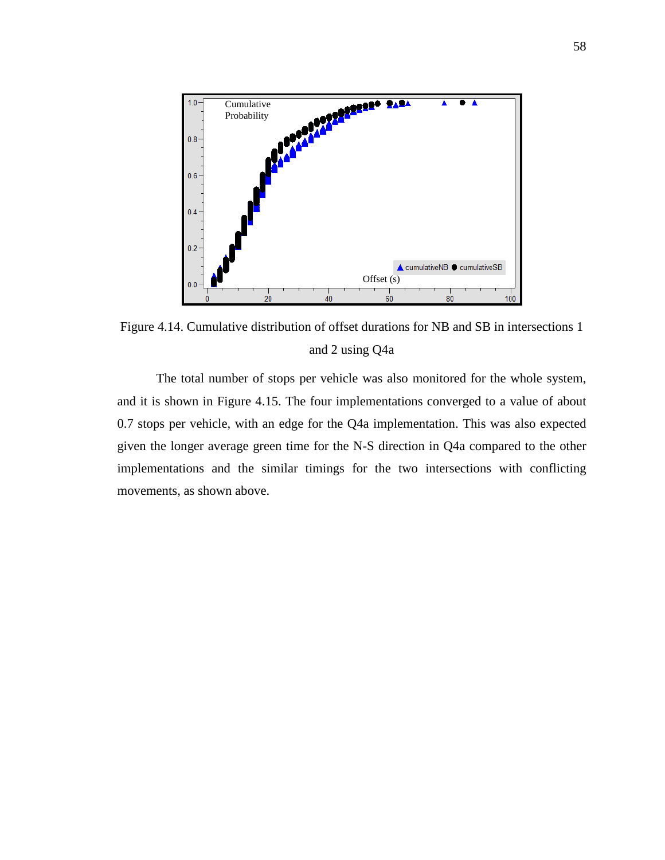

Figure 4.14. Cumulative distribution of offset durations for NB and SB in intersections 1 and 2 using Q4a

The total number of stops per vehicle was also monitored for the whole system, and it is shown in Figure 4.15. The four implementations converged to a value of about 0.7 stops per vehicle, with an edge for the Q4a implementation. This was also expected given the longer average green time for the N-S direction in Q4a compared to the other implementations and the similar timings for the two intersections with conflicting movements, as shown above.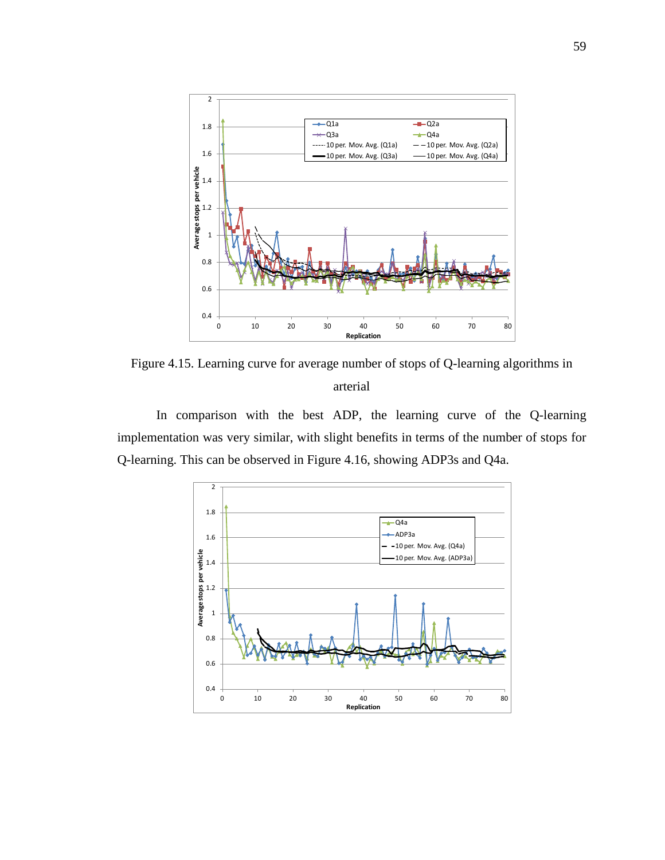

Figure 4.15. Learning curve for average number of stops of Q-learning algorithms in arterial

In comparison with the best ADP, the learning curve of the Q-learning implementation was very similar, with slight benefits in terms of the number of stops for Q-learning. This can be observed in Figure 4.16, showing ADP3s and Q4a.

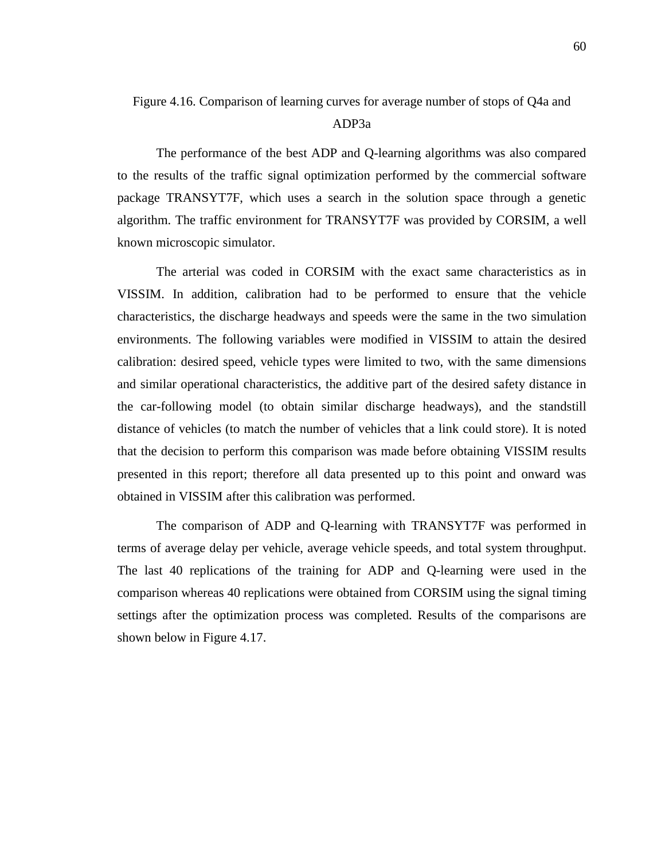#### ADP3a

The performance of the best ADP and Q-learning algorithms was also compared to the results of the traffic signal optimization performed by the commercial software package TRANSYT7F, which uses a search in the solution space through a genetic algorithm. The traffic environment for TRANSYT7F was provided by CORSIM, a well known microscopic simulator.

The arterial was coded in CORSIM with the exact same characteristics as in VISSIM. In addition, calibration had to be performed to ensure that the vehicle characteristics, the discharge headways and speeds were the same in the two simulation environments. The following variables were modified in VISSIM to attain the desired calibration: desired speed, vehicle types were limited to two, with the same dimensions and similar operational characteristics, the additive part of the desired safety distance in the car-following model (to obtain similar discharge headways), and the standstill distance of vehicles (to match the number of vehicles that a link could store). It is noted that the decision to perform this comparison was made before obtaining VISSIM results presented in this report; therefore all data presented up to this point and onward was obtained in VISSIM after this calibration was performed.

The comparison of ADP and Q-learning with TRANSYT7F was performed in terms of average delay per vehicle, average vehicle speeds, and total system throughput. The last 40 replications of the training for ADP and Q-learning were used in the comparison whereas 40 replications were obtained from CORSIM using the signal timing settings after the optimization process was completed. Results of the comparisons are shown below in Figure 4.17.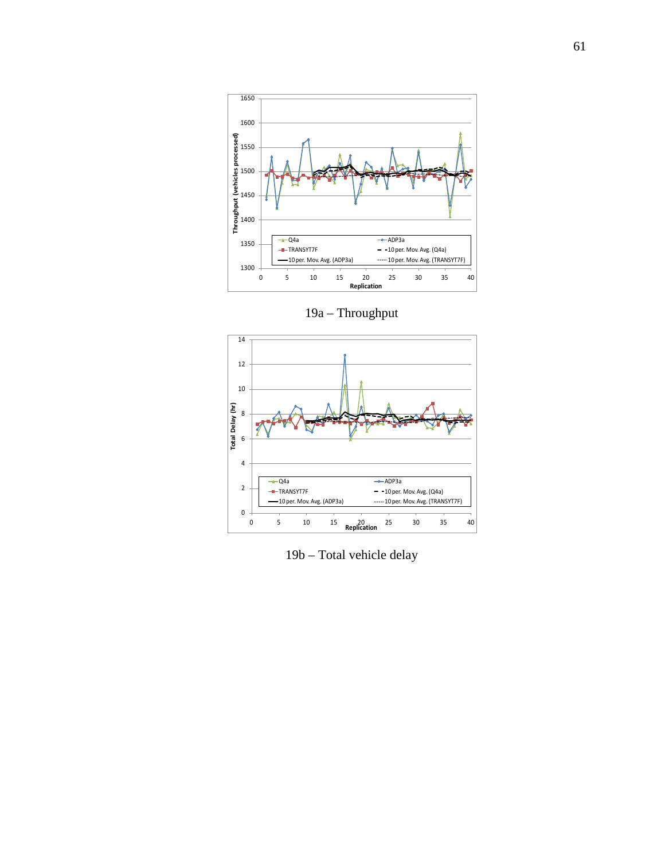

19a – Throughput



19b – Total vehicle delay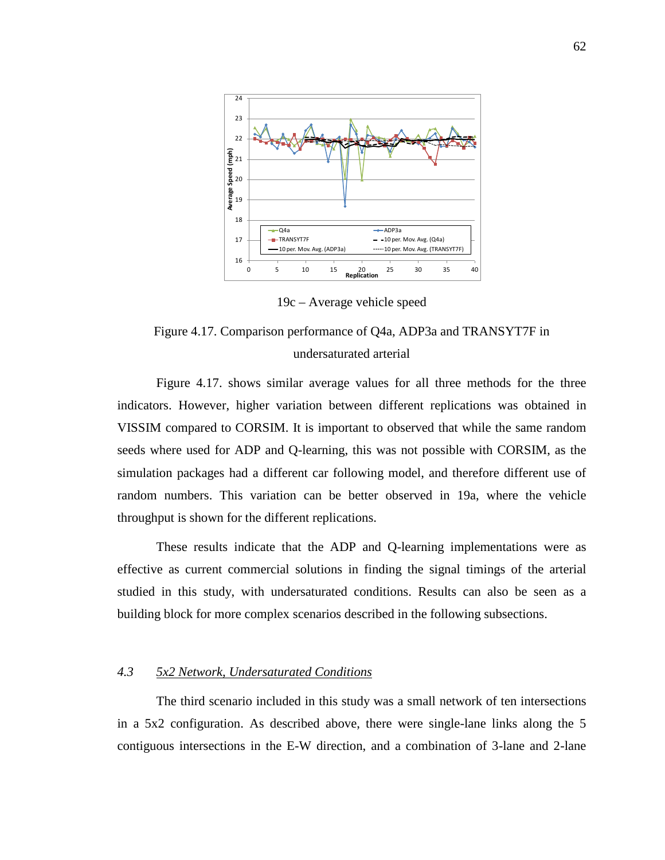

19c – Average vehicle speed

# Figure 4.17. Comparison performance of Q4a, ADP3a and TRANSYT7F in undersaturated arterial

Figure 4.17. shows similar average values for all three methods for the three indicators. However, higher variation between different replications was obtained in VISSIM compared to CORSIM. It is important to observed that while the same random seeds where used for ADP and Q-learning, this was not possible with CORSIM, as the simulation packages had a different car following model, and therefore different use of random numbers. This variation can be better observed in 19a, where the vehicle throughput is shown for the different replications.

These results indicate that the ADP and Q-learning implementations were as effective as current commercial solutions in finding the signal timings of the arterial studied in this study, with undersaturated conditions. Results can also be seen as a building block for more complex scenarios described in the following subsections.

## *4.3 5x2 Network, Undersaturated Conditions*

The third scenario included in this study was a small network of ten intersections in a 5x2 configuration. As described above, there were single-lane links along the 5 contiguous intersections in the E-W direction, and a combination of 3-lane and 2-lane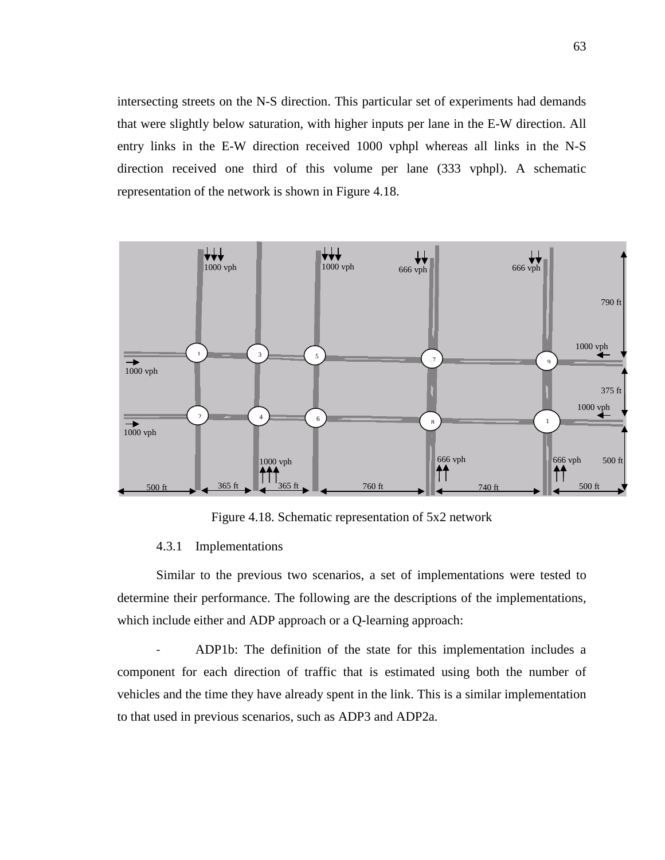intersecting streets on the N-S direction. This particular set of experiments had demands that were slightly below saturation, with higher inputs per lane in the E-W direction. All entry links in the E-W direction received 1000 vphpl whereas all links in the N-S direction received one third of this volume per lane (333 vphpl). A schematic representation of the network is shown in Figure 4.18.



Figure 4.18. Schematic representation of 5x2 network

## 4.3.1 Implementations

Similar to the previous two scenarios, a set of implementations were tested to determine their performance. The following are the descriptions of the implementations, which include either and ADP approach or a Q-learning approach:

- ADP1b: The definition of the state for this implementation includes a component for each direction of traffic that is estimated using both the number of vehicles and the time they have already spent in the link. This is a similar implementation to that used in previous scenarios, such as ADP3 and ADP2a.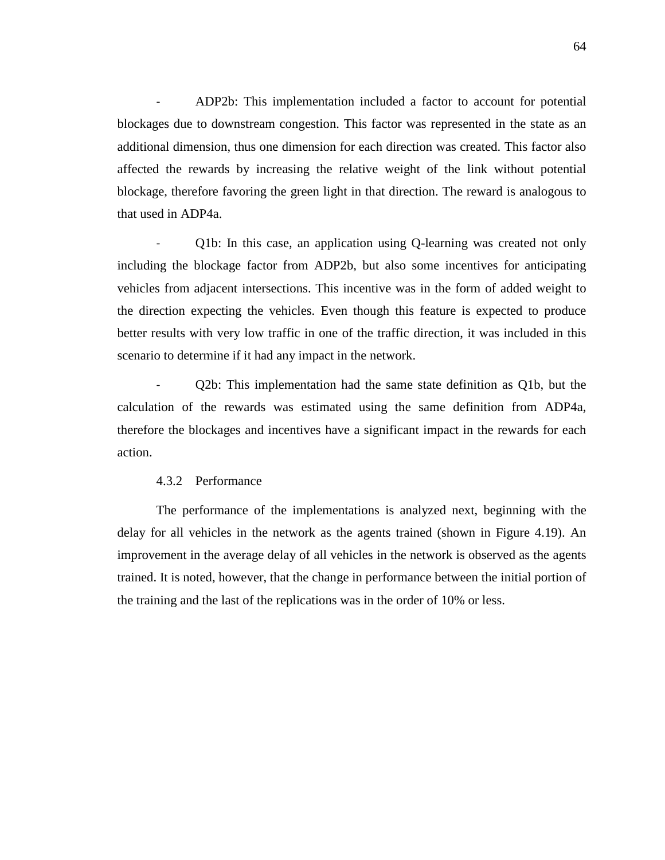- ADP2b: This implementation included a factor to account for potential blockages due to downstream congestion. This factor was represented in the state as an additional dimension, thus one dimension for each direction was created. This factor also affected the rewards by increasing the relative weight of the link without potential blockage, therefore favoring the green light in that direction. The reward is analogous to that used in ADP4a.

- Q1b: In this case, an application using Q-learning was created not only including the blockage factor from ADP2b, but also some incentives for anticipating vehicles from adjacent intersections. This incentive was in the form of added weight to the direction expecting the vehicles. Even though this feature is expected to produce better results with very low traffic in one of the traffic direction, it was included in this scenario to determine if it had any impact in the network.

- Q2b: This implementation had the same state definition as Q1b, but the calculation of the rewards was estimated using the same definition from ADP4a, therefore the blockages and incentives have a significant impact in the rewards for each action.

## 4.3.2 Performance

The performance of the implementations is analyzed next, beginning with the delay for all vehicles in the network as the agents trained (shown in Figure 4.19). An improvement in the average delay of all vehicles in the network is observed as the agents trained. It is noted, however, that the change in performance between the initial portion of the training and the last of the replications was in the order of 10% or less.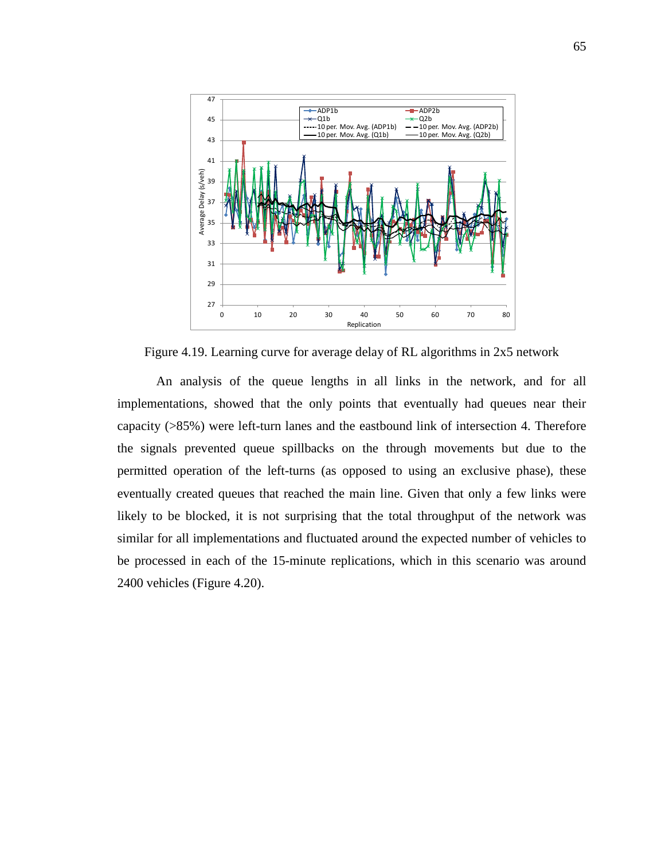

Figure 4.19. Learning curve for average delay of RL algorithms in 2x5 network

An analysis of the queue lengths in all links in the network, and for all implementations, showed that the only points that eventually had queues near their capacity (>85%) were left-turn lanes and the eastbound link of intersection 4. Therefore the signals prevented queue spillbacks on the through movements but due to the permitted operation of the left-turns (as opposed to using an exclusive phase), these eventually created queues that reached the main line. Given that only a few links were likely to be blocked, it is not surprising that the total throughput of the network was similar for all implementations and fluctuated around the expected number of vehicles to be processed in each of the 15-minute replications, which in this scenario was around 2400 vehicles (Figure 4.20).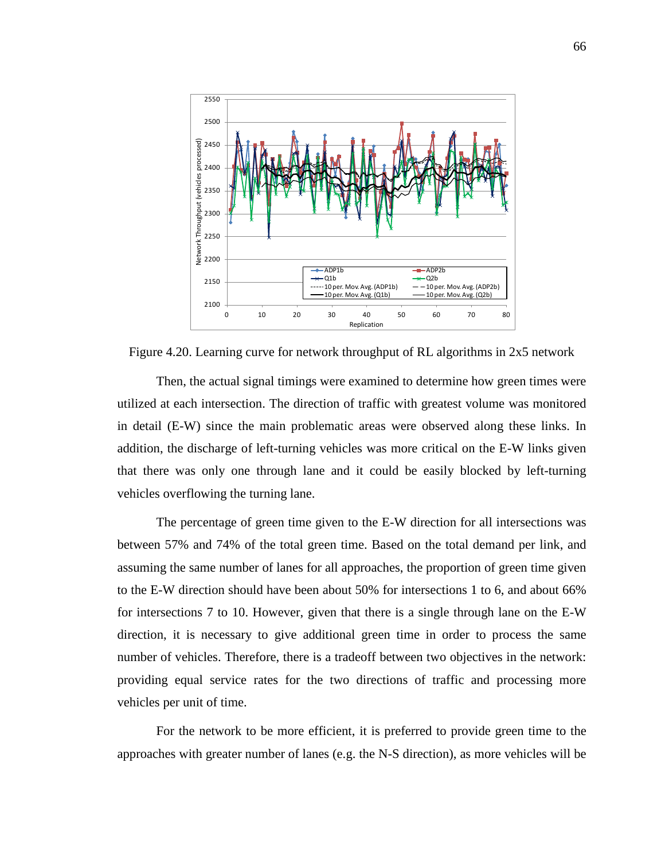

Figure 4.20. Learning curve for network throughput of RL algorithms in 2x5 network

Then, the actual signal timings were examined to determine how green times were utilized at each intersection. The direction of traffic with greatest volume was monitored in detail (E-W) since the main problematic areas were observed along these links. In addition, the discharge of left-turning vehicles was more critical on the E-W links given that there was only one through lane and it could be easily blocked by left-turning vehicles overflowing the turning lane.

The percentage of green time given to the E-W direction for all intersections was between 57% and 74% of the total green time. Based on the total demand per link, and assuming the same number of lanes for all approaches, the proportion of green time given to the E-W direction should have been about 50% for intersections 1 to 6, and about 66% for intersections 7 to 10. However, given that there is a single through lane on the E-W direction, it is necessary to give additional green time in order to process the same number of vehicles. Therefore, there is a tradeoff between two objectives in the network: providing equal service rates for the two directions of traffic and processing more vehicles per unit of time.

For the network to be more efficient, it is preferred to provide green time to the approaches with greater number of lanes (e.g. the N-S direction), as more vehicles will be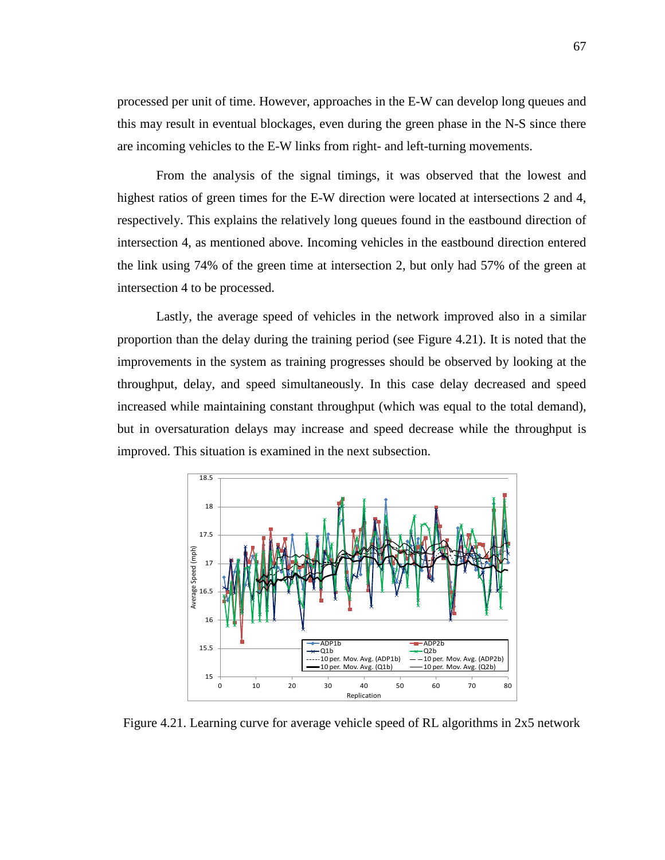processed per unit of time. However, approaches in the E-W can develop long queues and this may result in eventual blockages, even during the green phase in the N-S since there are incoming vehicles to the E-W links from right- and left-turning movements.

From the analysis of the signal timings, it was observed that the lowest and highest ratios of green times for the E-W direction were located at intersections 2 and 4, respectively. This explains the relatively long queues found in the eastbound direction of intersection 4, as mentioned above. Incoming vehicles in the eastbound direction entered the link using 74% of the green time at intersection 2, but only had 57% of the green at intersection 4 to be processed.

Lastly, the average speed of vehicles in the network improved also in a similar proportion than the delay during the training period (see Figure 4.21). It is noted that the improvements in the system as training progresses should be observed by looking at the throughput, delay, and speed simultaneously. In this case delay decreased and speed increased while maintaining constant throughput (which was equal to the total demand), but in oversaturation delays may increase and speed decrease while the throughput is improved. This situation is examined in the next subsection.



Figure 4.21. Learning curve for average vehicle speed of RL algorithms in 2x5 network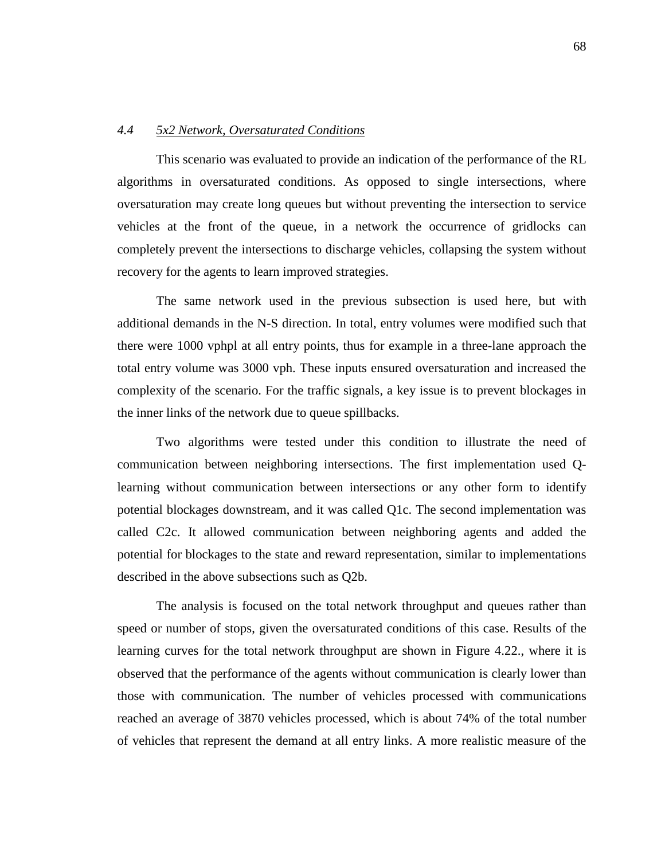## *4.4 5x2 Network, Oversaturated Conditions*

This scenario was evaluated to provide an indication of the performance of the RL algorithms in oversaturated conditions. As opposed to single intersections, where oversaturation may create long queues but without preventing the intersection to service vehicles at the front of the queue, in a network the occurrence of gridlocks can completely prevent the intersections to discharge vehicles, collapsing the system without recovery for the agents to learn improved strategies.

The same network used in the previous subsection is used here, but with additional demands in the N-S direction. In total, entry volumes were modified such that there were 1000 vphpl at all entry points, thus for example in a three-lane approach the total entry volume was 3000 vph. These inputs ensured oversaturation and increased the complexity of the scenario. For the traffic signals, a key issue is to prevent blockages in the inner links of the network due to queue spillbacks.

Two algorithms were tested under this condition to illustrate the need of communication between neighboring intersections. The first implementation used Qlearning without communication between intersections or any other form to identify potential blockages downstream, and it was called Q1c. The second implementation was called C2c. It allowed communication between neighboring agents and added the potential for blockages to the state and reward representation, similar to implementations described in the above subsections such as Q2b.

The analysis is focused on the total network throughput and queues rather than speed or number of stops, given the oversaturated conditions of this case. Results of the learning curves for the total network throughput are shown in Figure 4.22., where it is observed that the performance of the agents without communication is clearly lower than those with communication. The number of vehicles processed with communications reached an average of 3870 vehicles processed, which is about 74% of the total number of vehicles that represent the demand at all entry links. A more realistic measure of the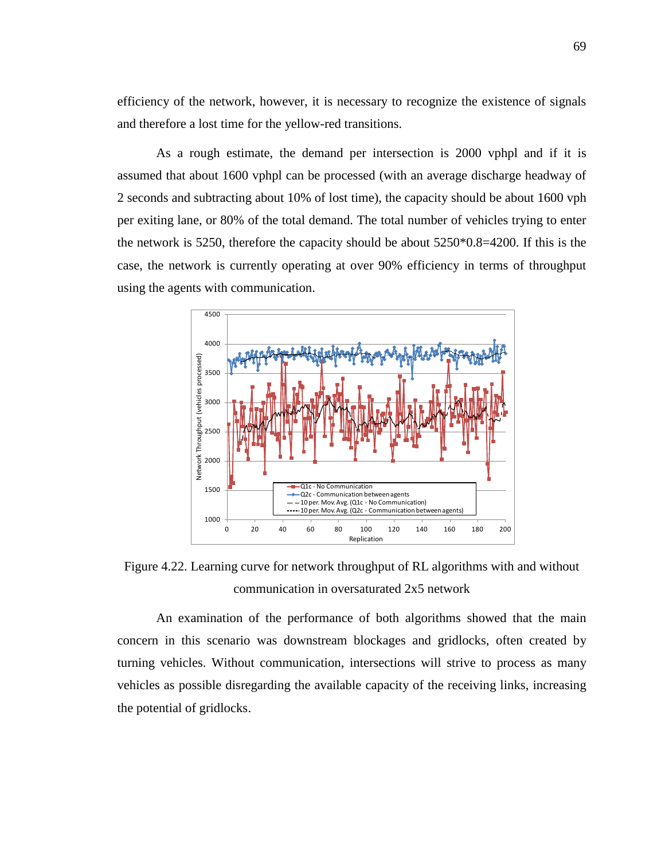efficiency of the network, however, it is necessary to recognize the existence of signals and therefore a lost time for the yellow-red transitions.

As a rough estimate, the demand per intersection is 2000 vphpl and if it is assumed that about 1600 vphpl can be processed (with an average discharge headway of 2 seconds and subtracting about 10% of lost time), the capacity should be about 1600 vph per exiting lane, or 80% of the total demand. The total number of vehicles trying to enter the network is 5250, therefore the capacity should be about 5250\*0.8=4200. If this is the case, the network is currently operating at over 90% efficiency in terms of throughput using the agents with communication.



Figure 4.22. Learning curve for network throughput of RL algorithms with and without communication in oversaturated 2x5 network

An examination of the performance of both algorithms showed that the main concern in this scenario was downstream blockages and gridlocks, often created by turning vehicles. Without communication, intersections will strive to process as many vehicles as possible disregarding the available capacity of the receiving links, increasing the potential of gridlocks.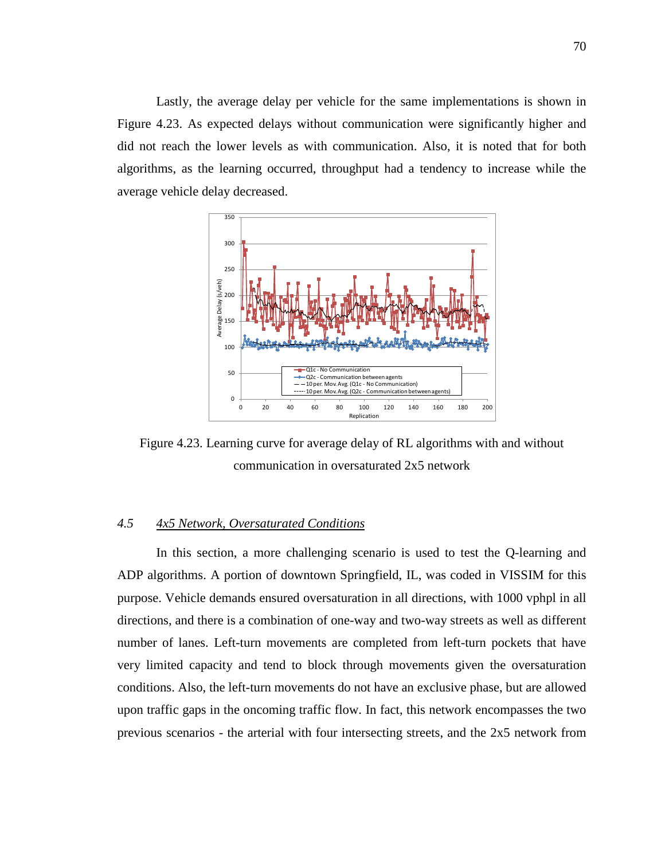Lastly, the average delay per vehicle for the same implementations is shown in Figure 4.23. As expected delays without communication were significantly higher and did not reach the lower levels as with communication. Also, it is noted that for both algorithms, as the learning occurred, throughput had a tendency to increase while the average vehicle delay decreased.



Figure 4.23. Learning curve for average delay of RL algorithms with and without communication in oversaturated 2x5 network

## *4.5 4x5 Network, Oversaturated Conditions*

In this section, a more challenging scenario is used to test the Q-learning and ADP algorithms. A portion of downtown Springfield, IL, was coded in VISSIM for this purpose. Vehicle demands ensured oversaturation in all directions, with 1000 vphpl in all directions, and there is a combination of one-way and two-way streets as well as different number of lanes. Left-turn movements are completed from left-turn pockets that have very limited capacity and tend to block through movements given the oversaturation conditions. Also, the left-turn movements do not have an exclusive phase, but are allowed upon traffic gaps in the oncoming traffic flow. In fact, this network encompasses the two previous scenarios - the arterial with four intersecting streets, and the 2x5 network from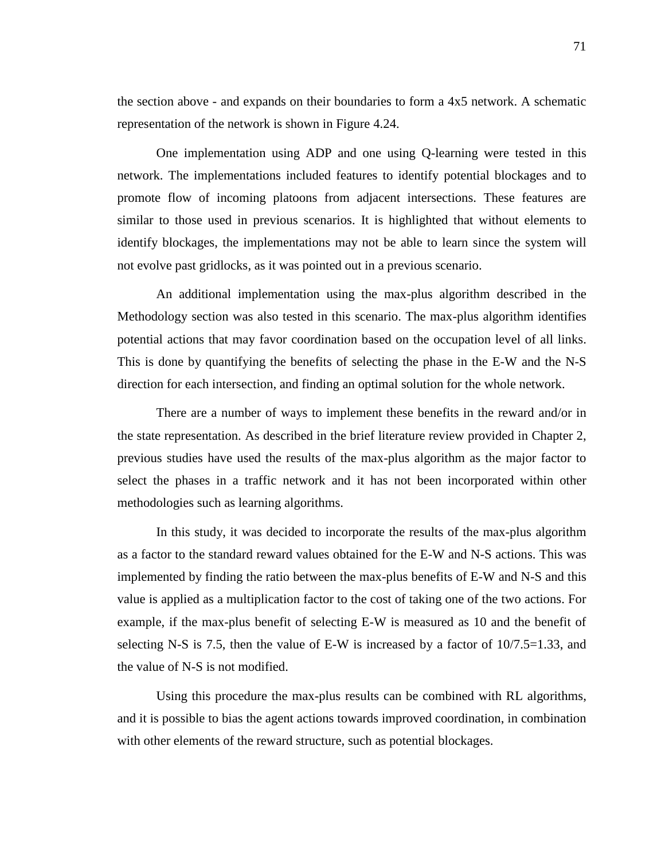the section above - and expands on their boundaries to form a 4x5 network. A schematic representation of the network is shown in Figure 4.24.

One implementation using ADP and one using Q-learning were tested in this network. The implementations included features to identify potential blockages and to promote flow of incoming platoons from adjacent intersections. These features are similar to those used in previous scenarios. It is highlighted that without elements to identify blockages, the implementations may not be able to learn since the system will not evolve past gridlocks, as it was pointed out in a previous scenario.

An additional implementation using the max-plus algorithm described in the Methodology section was also tested in this scenario. The max-plus algorithm identifies potential actions that may favor coordination based on the occupation level of all links. This is done by quantifying the benefits of selecting the phase in the E-W and the N-S direction for each intersection, and finding an optimal solution for the whole network.

There are a number of ways to implement these benefits in the reward and/or in the state representation. As described in the brief literature review provided in Chapter 2, previous studies have used the results of the max-plus algorithm as the major factor to select the phases in a traffic network and it has not been incorporated within other methodologies such as learning algorithms.

In this study, it was decided to incorporate the results of the max-plus algorithm as a factor to the standard reward values obtained for the E-W and N-S actions. This was implemented by finding the ratio between the max-plus benefits of E-W and N-S and this value is applied as a multiplication factor to the cost of taking one of the two actions. For example, if the max-plus benefit of selecting E-W is measured as 10 and the benefit of selecting N-S is 7.5, then the value of E-W is increased by a factor of 10/7.5=1.33, and the value of N-S is not modified.

Using this procedure the max-plus results can be combined with RL algorithms, and it is possible to bias the agent actions towards improved coordination, in combination with other elements of the reward structure, such as potential blockages.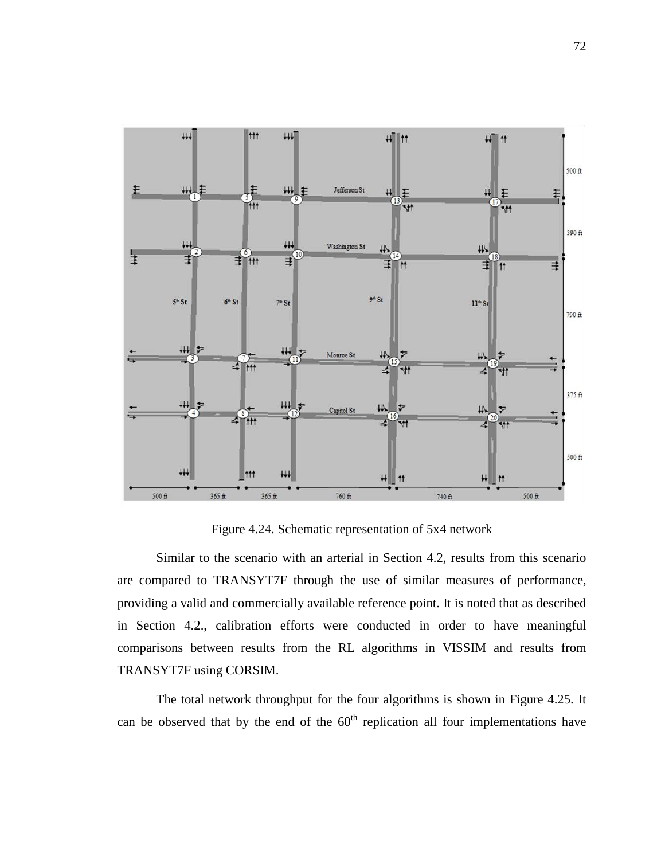

Figure 4.24. Schematic representation of 5x4 network

Similar to the scenario with an arterial in Section 4.2, results from this scenario are compared to TRANSYT7F through the use of similar measures of performance, providing a valid and commercially available reference point. It is noted that as described in Section 4.2., calibration efforts were conducted in order to have meaningful comparisons between results from the RL algorithms in VISSIM and results from TRANSYT7F using CORSIM.

The total network throughput for the four algorithms is shown in Figure 4.25. It can be observed that by the end of the  $60<sup>th</sup>$  replication all four implementations have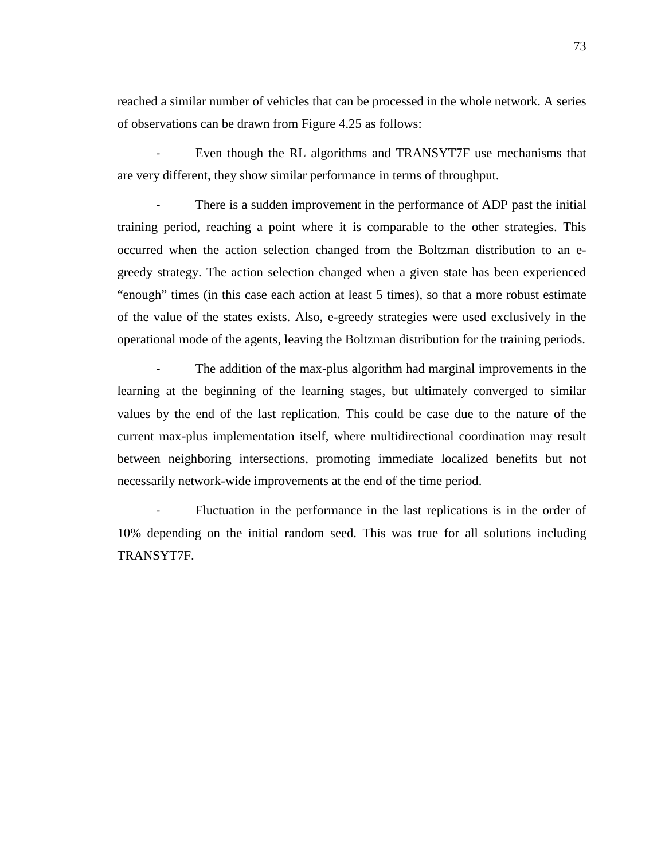reached a similar number of vehicles that can be processed in the whole network. A series of observations can be drawn from Figure 4.25 as follows:

Even though the RL algorithms and TRANSYT7F use mechanisms that are very different, they show similar performance in terms of throughput.

There is a sudden improvement in the performance of ADP past the initial training period, reaching a point where it is comparable to the other strategies. This occurred when the action selection changed from the Boltzman distribution to an egreedy strategy. The action selection changed when a given state has been experienced "enough" times (in this case each action at least 5 times), so that a more robust estimate of the value of the states exists. Also, e-greedy strategies were used exclusively in the operational mode of the agents, leaving the Boltzman distribution for the training periods.

The addition of the max-plus algorithm had marginal improvements in the learning at the beginning of the learning stages, but ultimately converged to similar values by the end of the last replication. This could be case due to the nature of the current max-plus implementation itself, where multidirectional coordination may result between neighboring intersections, promoting immediate localized benefits but not necessarily network-wide improvements at the end of the time period.

Fluctuation in the performance in the last replications is in the order of 10% depending on the initial random seed. This was true for all solutions including TRANSYT7F.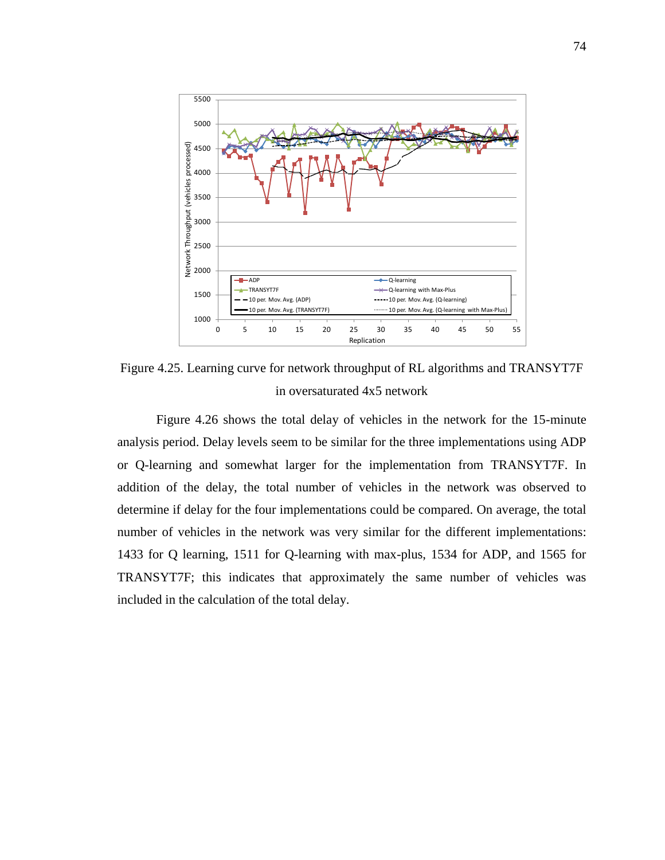

Figure 4.25. Learning curve for network throughput of RL algorithms and TRANSYT7F in oversaturated 4x5 network

Figure 4.26 shows the total delay of vehicles in the network for the 15-minute analysis period. Delay levels seem to be similar for the three implementations using ADP or Q-learning and somewhat larger for the implementation from TRANSYT7F. In addition of the delay, the total number of vehicles in the network was observed to determine if delay for the four implementations could be compared. On average, the total number of vehicles in the network was very similar for the different implementations: 1433 for Q learning, 1511 for Q-learning with max-plus, 1534 for ADP, and 1565 for TRANSYT7F; this indicates that approximately the same number of vehicles was included in the calculation of the total delay.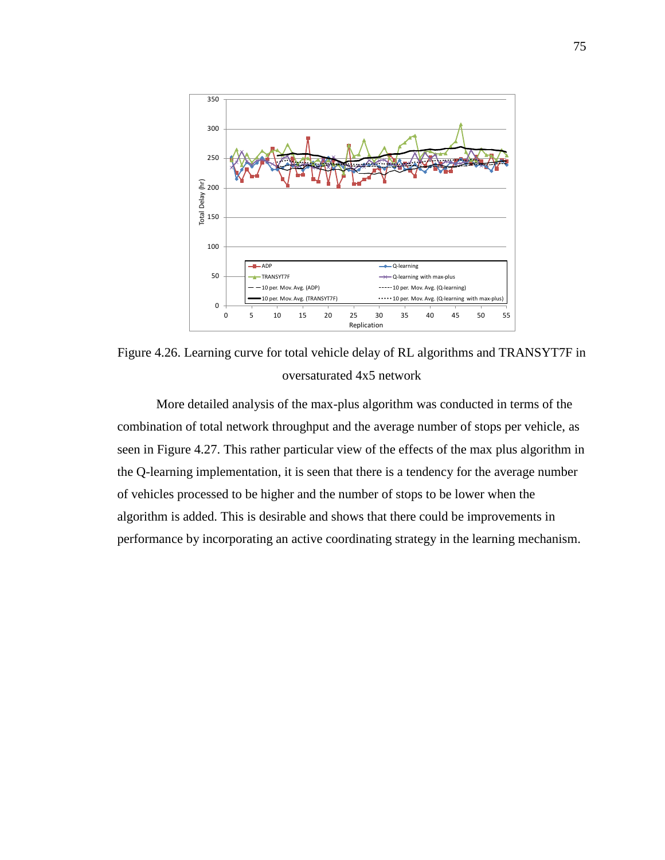

Figure 4.26. Learning curve for total vehicle delay of RL algorithms and TRANSYT7F in oversaturated 4x5 network

More detailed analysis of the max-plus algorithm was conducted in terms of the combination of total network throughput and the average number of stops per vehicle, as seen in Figure 4.27. This rather particular view of the effects of the max plus algorithm in the Q-learning implementation, it is seen that there is a tendency for the average number of vehicles processed to be higher and the number of stops to be lower when the algorithm is added. This is desirable and shows that there could be improvements in performance by incorporating an active coordinating strategy in the learning mechanism.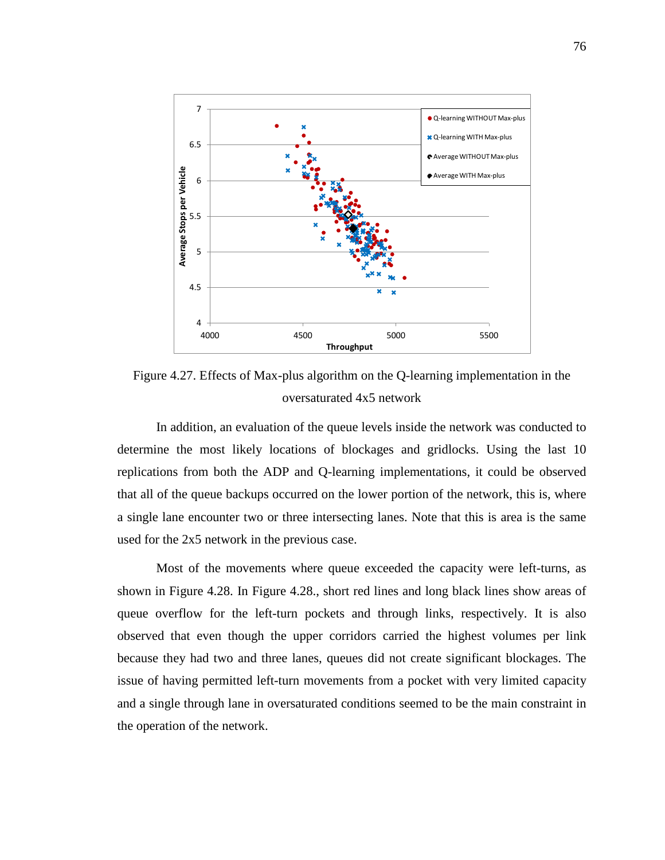

Figure 4.27. Effects of Max-plus algorithm on the Q-learning implementation in the oversaturated 4x5 network

In addition, an evaluation of the queue levels inside the network was conducted to determine the most likely locations of blockages and gridlocks. Using the last 10 replications from both the ADP and Q-learning implementations, it could be observed that all of the queue backups occurred on the lower portion of the network, this is, where a single lane encounter two or three intersecting lanes. Note that this is area is the same used for the 2x5 network in the previous case.

Most of the movements where queue exceeded the capacity were left-turns, as shown in Figure 4.28. In Figure 4.28., short red lines and long black lines show areas of queue overflow for the left-turn pockets and through links, respectively. It is also observed that even though the upper corridors carried the highest volumes per link because they had two and three lanes, queues did not create significant blockages. The issue of having permitted left-turn movements from a pocket with very limited capacity and a single through lane in oversaturated conditions seemed to be the main constraint in the operation of the network.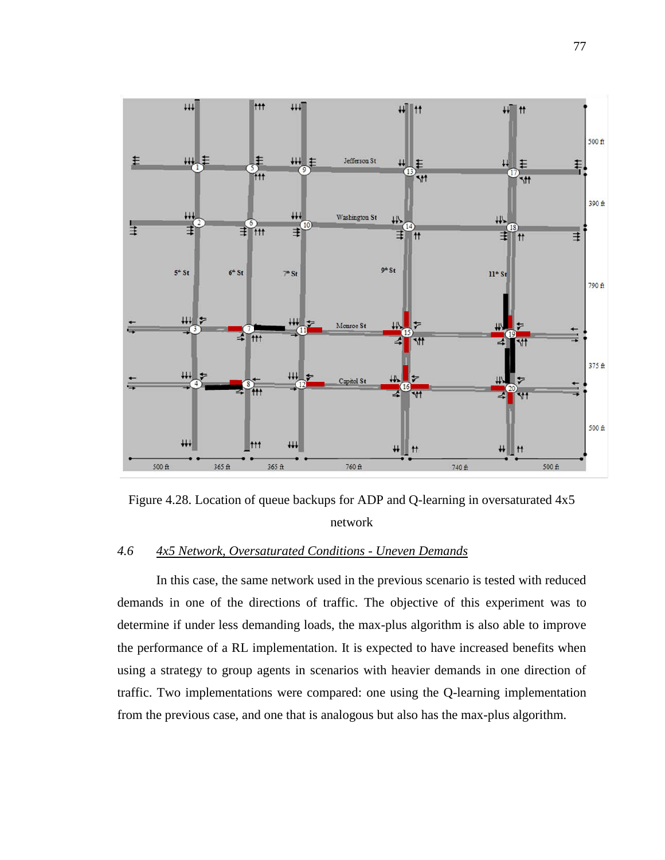

Figure 4.28. Location of queue backups for ADP and Q-learning in oversaturated 4x5 network

## *4.6 4x5 Network, Oversaturated Conditions - Uneven Demands*

In this case, the same network used in the previous scenario is tested with reduced demands in one of the directions of traffic. The objective of this experiment was to determine if under less demanding loads, the max-plus algorithm is also able to improve the performance of a RL implementation. It is expected to have increased benefits when using a strategy to group agents in scenarios with heavier demands in one direction of traffic. Two implementations were compared: one using the Q-learning implementation from the previous case, and one that is analogous but also has the max-plus algorithm.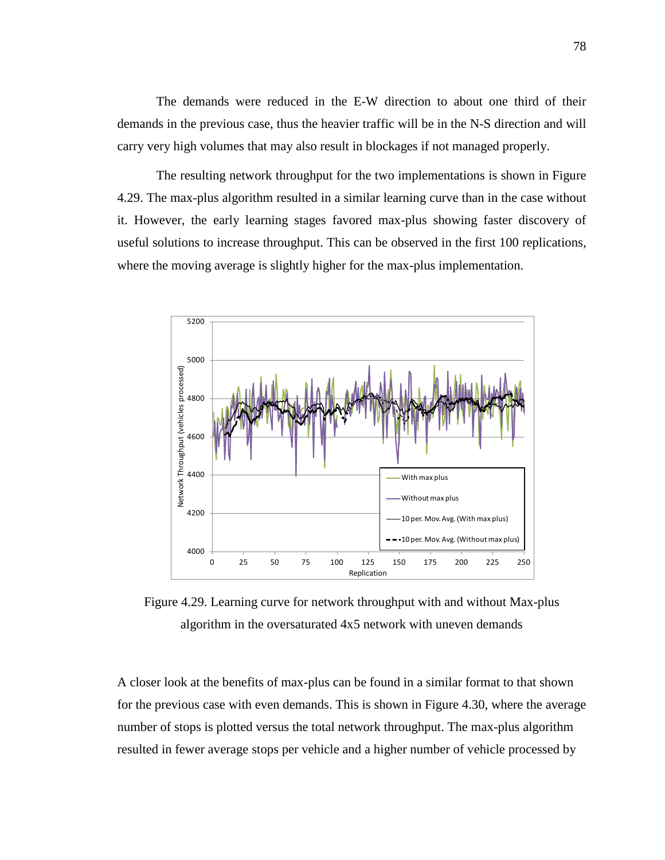The demands were reduced in the E-W direction to about one third of their demands in the previous case, thus the heavier traffic will be in the N-S direction and will carry very high volumes that may also result in blockages if not managed properly.

The resulting network throughput for the two implementations is shown in Figure 4.29. The max-plus algorithm resulted in a similar learning curve than in the case without it. However, the early learning stages favored max-plus showing faster discovery of useful solutions to increase throughput. This can be observed in the first 100 replications, where the moving average is slightly higher for the max-plus implementation.



Figure 4.29. Learning curve for network throughput with and without Max-plus algorithm in the oversaturated 4x5 network with uneven demands

A closer look at the benefits of max-plus can be found in a similar format to that shown for the previous case with even demands. This is shown in Figure 4.30, where the average number of stops is plotted versus the total network throughput. The max-plus algorithm resulted in fewer average stops per vehicle and a higher number of vehicle processed by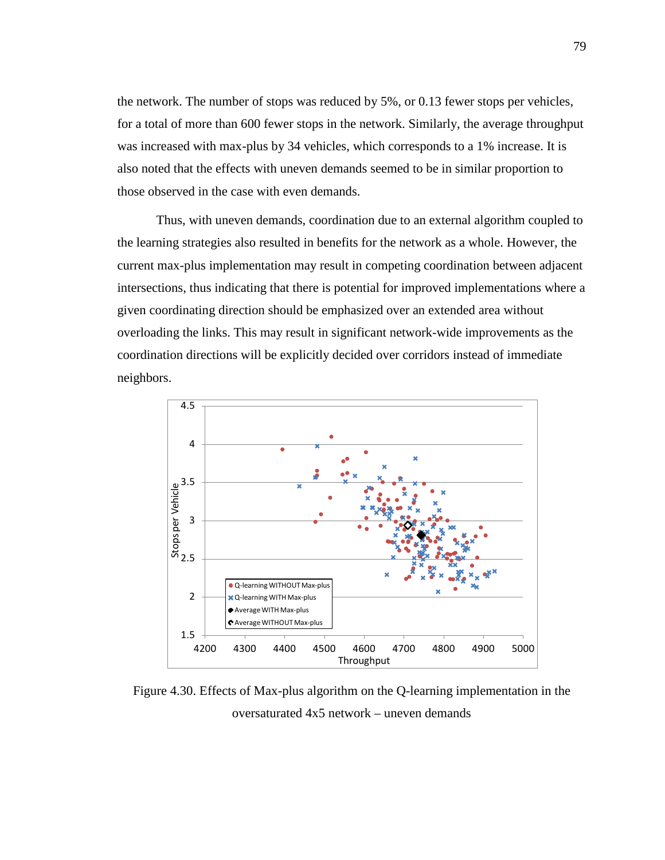the network. The number of stops was reduced by 5%, or 0.13 fewer stops per vehicles, for a total of more than 600 fewer stops in the network. Similarly, the average throughput was increased with max-plus by 34 vehicles, which corresponds to a 1% increase. It is also noted that the effects with uneven demands seemed to be in similar proportion to those observed in the case with even demands.

Thus, with uneven demands, coordination due to an external algorithm coupled to the learning strategies also resulted in benefits for the network as a whole. However, the current max-plus implementation may result in competing coordination between adjacent intersections, thus indicating that there is potential for improved implementations where a given coordinating direction should be emphasized over an extended area without overloading the links. This may result in significant network-wide improvements as the coordination directions will be explicitly decided over corridors instead of immediate neighbors.



Figure 4.30. Effects of Max-plus algorithm on the Q-learning implementation in the oversaturated 4x5 network – uneven demands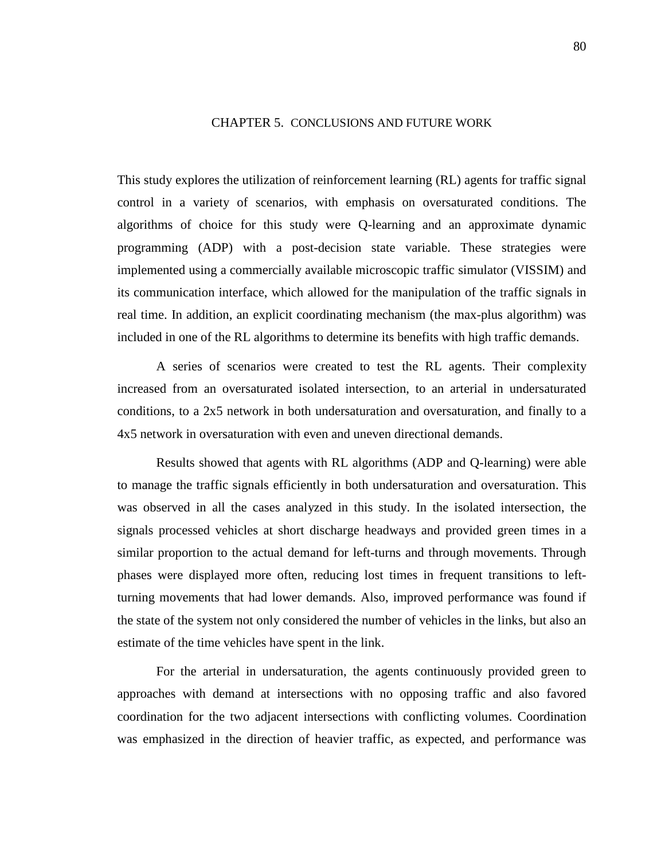## CHAPTER 5. CONCLUSIONS AND FUTURE WORK

This study explores the utilization of reinforcement learning (RL) agents for traffic signal control in a variety of scenarios, with emphasis on oversaturated conditions. The algorithms of choice for this study were Q-learning and an approximate dynamic programming (ADP) with a post-decision state variable. These strategies were implemented using a commercially available microscopic traffic simulator (VISSIM) and its communication interface, which allowed for the manipulation of the traffic signals in real time. In addition, an explicit coordinating mechanism (the max-plus algorithm) was included in one of the RL algorithms to determine its benefits with high traffic demands.

A series of scenarios were created to test the RL agents. Their complexity increased from an oversaturated isolated intersection, to an arterial in undersaturated conditions, to a 2x5 network in both undersaturation and oversaturation, and finally to a 4x5 network in oversaturation with even and uneven directional demands.

Results showed that agents with RL algorithms (ADP and Q-learning) were able to manage the traffic signals efficiently in both undersaturation and oversaturation. This was observed in all the cases analyzed in this study. In the isolated intersection, the signals processed vehicles at short discharge headways and provided green times in a similar proportion to the actual demand for left-turns and through movements. Through phases were displayed more often, reducing lost times in frequent transitions to leftturning movements that had lower demands. Also, improved performance was found if the state of the system not only considered the number of vehicles in the links, but also an estimate of the time vehicles have spent in the link.

For the arterial in undersaturation, the agents continuously provided green to approaches with demand at intersections with no opposing traffic and also favored coordination for the two adjacent intersections with conflicting volumes. Coordination was emphasized in the direction of heavier traffic, as expected, and performance was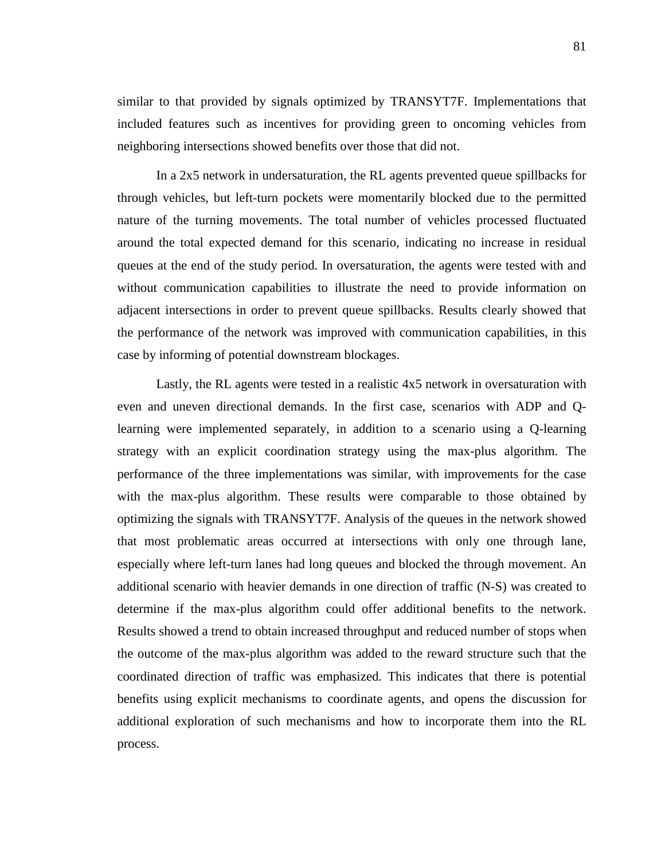similar to that provided by signals optimized by TRANSYT7F. Implementations that included features such as incentives for providing green to oncoming vehicles from neighboring intersections showed benefits over those that did not.

In a 2x5 network in undersaturation, the RL agents prevented queue spillbacks for through vehicles, but left-turn pockets were momentarily blocked due to the permitted nature of the turning movements. The total number of vehicles processed fluctuated around the total expected demand for this scenario, indicating no increase in residual queues at the end of the study period. In oversaturation, the agents were tested with and without communication capabilities to illustrate the need to provide information on adjacent intersections in order to prevent queue spillbacks. Results clearly showed that the performance of the network was improved with communication capabilities, in this case by informing of potential downstream blockages.

Lastly, the RL agents were tested in a realistic 4x5 network in oversaturation with even and uneven directional demands. In the first case, scenarios with ADP and Qlearning were implemented separately, in addition to a scenario using a Q-learning strategy with an explicit coordination strategy using the max-plus algorithm. The performance of the three implementations was similar, with improvements for the case with the max-plus algorithm. These results were comparable to those obtained by optimizing the signals with TRANSYT7F. Analysis of the queues in the network showed that most problematic areas occurred at intersections with only one through lane, especially where left-turn lanes had long queues and blocked the through movement. An additional scenario with heavier demands in one direction of traffic (N-S) was created to determine if the max-plus algorithm could offer additional benefits to the network. Results showed a trend to obtain increased throughput and reduced number of stops when the outcome of the max-plus algorithm was added to the reward structure such that the coordinated direction of traffic was emphasized. This indicates that there is potential benefits using explicit mechanisms to coordinate agents, and opens the discussion for additional exploration of such mechanisms and how to incorporate them into the RL process.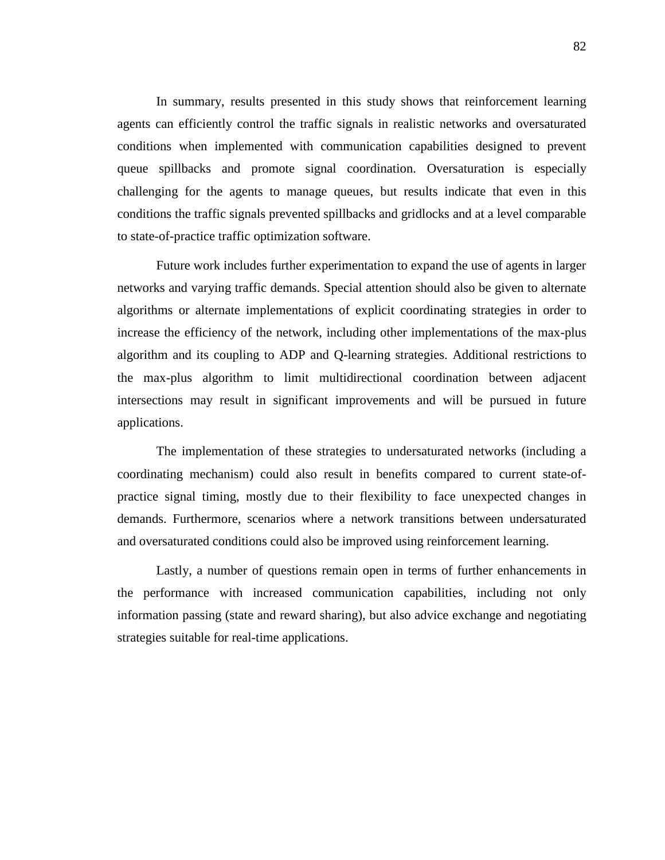In summary, results presented in this study shows that reinforcement learning agents can efficiently control the traffic signals in realistic networks and oversaturated conditions when implemented with communication capabilities designed to prevent queue spillbacks and promote signal coordination. Oversaturation is especially challenging for the agents to manage queues, but results indicate that even in this conditions the traffic signals prevented spillbacks and gridlocks and at a level comparable to state-of-practice traffic optimization software.

Future work includes further experimentation to expand the use of agents in larger networks and varying traffic demands. Special attention should also be given to alternate algorithms or alternate implementations of explicit coordinating strategies in order to increase the efficiency of the network, including other implementations of the max-plus algorithm and its coupling to ADP and Q-learning strategies. Additional restrictions to the max-plus algorithm to limit multidirectional coordination between adjacent intersections may result in significant improvements and will be pursued in future applications.

The implementation of these strategies to undersaturated networks (including a coordinating mechanism) could also result in benefits compared to current state-ofpractice signal timing, mostly due to their flexibility to face unexpected changes in demands. Furthermore, scenarios where a network transitions between undersaturated and oversaturated conditions could also be improved using reinforcement learning.

Lastly, a number of questions remain open in terms of further enhancements in the performance with increased communication capabilities, including not only information passing (state and reward sharing), but also advice exchange and negotiating strategies suitable for real-time applications.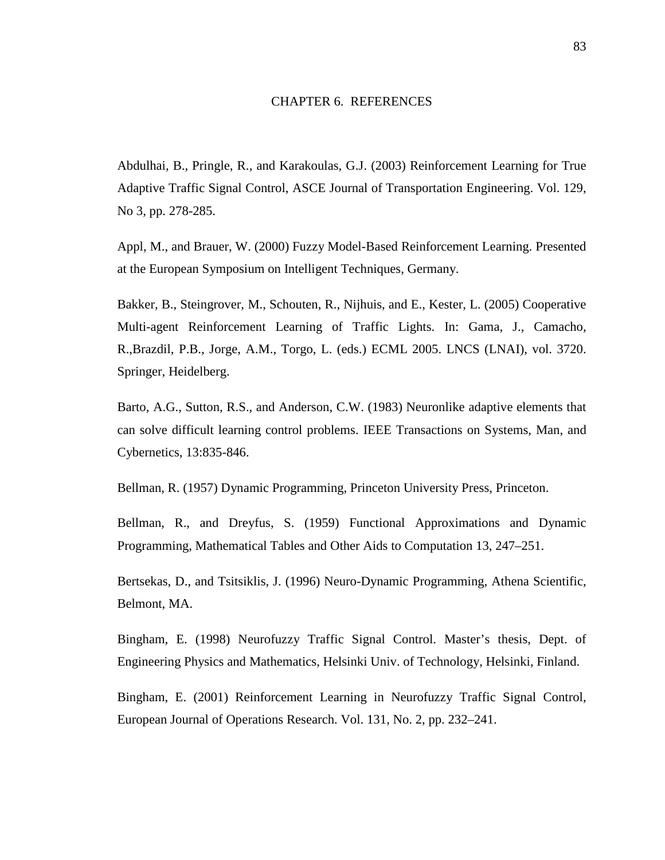## CHAPTER 6. REFERENCES

Abdulhai, B., Pringle, R., and Karakoulas, G.J. (2003) Reinforcement Learning for True Adaptive Traffic Signal Control, ASCE Journal of Transportation Engineering. Vol. 129, No 3, pp. 278-285.

Appl, M., and Brauer, W. (2000) Fuzzy Model-Based Reinforcement Learning. Presented at the European Symposium on Intelligent Techniques, Germany.

Bakker, B., Steingrover, M., Schouten, R., Nijhuis, and E., Kester, L. (2005) Cooperative Multi-agent Reinforcement Learning of Traffic Lights. In: Gama, J., Camacho, R.,Brazdil, P.B., Jorge, A.M., Torgo, L. (eds.) ECML 2005. LNCS (LNAI), vol. 3720. Springer, Heidelberg.

Barto, A.G., Sutton, R.S., and Anderson, C.W. (1983) Neuronlike adaptive elements that can solve difficult learning control problems. IEEE Transactions on Systems, Man, and Cybernetics, 13:835-846.

Bellman, R. (1957) Dynamic Programming, Princeton University Press, Princeton.

Bellman, R., and Dreyfus, S. (1959) Functional Approximations and Dynamic Programming, Mathematical Tables and Other Aids to Computation 13, 247–251.

Bertsekas, D., and Tsitsiklis, J. (1996) Neuro-Dynamic Programming, Athena Scientific, Belmont, MA.

Bingham, E. (1998) Neurofuzzy Traffic Signal Control. Master's thesis, Dept. of Engineering Physics and Mathematics, Helsinki Univ. of Technology, Helsinki, Finland.

Bingham, E. (2001) Reinforcement Learning in Neurofuzzy Traffic Signal Control, European Journal of Operations Research. Vol. 131, No. 2, pp. 232–241.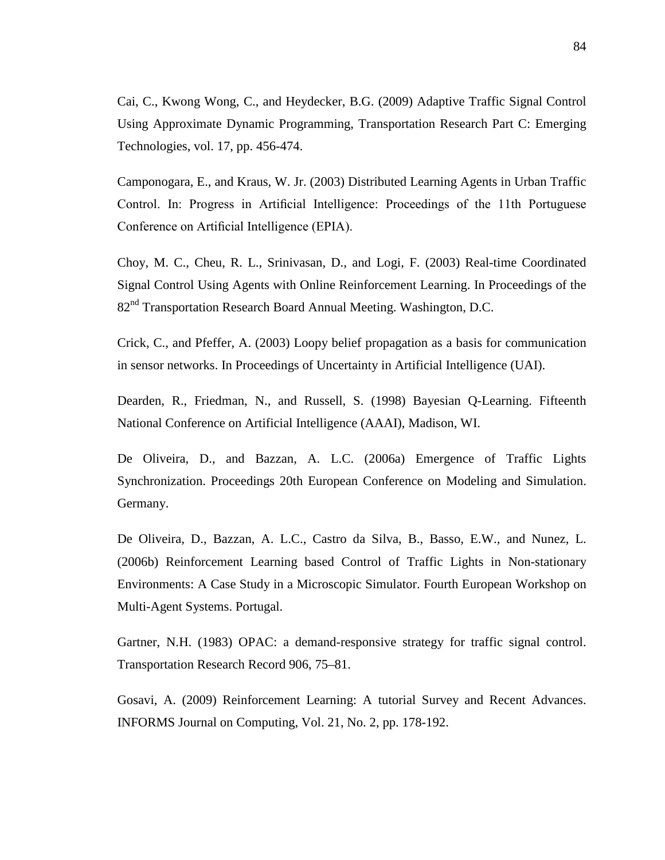Cai, C., Kwong Wong, C., and Heydecker, B.G. (2009) Adaptive Traffic Signal Control Using Approximate Dynamic Programming, Transportation Research Part C: Emerging Technologies, vol. 17, pp. 456-474.

Camponogara, E., and Kraus, W. Jr. (2003) Distributed Learning Agents in Urban Traffic Control. In: Progress in Artificial Intelligence: Proceedings of the 11th Portuguese Conference on Artificial Intelligence (EPIA).

Choy, M. C., Cheu, R. L., Srinivasan, D., and Logi, F. (2003) Real-time Coordinated Signal Control Using Agents with Online Reinforcement Learning. In Proceedings of the 82nd Transportation Research Board Annual Meeting. Washington, D.C.

Crick, C., and Pfeffer, A. (2003) Loopy belief propagation as a basis for communication in sensor networks. In Proceedings of Uncertainty in Artificial Intelligence (UAI).

Dearden, R., Friedman, N., and Russell, S. (1998) Bayesian Q-Learning. Fifteenth National Conference on Artificial Intelligence (AAAI), Madison, WI.

De Oliveira, D., and Bazzan, A. L.C. (2006a) Emergence of Traffic Lights Synchronization. Proceedings 20th European Conference on Modeling and Simulation. Germany.

De Oliveira, D., Bazzan, A. L.C., Castro da Silva, B., Basso, E.W., and Nunez, L. (2006b) Reinforcement Learning based Control of Traffic Lights in Non-stationary Environments: A Case Study in a Microscopic Simulator. Fourth European Workshop on Multi-Agent Systems. Portugal.

Gartner, N.H. (1983) OPAC: a demand-responsive strategy for traffic signal control. Transportation Research Record 906, 75–81.

Gosavi, A. (2009) Reinforcement Learning: A tutorial Survey and Recent Advances. INFORMS Journal on Computing, Vol. 21, No. 2, pp. 178-192.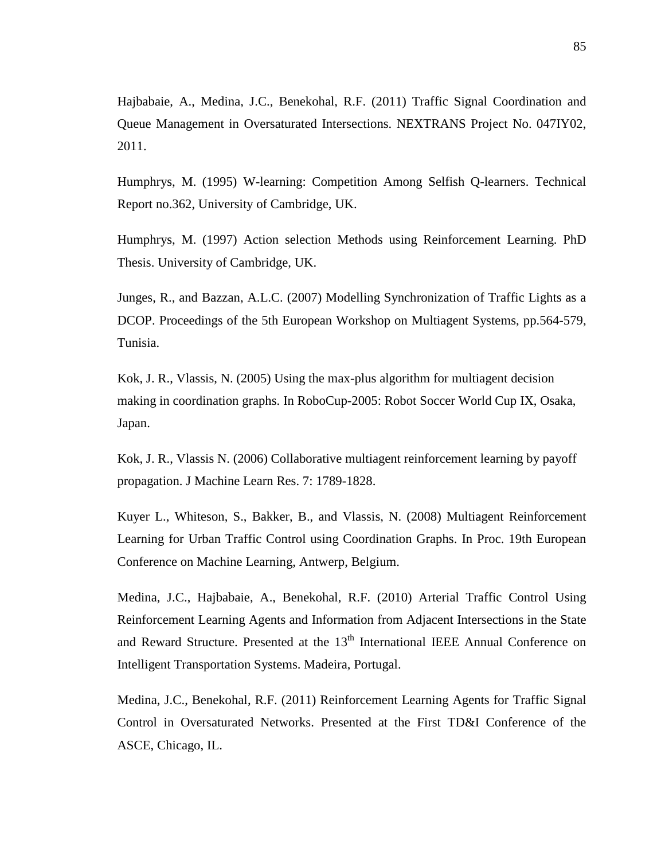Hajbabaie, A., Medina, J.C., Benekohal, R.F. (2011) Traffic Signal Coordination and Queue Management in Oversaturated Intersections. NEXTRANS Project No. 047IY02, 2011.

Humphrys, M. (1995) W-learning: Competition Among Selfish Q-learners. Technical Report no.362, University of Cambridge, UK.

Humphrys, M. (1997) Action selection Methods using Reinforcement Learning. PhD Thesis. University of Cambridge, UK.

Junges, R., and Bazzan, A.L.C. (2007) Modelling Synchronization of Traffic Lights as a DCOP. Proceedings of the 5th European Workshop on Multiagent Systems, pp.564-579, Tunisia.

Kok, J. R., Vlassis, N. (2005) Using the max-plus algorithm for multiagent decision making in coordination graphs. In RoboCup-2005: Robot Soccer World Cup IX, Osaka, Japan.

Kok, J. R., Vlassis N. (2006) Collaborative multiagent reinforcement learning by payoff propagation. J Machine Learn Res. 7: 1789-1828.

Kuyer L., Whiteson, S., Bakker, B., and Vlassis, N. (2008) Multiagent Reinforcement Learning for Urban Traffic Control using Coordination Graphs. In Proc. 19th European Conference on Machine Learning, Antwerp, Belgium.

Medina, J.C., Hajbabaie, A., Benekohal, R.F. (2010) Arterial Traffic Control Using Reinforcement Learning Agents and Information from Adjacent Intersections in the State and Reward Structure. Presented at the 13<sup>th</sup> International IEEE Annual Conference on Intelligent Transportation Systems. Madeira, Portugal.

Medina, J.C., Benekohal, R.F. (2011) Reinforcement Learning Agents for Traffic Signal Control in Oversaturated Networks. Presented at the First TD&I Conference of the ASCE, Chicago, IL.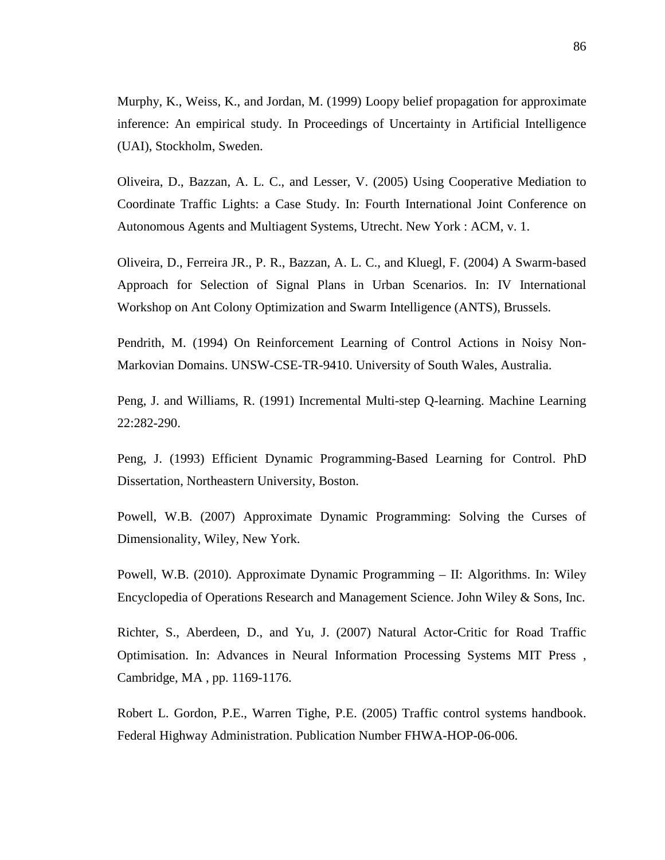Murphy, K., Weiss, K., and Jordan, M. (1999) Loopy belief propagation for approximate inference: An empirical study. In Proceedings of Uncertainty in Artificial Intelligence (UAI), Stockholm, Sweden.

Oliveira, D., Bazzan, A. L. C., and Lesser, V. (2005) Using Cooperative Mediation to Coordinate Traffic Lights: a Case Study. In: Fourth International Joint Conference on Autonomous Agents and Multiagent Systems, Utrecht. New York : ACM, v. 1.

Oliveira, D., Ferreira JR., P. R., Bazzan, A. L. C., and Kluegl, F. (2004) A Swarm-based Approach for Selection of Signal Plans in Urban Scenarios. In: IV International Workshop on Ant Colony Optimization and Swarm Intelligence (ANTS), Brussels.

Pendrith, M. (1994) On Reinforcement Learning of Control Actions in Noisy Non-Markovian Domains. UNSW-CSE-TR-9410. University of South Wales, Australia.

Peng, J. and Williams, R. (1991) Incremental Multi-step Q-learning. Machine Learning 22:282-290.

Peng, J. (1993) Efficient Dynamic Programming-Based Learning for Control. PhD Dissertation, Northeastern University, Boston.

Powell, W.B. (2007) Approximate Dynamic Programming: Solving the Curses of Dimensionality, Wiley, New York.

Powell, W.B. (2010). Approximate Dynamic Programming – II: Algorithms. In: Wiley Encyclopedia of Operations Research and Management Science. John Wiley & Sons, Inc.

Richter, S., Aberdeen, D., and Yu, J. (2007) Natural Actor-Critic for Road Traffic Optimisation. In: Advances in Neural Information Processing Systems MIT Press , Cambridge, MA , pp. 1169-1176.

Robert L. Gordon, P.E., Warren Tighe, P.E. (2005) Traffic control systems handbook. Federal Highway Administration. Publication Number FHWA-HOP-06-006.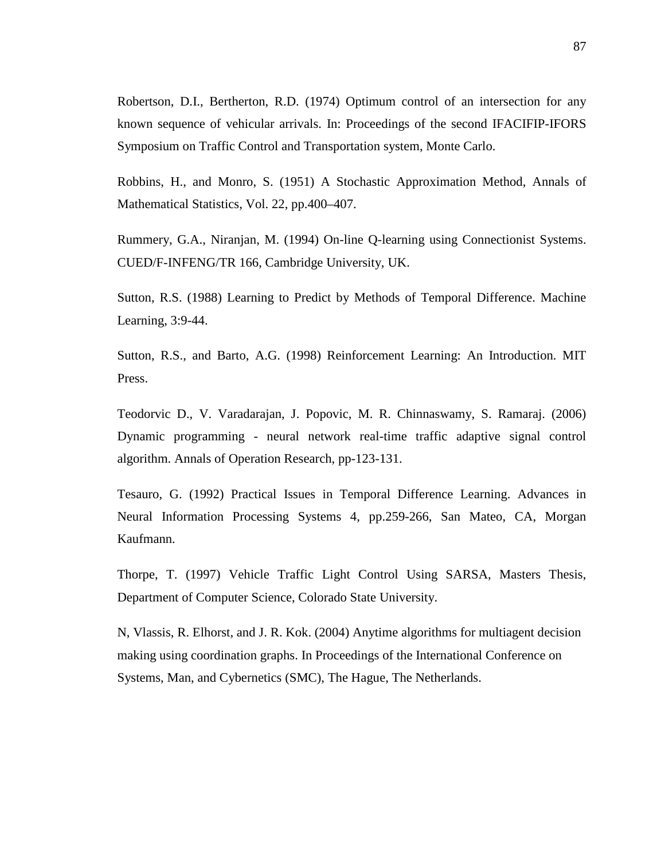Robertson, D.I., Bertherton, R.D. (1974) Optimum control of an intersection for any known sequence of vehicular arrivals. In: Proceedings of the second IFACIFIP-IFORS Symposium on Traffic Control and Transportation system, Monte Carlo.

Robbins, H., and Monro, S. (1951) A Stochastic Approximation Method, Annals of Mathematical Statistics, Vol. 22, pp.400–407.

Rummery, G.A., Niranjan, M. (1994) On-line Q-learning using Connectionist Systems. CUED/F-INFENG/TR 166, Cambridge University, UK.

Sutton, R.S. (1988) Learning to Predict by Methods of Temporal Difference. Machine Learning, 3:9-44.

Sutton, R.S., and Barto, A.G. (1998) Reinforcement Learning: An Introduction. MIT Press.

Teodorvic D., V. Varadarajan, J. Popovic, M. R. Chinnaswamy, S. Ramaraj. (2006) Dynamic programming - neural network real-time traffic adaptive signal control algorithm. Annals of Operation Research, pp-123-131.

Tesauro, G. (1992) Practical Issues in Temporal Difference Learning. Advances in Neural Information Processing Systems 4, pp.259-266, San Mateo, CA, Morgan Kaufmann.

Thorpe, T. (1997) Vehicle Traffic Light Control Using SARSA, Masters Thesis, Department of Computer Science, Colorado State University.

N, Vlassis, R. Elhorst, and J. R. Kok. (2004) Anytime algorithms for multiagent decision making using coordination graphs. In Proceedings of the International Conference on Systems, Man, and Cybernetics (SMC), The Hague, The Netherlands.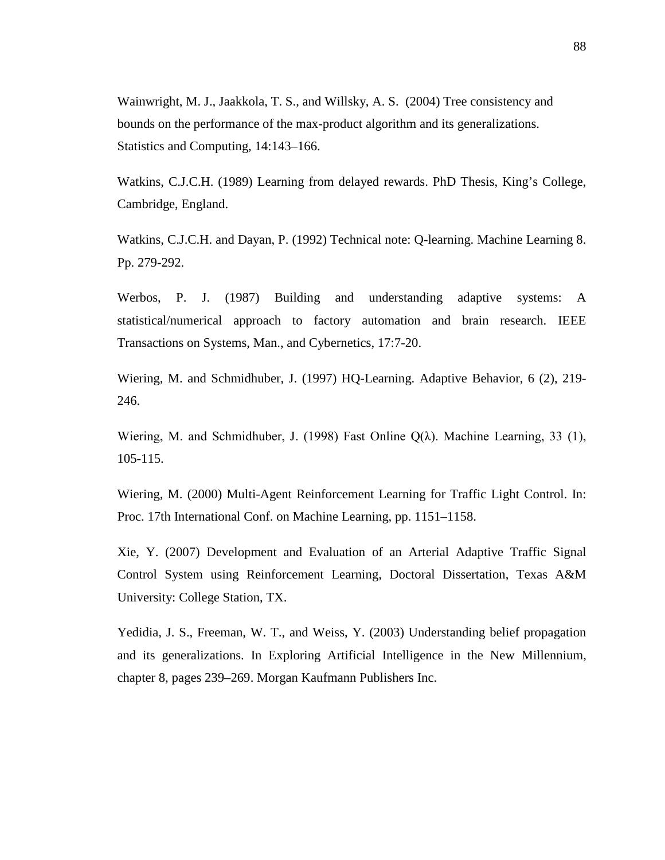Wainwright, M. J., Jaakkola, T. S., and Willsky, A. S. (2004) Tree consistency and bounds on the performance of the max-product algorithm and its generalizations. Statistics and Computing, 14:143–166.

Watkins, C.J.C.H. (1989) Learning from delayed rewards. PhD Thesis, King's College, Cambridge, England.

Watkins, C.J.C.H. and Dayan, P. (1992) Technical note: Q-learning. Machine Learning 8. Pp. 279-292.

Werbos, P. J. (1987) Building and understanding adaptive systems: A statistical/numerical approach to factory automation and brain research. IEEE Transactions on Systems, Man., and Cybernetics, 17:7-20.

Wiering, M. and Schmidhuber, J. (1997) HQ-Learning. Adaptive Behavior, 6 (2), 219- 246.

Wiering, M. and Schmidhuber, J. (1998) Fast Online  $Q(\lambda)$ . Machine Learning, 33 (1), 105-115.

Wiering, M. (2000) Multi-Agent Reinforcement Learning for Traffic Light Control. In: Proc. 17th International Conf. on Machine Learning, pp. 1151–1158.

Xie, Y. (2007) Development and Evaluation of an Arterial Adaptive Traffic Signal Control System using Reinforcement Learning, Doctoral Dissertation, Texas A&M University: College Station, TX.

Yedidia, J. S., Freeman, W. T., and Weiss, Y. (2003) Understanding belief propagation and its generalizations. In Exploring Artificial Intelligence in the New Millennium, chapter 8, pages 239–269. Morgan Kaufmann Publishers Inc.